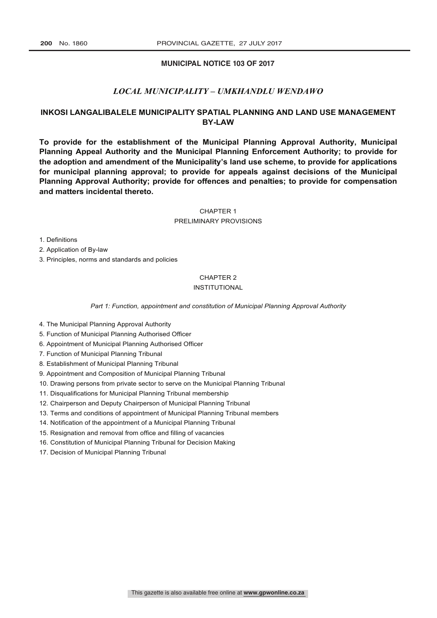## **MUNICIPAL NOTICE 103 OF 2017**

# *LOCAL MUNICIPALITY – UMKHANDLU WENDAWO*

# **INKOSI LANGALIBALELE MUNICIPALITY SPATIAL PLANNING AND LAND USE MANAGEMENT BY-LAW**

**To provide for the establishment of the Municipal Planning Approval Authority, Municipal Planning Appeal Authority and the Municipal Planning Enforcement Authority; to provide for the adoption and amendment of the Municipality's land use scheme, to provide for applications for municipal planning approval; to provide for appeals against decisions of the Municipal Planning Approval Authority; provide for offences and penalties; to provide for compensation and matters incidental thereto.**

CHAPTER 1

PRELIMINARY PROVISIONS

1. Definitions

2. Application of By-law

3. Principles, norms and standards and policies

## CHAPTER 2

## INSTITUTIONAL

*Part 1: Function, appointment and constitution of Municipal Planning Approval Authority*

- 4. The Municipal Planning Approval Authority
- 5. Function of Municipal Planning Authorised Officer
- 6. Appointment of Municipal Planning Authorised Officer
- 7. Function of Municipal Planning Tribunal
- 8. Establishment of Municipal Planning Tribunal
- 9. Appointment and Composition of Municipal Planning Tribunal
- 10. Drawing persons from private sector to serve on the Municipal Planning Tribunal
- 11. Disqualifications for Municipal Planning Tribunal membership
- 12. Chairperson and Deputy Chairperson of Municipal Planning Tribunal
- 13. Terms and conditions of appointment of Municipal Planning Tribunal members
- 14. Notification of the appointment of a Municipal Planning Tribunal
- 15. Resignation and removal from office and filling of vacancies
- 16. Constitution of Municipal Planning Tribunal for Decision Making
- 17. Decision of Municipal Planning Tribunal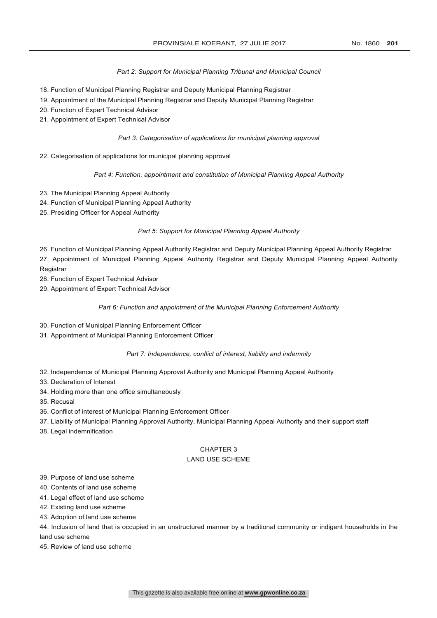## *Part 2: Support for Municipal Planning Tribunal and Municipal Council*

- 18. Function of Municipal Planning Registrar and Deputy Municipal Planning Registrar
- 19. Appointment of the Municipal Planning Registrar and Deputy Municipal Planning Registrar
- 20. Function of Expert Technical Advisor
- 21. Appointment of Expert Technical Advisor

#### *Part 3: Categorisation of applications for municipal planning approval*

22. Categorisation of applications for municipal planning approval

#### *Part 4: Function, appointment and constitution of Municipal Planning Appeal Authority*

- 23. The Municipal Planning Appeal Authority
- 24. Function of Municipal Planning Appeal Authority
- 25. Presiding Officer for Appeal Authority

## *Part 5: Support for Municipal Planning Appeal Authority*

26. Function of Municipal Planning Appeal Authority Registrar and Deputy Municipal Planning Appeal Authority Registrar

27. Appointment of Municipal Planning Appeal Authority Registrar and Deputy Municipal Planning Appeal Authority **Registrar** 

- 28. Function of Expert Technical Advisor
- 29. Appointment of Expert Technical Advisor

#### *Part 6: Function and appointment of the Municipal Planning Enforcement Authority*

- 30. Function of Municipal Planning Enforcement Officer
- 31. Appointment of Municipal Planning Enforcement Officer

#### *Part 7: Independence, conflict of interest, liability and indemnity*

- 32. Independence of Municipal Planning Approval Authority and Municipal Planning Appeal Authority
- 33. Declaration of Interest
- 34. Holding more than one office simultaneously
- 35. Recusal
- 36. Conflict of interest of Municipal Planning Enforcement Officer
- 37. Liability of Municipal Planning Approval Authority, Municipal Planning Appeal Authority and their support staff
- 38. Legal indemnification

# CHAPTER 3

# LAND USE SCHEME

- 39. Purpose of land use scheme
- 40. Contents of land use scheme
- 41. Legal effect of land use scheme
- 42. Existing land use scheme
- 43. Adoption of land use scheme
- 44. Inclusion of land that is occupied in an unstructured manner by a traditional community or indigent households in the land use scheme
- 45. Review of land use scheme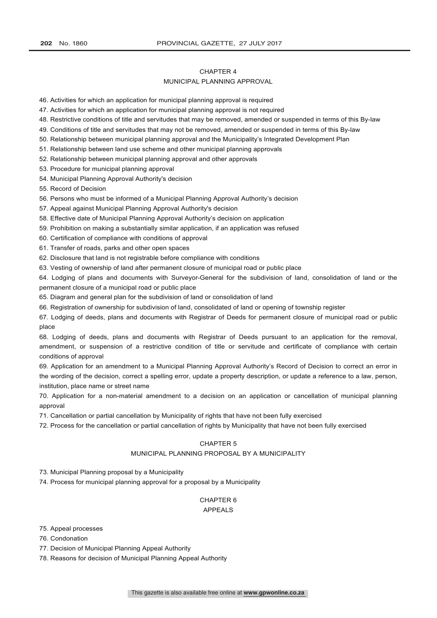#### CHAPTER 4

### MUNICIPAL PLANNING APPROVAL

46. Activities for which an application for municipal planning approval is required

- 47. Activities for which an application for municipal planning approval is not required
- 48. Restrictive conditions of title and servitudes that may be removed, amended or suspended in terms of this By-law
- 49. Conditions of title and servitudes that may not be removed, amended or suspended in terms of this By-law
- 50. Relationship between municipal planning approval and the Municipality's Integrated Development Plan
- 51. Relationship between land use scheme and other municipal planning approvals
- 52. Relationship between municipal planning approval and other approvals
- 53. Procedure for municipal planning approval
- 54. Municipal Planning Approval Authority's decision

55. Record of Decision

- 56. Persons who must be informed of a Municipal Planning Approval Authority's decision
- 57. Appeal against Municipal Planning Approval Authority's decision
- 58. Effective date of Municipal Planning Approval Authority's decision on application
- 59. Prohibition on making a substantially similar application, if an application was refused
- 60. Certification of compliance with conditions of approval
- 61. Transfer of roads, parks and other open spaces
- 62. Disclosure that land is not registrable before compliance with conditions
- 63. Vesting of ownership of land after permanent closure of municipal road or public place

64. Lodging of plans and documents with Surveyor-General for the subdivision of land, consolidation of land or the permanent closure of a municipal road or public place

- 65. Diagram and general plan for the subdivision of land or consolidation of land
- 66. Registration of ownership for subdivision of land, consolidated of land or opening of township register
- 67. Lodging of deeds, plans and documents with Registrar of Deeds for permanent closure of municipal road or public place
- 68. Lodging of deeds, plans and documents with Registrar of Deeds pursuant to an application for the removal, amendment, or suspension of a restrictive condition of title or servitude and certificate of compliance with certain conditions of approval

69. Application for an amendment to a Municipal Planning Approval Authority's Record of Decision to correct an error in the wording of the decision, correct a spelling error, update a property description, or update a reference to a law, person, institution, place name or street name

70. Application for a non-material amendment to a decision on an application or cancellation of municipal planning approval

- 71. Cancellation or partial cancellation by Municipality of rights that have not been fully exercised
- 72. Process for the cancellation or partial cancellation of rights by Municipality that have not been fully exercised

## CHAPTER 5

# MUNICIPAL PLANNING PROPOSAL BY A MUNICIPALITY

73. Municipal Planning proposal by a Municipality

74. Process for municipal planning approval for a proposal by a Municipality

## CHAPTER 6 APPEALS

75. Appeal processes

- 76. Condonation
- 77. Decision of Municipal Planning Appeal Authority
- 78. Reasons for decision of Municipal Planning Appeal Authority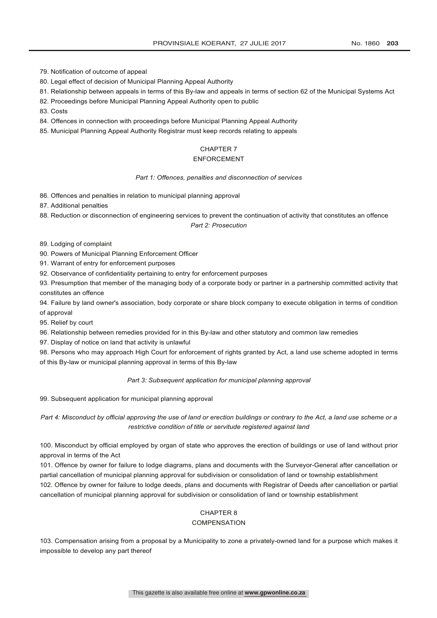79. Notification of outcome of appeal

80. Legal effect of decision of Municipal Planning Appeal Authority

- 81. Relationship between appeals in terms of this By-law and appeals in terms of section 62 of the Municipal Systems Act
- 82. Proceedings before Municipal Planning Appeal Authority open to public
- 83. Costs
- 84. Offences in connection with proceedings before Municipal Planning Appeal Authority
- 85. Municipal Planning Appeal Authority Registrar must keep records relating to appeals

# CHAPTER 7

# ENFORCEMENT

#### *Part 1: Offences, penalties and disconnection of services*

- 86. Offences and penalties in relation to municipal planning approval
- 87. Additional penalties
- 88. Reduction or disconnection of engineering services to prevent the continuation of activity that constitutes an offence

#### *Part 2: Prosecution*

- 89. Lodging of complaint
- 90. Powers of Municipal Planning Enforcement Officer
- 91. Warrant of entry for enforcement purposes
- 92. Observance of confidentiality pertaining to entry for enforcement purposes
- 93. Presumption that member of the managing body of a corporate body or partner in a partnership committed activity that constitutes an offence

94. Failure by land owner's association, body corporate or share block company to execute obligation in terms of condition of approval

95. Relief by court

- 96. Relationship between remedies provided for in this By-law and other statutory and common law remedies
- 97. Display of notice on land that activity is unlawful

98. Persons who may approach High Court for enforcement of rights granted by Act, a land use scheme adopted in terms of this By-law or municipal planning approval in terms of this By-law

## *Part 3: Subsequent application for municipal planning approval*

99. Subsequent application for municipal planning approval

*Part 4: Misconduct by official approving the use of land or erection buildings or contrary to the Act, a land use scheme or a restrictive condition of title or servitude registered against land*

100. Misconduct by official employed by organ of state who approves the erection of buildings or use of land without prior approval in terms of the Act

101. Offence by owner for failure to lodge diagrams, plans and documents with the Surveyor-General after cancellation or partial cancellation of municipal planning approval for subdivision or consolidation of land or township establishment 102. Offence by owner for failure to lodge deeds, plans and documents with Registrar of Deeds after cancellation or partial cancellation of municipal planning approval for subdivision or consolidation of land or township establishment

# CHAPTER 8

#### **COMPENSATION**

103. Compensation arising from a proposal by a Municipality to zone a privately-owned land for a purpose which makes it impossible to develop any part thereof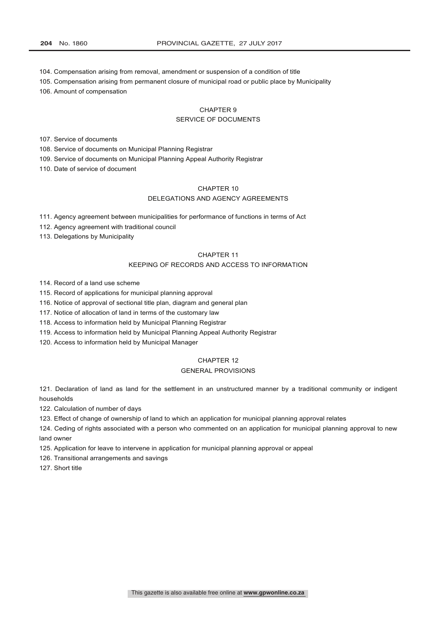- 104. Compensation arising from removal, amendment or suspension of a condition of title
- 105. Compensation arising from permanent closure of municipal road or public place by Municipality

106. Amount of compensation

# CHAPTER 9

## SERVICE OF DOCUMENTS

107. Service of documents

108. Service of documents on Municipal Planning Registrar

109. Service of documents on Municipal Planning Appeal Authority Registrar

110. Date of service of document

# CHAPTER 10

# DELEGATIONS AND AGENCY AGREEMENTS

111. Agency agreement between municipalities for performance of functions in terms of Act

112. Agency agreement with traditional council

113. Delegations by Municipality

## CHAPTER 11

#### KEEPING OF RECORDS AND ACCESS TO INFORMATION

114. Record of a land use scheme

115. Record of applications for municipal planning approval

116. Notice of approval of sectional title plan, diagram and general plan

117. Notice of allocation of land in terms of the customary law

118. Access to information held by Municipal Planning Registrar

119. Access to information held by Municipal Planning Appeal Authority Registrar

120. Access to information held by Municipal Manager

## CHAPTER 12

#### GENERAL PROVISIONS

121. Declaration of land as land for the settlement in an unstructured manner by a traditional community or indigent households

122. Calculation of number of days

123. Effect of change of ownership of land to which an application for municipal planning approval relates

124. Ceding of rights associated with a person who commented on an application for municipal planning approval to new land owner

125. Application for leave to intervene in application for municipal planning approval or appeal

126. Transitional arrangements and savings

127. Short title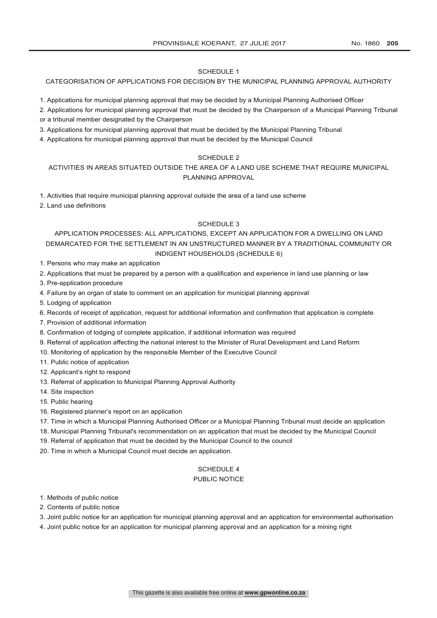### SCHEDULE 1

# CATEGORISATION OF APPLICATIONS FOR DECISION BY THE MUNICIPAL PLANNING APPROVAL AUTHORITY

- 1. Applications for municipal planning approval that may be decided by a Municipal Planning Authorised Officer
- 2. Applications for municipal planning approval that must be decided by the Chairperson of a Municipal Planning Tribunal or a tribunal member designated by the Chairperson
- 3. Applications for municipal planning approval that must be decided by the Municipal Planning Tribunal
- 4. Applications for municipal planning approval that must be decided by the Municipal Council

## SCHEDULE 2

# ACTIVITIES IN AREAS SITUATED OUTSIDE THE AREA OF A LAND USE SCHEME THAT REQUIRE MUNICIPAL PLANNING APPROVAL

1. Activities that require municipal planning approval outside the area of a land use scheme

2. Land use definitions

#### SCHEDULE 3

# APPLICATION PROCESSES: ALL APPLICATIONS, EXCEPT AN APPLICATION FOR A DWELLING ON LAND DEMARCATED FOR THE SETTLEMENT IN AN UNSTRUCTURED MANNER BY A TRADITIONAL COMMUNITY OR INDIGENT HOUSEHOLDS (SCHEDULE 6)

- 1. Persons who may make an application
- 2. Applications that must be prepared by a person with a qualification and experience in land use planning or law
- 3. Pre-application procedure
- 4. Failure by an organ of state to comment on an application for municipal planning approval
- 5. Lodging of application
- 6. Records of receipt of application, request for additional information and confirmation that application is complete
- 7. Provision of additional information
- 8. Confirmation of lodging of complete application, if additional information was required
- 9. Referral of application affecting the national interest to the Minister of Rural Development and Land Reform
- 10. Monitoring of application by the responsible Member of the Executive Council
- 11. Public notice of application
- 12. Applicant's right to respond
- 13. Referral of application to Municipal Planning Approval Authority
- 14. Site inspection
- 15. Public hearing
- 16. Registered planner's report on an application
- 17. Time in which a Municipal Planning Authorised Officer or a Municipal Planning Tribunal must decide an application
- 18. Municipal Planning Tribunal's recommendation on an application that must be decided by the Municipal Council
- 19. Referral of application that must be decided by the Municipal Council to the council
- 20. Time in which a Municipal Council must decide an application.

# SCHEDULE 4

## PUBLIC NOTICE

- 1. Methods of public notice
- 2. Contents of public notice
- 3. Joint public notice for an application for municipal planning approval and an application for environmental authorisation
- 4. Joint public notice for an application for municipal planning approval and an application for a mining right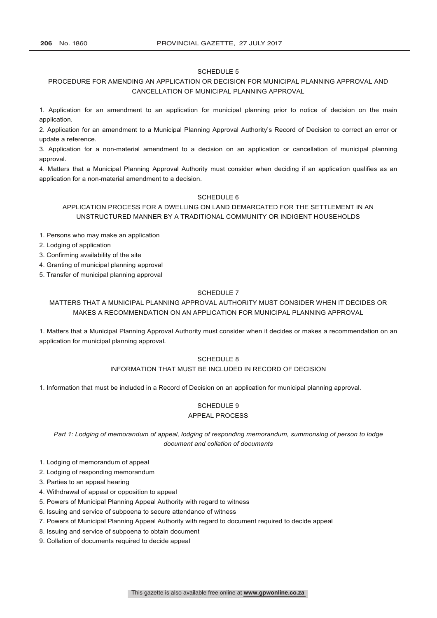### SCHEDULE 5

# PROCEDURE FOR AMENDING AN APPLICATION OR DECISION FOR MUNICIPAL PLANNING APPROVAL AND CANCELLATION OF MUNICIPAL PLANNING APPROVAL

1. Application for an amendment to an application for municipal planning prior to notice of decision on the main application.

2. Application for an amendment to a Municipal Planning Approval Authority's Record of Decision to correct an error or update a reference.

3. Application for a non-material amendment to a decision on an application or cancellation of municipal planning approval.

4. Matters that a Municipal Planning Approval Authority must consider when deciding if an application qualifies as an application for a non-material amendment to a decision.

### SCHEDULE 6

APPLICATION PROCESS FOR A DWELLING ON LAND DEMARCATED FOR THE SETTLEMENT IN AN UNSTRUCTURED MANNER BY A TRADITIONAL COMMUNITY OR INDIGENT HOUSEHOLDS

1. Persons who may make an application

2. Lodging of application

3. Confirming availability of the site

4. Granting of municipal planning approval

5. Transfer of municipal planning approval

## SCHEDULE 7

# MATTERS THAT A MUNICIPAL PLANNING APPROVAL AUTHORITY MUST CONSIDER WHEN IT DECIDES OR MAKES A RECOMMENDATION ON AN APPLICATION FOR MUNICIPAL PLANNING APPROVAL

1. Matters that a Municipal Planning Approval Authority must consider when it decides or makes a recommendation on an application for municipal planning approval.

#### SCHEDULE 8

#### INFORMATION THAT MUST BE INCLUDED IN RECORD OF DECISION

1. Information that must be included in a Record of Decision on an application for municipal planning approval.

## SCHEDULE 9 APPEAL PROCESS

*Part 1: Lodging of memorandum of appeal, lodging of responding memorandum, summonsing of person to lodge document and collation of documents*

1. Lodging of memorandum of appeal

2. Lodging of responding memorandum

3. Parties to an appeal hearing

4. Withdrawal of appeal or opposition to appeal

- 5. Powers of Municipal Planning Appeal Authority with regard to witness
- 6. Issuing and service of subpoena to secure attendance of witness
- 7. Powers of Municipal Planning Appeal Authority with regard to document required to decide appeal

8. Issuing and service of subpoena to obtain document

9. Collation of documents required to decide appeal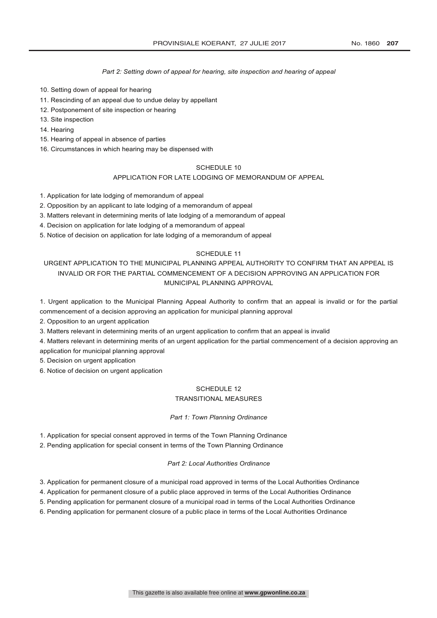### *Part 2: Setting down of appeal for hearing, site inspection and hearing of appeal*

- 10. Setting down of appeal for hearing
- 11. Rescinding of an appeal due to undue delay by appellant
- 12. Postponement of site inspection or hearing
- 13. Site inspection
- 14. Hearing
- 15. Hearing of appeal in absence of parties
- 16. Circumstances in which hearing may be dispensed with

## SCHEDULE 10

## APPLICATION FOR LATE LODGING OF MEMORANDUM OF APPEAL

1. Application for late lodging of memorandum of appeal

2. Opposition by an applicant to late lodging of a memorandum of appeal

- 3. Matters relevant in determining merits of late lodging of a memorandum of appeal
- 4. Decision on application for late lodging of a memorandum of appeal
- 5. Notice of decision on application for late lodging of a memorandum of appeal

## SCHEDULE 11

# URGENT APPLICATION TO THE MUNICIPAL PLANNING APPEAL AUTHORITY TO CONFIRM THAT AN APPEAL IS INVALID OR FOR THE PARTIAL COMMENCEMENT OF A DECISION APPROVING AN APPLICATION FOR MUNICIPAL PLANNING APPROVAL

1. Urgent application to the Municipal Planning Appeal Authority to confirm that an appeal is invalid or for the partial commencement of a decision approving an application for municipal planning approval

2. Opposition to an urgent application

3. Matters relevant in determining merits of an urgent application to confirm that an appeal is invalid

4. Matters relevant in determining merits of an urgent application for the partial commencement of a decision approving an application for municipal planning approval

5. Decision on urgent application

6. Notice of decision on urgent application

# SCHEDULE 12

# TRANSITIONAL MEASURES

# *Part 1: Town Planning Ordinance*

1. Application for special consent approved in terms of the Town Planning Ordinance

2. Pending application for special consent in terms of the Town Planning Ordinance

#### *Part 2: Local Authorities Ordinance*

3. Application for permanent closure of a municipal road approved in terms of the Local Authorities Ordinance

4. Application for permanent closure of a public place approved in terms of the Local Authorities Ordinance

5. Pending application for permanent closure of a municipal road in terms of the Local Authorities Ordinance

6. Pending application for permanent closure of a public place in terms of the Local Authorities Ordinance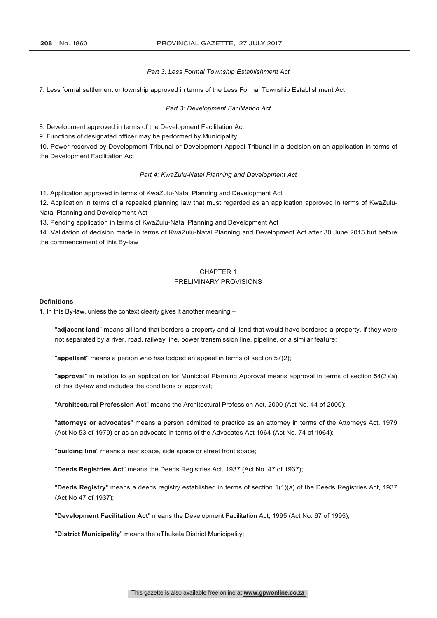#### *Part 3: Less Formal Township Establishment Act*

7. Less formal settlement or township approved in terms of the Less Formal Township Establishment Act

*Part 3: Development Facilitation Act*

8. Development approved in terms of the Development Facilitation Act

9. Functions of designated officer may be performed by Municipality

10. Power reserved by Development Tribunal or Development Appeal Tribunal in a decision on an application in terms of the Development Facilitation Act

#### *Part 4: KwaZulu-Natal Planning and Development Act*

11. Application approved in terms of KwaZulu-Natal Planning and Development Act

12. Application in terms of a repealed planning law that must regarded as an application approved in terms of KwaZulu-Natal Planning and Development Act

13. Pending application in terms of KwaZulu-Natal Planning and Development Act

14. Validation of decision made in terms of KwaZulu-Natal Planning and Development Act after 30 June 2015 but before the commencement of this By-law

# CHAPTER 1 PRELIMINARY PROVISIONS

## **Definitions**

**1.** In this By-law, unless the context clearly gives it another meaning –

"**adjacent land**" means all land that borders a property and all land that would have bordered a property, if they were not separated by a river, road, railway line, power transmission line, pipeline, or a similar feature;

"**appellant**" means a person who has lodged an appeal in terms of section 57(2);

"**approval**" in relation to an application for Municipal Planning Approval means approval in terms of section 54(3)(a) of this By-law and includes the conditions of approval;

"**Architectural Profession Act**" means the Architectural Profession Act, 2000 (Act No. 44 of 2000);

"**attorneys or advocates**" means a person admitted to practice as an attorney in terms of the Attorneys Act, 1979 (Act No 53 of 1979) or as an advocate in terms of the Advocates Act 1964 (Act No. 74 of 1964);

"**building line**" means a rear space, side space or street front space;

"**Deeds Registries Act**" means the Deeds Registries Act, 1937 (Act No. 47 of 1937);

"**Deeds Registry**" means a deeds registry established in terms of section 1(1)(a) of the Deeds Registries Act, 1937 (Act No 47 of 1937);

"**Development Facilitation Act**" means the Development Facilitation Act, 1995 (Act No. 67 of 1995);

"**District Municipality**" means the uThukela District Municipality;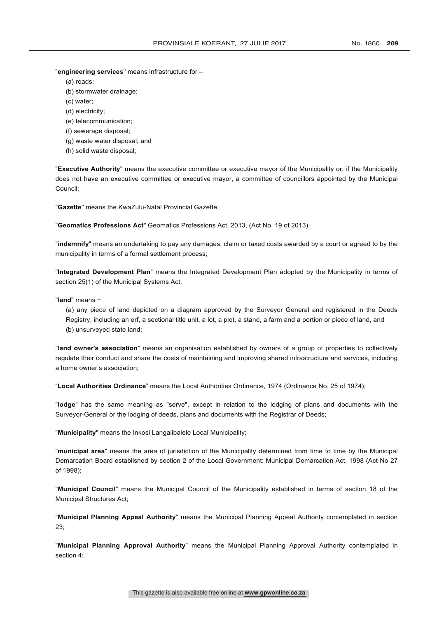"**engineering services**" means infrastructure for –

- (a) roads;
- (b) stormwater drainage;
- (c) water;
- (d) electricity;
- (e) telecommunication;
- (f) sewerage disposal;
- (g) waste water disposal; and
- (h) solid waste disposal;

"**Executive Authority**" means the executive committee or executive mayor of the Municipality or, if the Municipality does not have an executive committee or executive mayor, a committee of councillors appointed by the Municipal Council;

"**Gazette**" means the KwaZulu-Natal Provincial Gazette;

"**Geomatics Professions Act**" Geomatics Professions Act, 2013, (Act No. 19 of 2013)

"**indemnify**" means an undertaking to pay any damages, claim or taxed costs awarded by a court or agreed to by the municipality in terms of a formal settlement process;

"**Integrated Development Plan**" means the Integrated Development Plan adopted by the Municipality in terms of section 25(1) of the Municipal Systems Act;

"**land**" means −

(a) any piece of land depicted on a diagram approved by the Surveyor General and registered in the Deeds Registry, including an erf, a sectional title unit, a lot, a plot, a stand, a farm and a portion or piece of land, and (b) unsurveyed state land;

"**land owner's association**" means an organisation established by owners of a group of properties to collectively regulate their conduct and share the costs of maintaining and improving shared infrastructure and services, including a home owner's association;

"**Local Authorities Ordinance**" means the Local Authorities Ordinance, 1974 (Ordinance No. 25 of 1974);

"**lodge**" has the same meaning as "serve", except in relation to the lodging of plans and documents with the Surveyor-General or the lodging of deeds, plans and documents with the Registrar of Deeds;

"**Municipality**" means the Inkosi Langalibalele Local Municipality;

"**municipal area**" means the area of jurisdiction of the Municipality determined from time to time by the Municipal Demarcation Board established by section 2 of the Local Government: Municipal Demarcation Act, 1998 (Act No 27 of 1998);

"**Municipal Council**" means the Municipal Council of the Municipality established in terms of section 18 of the Municipal Structures Act;

"**Municipal Planning Appeal Authority**" means the Municipal Planning Appeal Authority contemplated in section 23;

"**Municipal Planning Approval Authority**" means the Municipal Planning Approval Authority contemplated in section 4;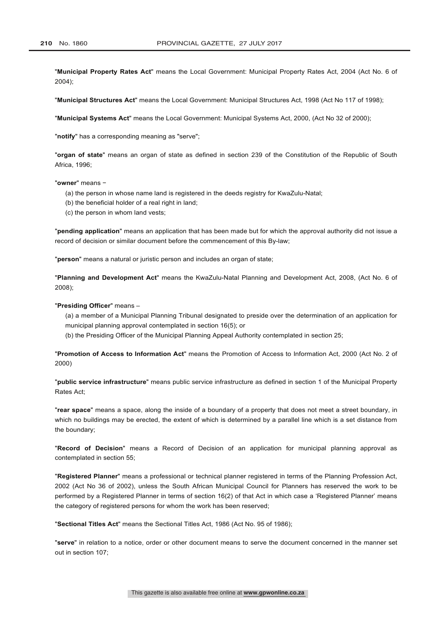"**Municipal Property Rates Act**" means the Local Government: Municipal Property Rates Act, 2004 (Act No. 6 of 2004);

"**Municipal Structures Act**" means the Local Government: Municipal Structures Act, 1998 (Act No 117 of 1998);

"**Municipal Systems Act**" means the Local Government: Municipal Systems Act, 2000, (Act No 32 of 2000);

"**notify**" has a corresponding meaning as "serve";

"**organ of state**" means an organ of state as defined in section 239 of the Constitution of the Republic of South Africa, 1996;

"**owner**" means −

- (a) the person in whose name land is registered in the deeds registry for KwaZulu-Natal;
- (b) the beneficial holder of a real right in land;
- (c) the person in whom land vests;

"**pending application**" means an application that has been made but for which the approval authority did not issue a record of decision or similar document before the commencement of this By-law;

"**person**" means a natural or juristic person and includes an organ of state;

"**Planning and Development Act**" means the KwaZulu-Natal Planning and Development Act, 2008, (Act No. 6 of 2008);

### "**Presiding Officer**" means –

(a) a member of a Municipal Planning Tribunal designated to preside over the determination of an application for municipal planning approval contemplated in section 16(5); or

(b) the Presiding Officer of the Municipal Planning Appeal Authority contemplated in section 25;

"**Promotion of Access to Information Act**" means the Promotion of Access to Information Act, 2000 (Act No. 2 of 2000)

"**public service infrastructure**" means public service infrastructure as defined in section 1 of the Municipal Property Rates Act;

"**rear space**" means a space, along the inside of a boundary of a property that does not meet a street boundary, in which no buildings may be erected, the extent of which is determined by a parallel line which is a set distance from the boundary;

"**Record of Decision**" means a Record of Decision of an application for municipal planning approval as contemplated in section 55;

"**Registered Planner**" means a professional or technical planner registered in terms of the Planning Profession Act, 2002 (Act No 36 of 2002), unless the South African Municipal Council for Planners has reserved the work to be performed by a Registered Planner in terms of section 16(2) of that Act in which case a 'Registered Planner' means the category of registered persons for whom the work has been reserved;

"**Sectional Titles Act**" means the Sectional Titles Act, 1986 (Act No. 95 of 1986);

"**serve**" in relation to a notice, order or other document means to serve the document concerned in the manner set out in section 107;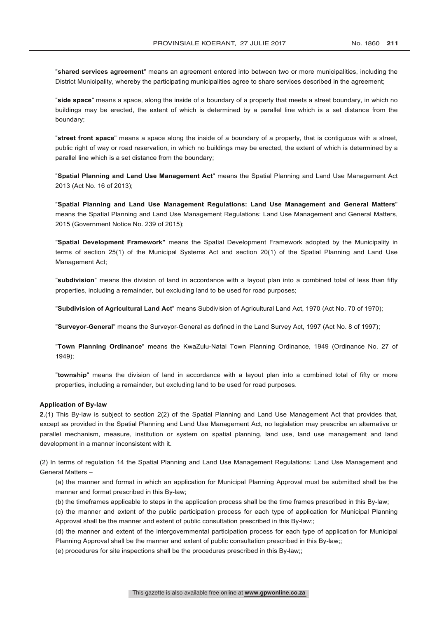"**shared services agreement**" means an agreement entered into between two or more municipalities, including the District Municipality, whereby the participating municipalities agree to share services described in the agreement;

"**side space**" means a space, along the inside of a boundary of a property that meets a street boundary, in which no buildings may be erected, the extent of which is determined by a parallel line which is a set distance from the boundary;

"**street front space**" means a space along the inside of a boundary of a property, that is contiguous with a street, public right of way or road reservation, in which no buildings may be erected, the extent of which is determined by a parallel line which is a set distance from the boundary;

"**Spatial Planning and Land Use Management Act**" means the Spatial Planning and Land Use Management Act 2013 (Act No. 16 of 2013);

"**Spatial Planning and Land Use Management Regulations: Land Use Management and General Matters**" means the Spatial Planning and Land Use Management Regulations: Land Use Management and General Matters, 2015 (Government Notice No. 239 of 2015);

"**Spatial Development Framework"** means the Spatial Development Framework adopted by the Municipality in terms of section 25(1) of the Municipal Systems Act and section 20(1) of the Spatial Planning and Land Use Management Act;

"**subdivision**" means the division of land in accordance with a layout plan into a combined total of less than fifty properties, including a remainder, but excluding land to be used for road purposes;

"**Subdivision of Agricultural Land Act**" means Subdivision of Agricultural Land Act, 1970 (Act No. 70 of 1970);

"**Surveyor-General**" means the Surveyor-General as defined in the Land Survey Act, 1997 (Act No. 8 of 1997);

"**Town Planning Ordinance**" means the KwaZulu-Natal Town Planning Ordinance, 1949 (Ordinance No. 27 of 1949);

"**township**" means the division of land in accordance with a layout plan into a combined total of fifty or more properties, including a remainder, but excluding land to be used for road purposes.

## **Application of By-law**

**2.**(1) This By-law is subject to section 2(2) of the Spatial Planning and Land Use Management Act that provides that, except as provided in the Spatial Planning and Land Use Management Act, no legislation may prescribe an alternative or parallel mechanism, measure, institution or system on spatial planning, land use, land use management and land development in a manner inconsistent with it.

(2) In terms of regulation 14 the Spatial Planning and Land Use Management Regulations: Land Use Management and General Matters –

(a) the manner and format in which an application for Municipal Planning Approval must be submitted shall be the manner and format prescribed in this By-law;

(b) the timeframes applicable to steps in the application process shall be the time frames prescribed in this By-law;

(c) the manner and extent of the public participation process for each type of application for Municipal Planning Approval shall be the manner and extent of public consultation prescribed in this By-law;;

(d) the manner and extent of the intergovernmental participation process for each type of application for Municipal Planning Approval shall be the manner and extent of public consultation prescribed in this By-law;;

(e) procedures for site inspections shall be the procedures prescribed in this By-law;;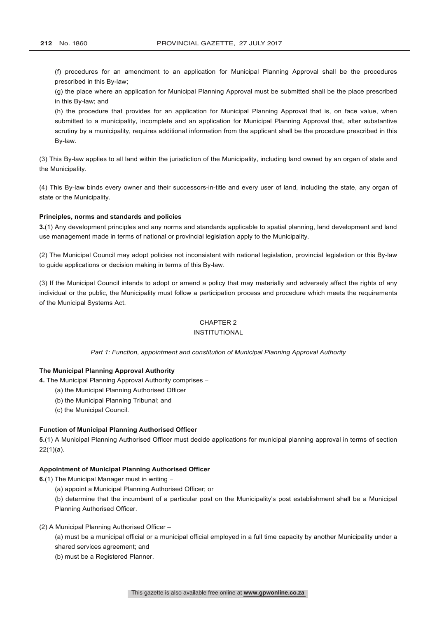(f) procedures for an amendment to an application for Municipal Planning Approval shall be the procedures prescribed in this By-law;

(g) the place where an application for Municipal Planning Approval must be submitted shall be the place prescribed in this By-law; and

(h) the procedure that provides for an application for Municipal Planning Approval that is, on face value, when submitted to a municipality, incomplete and an application for Municipal Planning Approval that, after substantive scrutiny by a municipality, requires additional information from the applicant shall be the procedure prescribed in this By-law.

(3) This By-law applies to all land within the jurisdiction of the Municipality, including land owned by an organ of state and the Municipality.

(4) This By-law binds every owner and their successors-in-title and every user of land, including the state, any organ of state or the Municipality.

## **Principles, norms and standards and policies**

**3.**(1) Any development principles and any norms and standards applicable to spatial planning, land development and land use management made in terms of national or provincial legislation apply to the Municipality.

(2) The Municipal Council may adopt policies not inconsistent with national legislation, provincial legislation or this By-law to guide applications or decision making in terms of this By-law.

(3) If the Municipal Council intends to adopt or amend a policy that may materially and adversely affect the rights of any individual or the public, the Municipality must follow a participation process and procedure which meets the requirements of the Municipal Systems Act.

# CHAPTER 2

# INSTITUTIONAL

*Part 1: Function, appointment and constitution of Municipal Planning Approval Authority*

## **The Municipal Planning Approval Authority**

**4.** The Municipal Planning Approval Authority comprises −

- (a) the Municipal Planning Authorised Officer
- (b) the Municipal Planning Tribunal; and
- (c) the Municipal Council.

## **Function of Municipal Planning Authorised Officer**

**5.**(1) A Municipal Planning Authorised Officer must decide applications for municipal planning approval in terms of section 22(1)(a).

### **Appointment of Municipal Planning Authorised Officer**

**6.**(1) The Municipal Manager must in writing −

(a) appoint a Municipal Planning Authorised Officer; or

(b) determine that the incumbent of a particular post on the Municipality's post establishment shall be a Municipal Planning Authorised Officer.

# (2) A Municipal Planning Authorised Officer –

(a) must be a municipal official or a municipal official employed in a full time capacity by another Municipality under a shared services agreement; and

(b) must be a Registered Planner.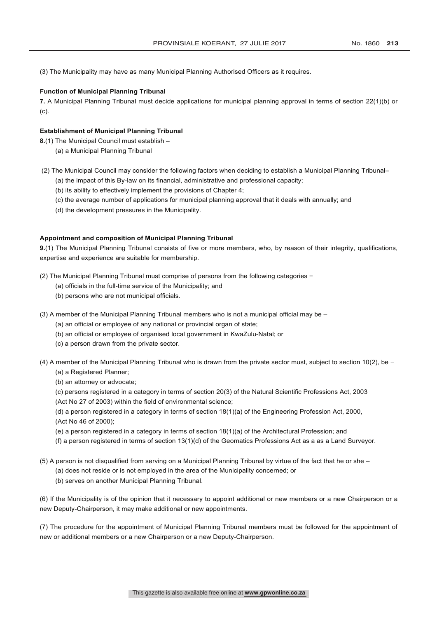(3) The Municipality may have as many Municipal Planning Authorised Officers as it requires.

### **Function of Municipal Planning Tribunal**

**7.** A Municipal Planning Tribunal must decide applications for municipal planning approval in terms of section 22(1)(b) or (c).

### **Establishment of Municipal Planning Tribunal**

**8.**(1) The Municipal Council must establish –

- (a) a Municipal Planning Tribunal
- (2) The Municipal Council may consider the following factors when deciding to establish a Municipal Planning Tribunal–
	- (a) the impact of this By-law on its financial, administrative and professional capacity;
	- (b) its ability to effectively implement the provisions of Chapter 4;
	- (c) the average number of applications for municipal planning approval that it deals with annually; and
	- (d) the development pressures in the Municipality.

## **Appointment and composition of Municipal Planning Tribunal**

**9.**(1) The Municipal Planning Tribunal consists of five or more members, who, by reason of their integrity, qualifications, expertise and experience are suitable for membership.

- (2) The Municipal Planning Tribunal must comprise of persons from the following categories −
	- (a) officials in the full-time service of the Municipality; and
	- (b) persons who are not municipal officials.
- (3) A member of the Municipal Planning Tribunal members who is not a municipal official may be
	- (a) an official or employee of any national or provincial organ of state;
	- (b) an official or employee of organised local government in KwaZulu-Natal; or
	- (c) a person drawn from the private sector.
- (4) A member of the Municipal Planning Tribunal who is drawn from the private sector must, subject to section 10(2), be −
	- (a) a Registered Planner;
	- (b) an attorney or advocate;
	- (c) persons registered in a category in terms of section 20(3) of the Natural Scientific Professions Act, 2003
	- (Act No 27 of 2003) within the field of environmental science;
	- (d) a person registered in a category in terms of section 18(1)(a) of the Engineering Profession Act, 2000, (Act No 46 of 2000);
	- (e) a person registered in a category in terms of section 18(1)(a) of the Architectural Profession; and
	- (f) a person registered in terms of section 13(1)(d) of the Geomatics Professions Act as a as a Land Surveyor.
- (5) A person is not disqualified from serving on a Municipal Planning Tribunal by virtue of the fact that he or she
	- (a) does not reside or is not employed in the area of the Municipality concerned; or
	- (b) serves on another Municipal Planning Tribunal.

(6) If the Municipality is of the opinion that it necessary to appoint additional or new members or a new Chairperson or a new Deputy-Chairperson, it may make additional or new appointments.

(7) The procedure for the appointment of Municipal Planning Tribunal members must be followed for the appointment of new or additional members or a new Chairperson or a new Deputy-Chairperson.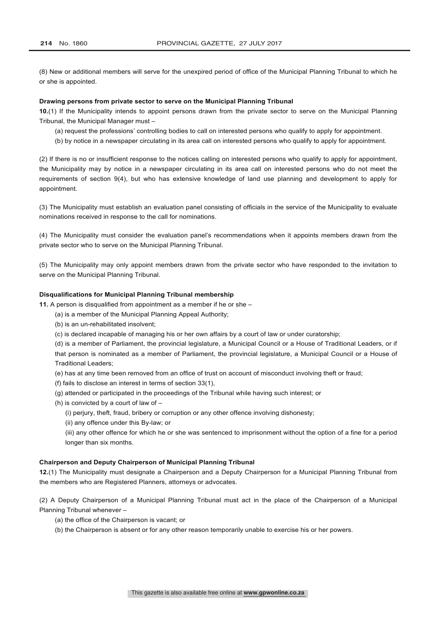(8) New or additional members will serve for the unexpired period of office of the Municipal Planning Tribunal to which he or she is appointed.

## **Drawing persons from private sector to serve on the Municipal Planning Tribunal**

**10.**(1) If the Municipality intends to appoint persons drawn from the private sector to serve on the Municipal Planning Tribunal, the Municipal Manager must –

- (a) request the professions' controlling bodies to call on interested persons who qualify to apply for appointment.
- (b) by notice in a newspaper circulating in its area call on interested persons who qualify to apply for appointment.

(2) If there is no or insufficient response to the notices calling on interested persons who qualify to apply for appointment, the Municipality may by notice in a newspaper circulating in its area call on interested persons who do not meet the requirements of section 9(4), but who has extensive knowledge of land use planning and development to apply for appointment.

(3) The Municipality must establish an evaluation panel consisting of officials in the service of the Municipality to evaluate nominations received in response to the call for nominations.

(4) The Municipality must consider the evaluation panel's recommendations when it appoints members drawn from the private sector who to serve on the Municipal Planning Tribunal.

(5) The Municipality may only appoint members drawn from the private sector who have responded to the invitation to serve on the Municipal Planning Tribunal.

## **Disqualifications for Municipal Planning Tribunal membership**

**11.** A person is disqualified from appointment as a member if he or she –

- (a) is a member of the Municipal Planning Appeal Authority;
- (b) is an un-rehabilitated insolvent;
- (c) is declared incapable of managing his or her own affairs by a court of law or under curatorship;

(d) is a member of Parliament, the provincial legislature, a Municipal Council or a House of Traditional Leaders, or if that person is nominated as a member of Parliament, the provincial legislature, a Municipal Council or a House of Traditional Leaders;

- (e) has at any time been removed from an office of trust on account of misconduct involving theft or fraud;
- (f) fails to disclose an interest in terms of section 33(1),
- (g) attended or participated in the proceedings of the Tribunal while having such interest; or
- (h) is convicted by a court of law of
	- (i) perjury, theft, fraud, bribery or corruption or any other offence involving dishonesty;
	- (ii) any offence under this By-law; or

(iii) any other offence for which he or she was sentenced to imprisonment without the option of a fine for a period longer than six months.

### **Chairperson and Deputy Chairperson of Municipal Planning Tribunal**

**12.**(1) The Municipality must designate a Chairperson and a Deputy Chairperson for a Municipal Planning Tribunal from the members who are Registered Planners, attorneys or advocates.

(2) A Deputy Chairperson of a Municipal Planning Tribunal must act in the place of the Chairperson of a Municipal Planning Tribunal whenever –

- (a) the office of the Chairperson is vacant; or
- (b) the Chairperson is absent or for any other reason temporarily unable to exercise his or her powers.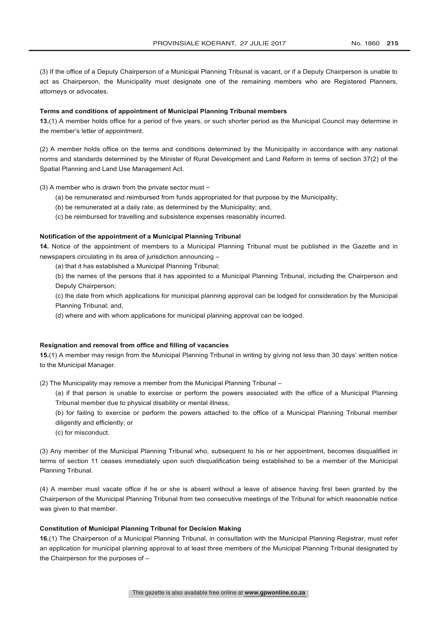(3) If the office of a Deputy Chairperson of a Municipal Planning Tribunal is vacant, or if a Deputy Chairperson is unable to act as Chairperson, the Municipality must designate one of the remaining members who are Registered Planners, attorneys or advocates.

#### **Terms and conditions of appointment of Municipal Planning Tribunal members**

**13.**(1) A member holds office for a period of five years, or such shorter period as the Municipal Council may determine in the member's letter of appointment.

(2) A member holds office on the terms and conditions determined by the Municipality in accordance with any national norms and standards determined by the Minister of Rural Development and Land Reform in terms of section 37(2) of the Spatial Planning and Land Use Management Act.

(3) A member who is drawn from the private sector must −

- (a) be remunerated and reimbursed from funds appropriated for that purpose by the Municipality;
- (b) be remunerated at a daily rate, as determined by the Municipality; and,
- (c) be reimbursed for travelling and subsistence expenses reasonably incurred.

## **Notification of the appointment of a Municipal Planning Tribunal**

**14.** Notice of the appointment of members to a Municipal Planning Tribunal must be published in the Gazette and in newspapers circulating in its area of jurisdiction announcing –

(a) that it has established a Municipal Planning Tribunal;

(b) the names of the persons that it has appointed to a Municipal Planning Tribunal, including the Chairperson and Deputy Chairperson;

(c) the date from which applications for municipal planning approval can be lodged for consideration by the Municipal Planning Tribunal; and,

(d) where and with whom applications for municipal planning approval can be lodged.

#### **Resignation and removal from office and filling of vacancies**

**15.**(1) A member may resign from the Municipal Planning Tribunal in writing by giving not less than 30 days' written notice to the Municipal Manager.

(2) The Municipality may remove a member from the Municipal Planning Tribunal –

- (a) if that person is unable to exercise or perform the powers associated with the office of a Municipal Planning Tribunal member due to physical disability or mental illness;
- (b) for failing to exercise or perform the powers attached to the office of a Municipal Planning Tribunal member diligently and efficiently; or
- (c) for misconduct.

(3) Any member of the Municipal Planning Tribunal who, subsequent to his or her appointment, becomes disqualified in terms of section 11 ceases immediately upon such disqualification being established to be a member of the Municipal Planning Tribunal.

(4) A member must vacate office if he or she is absent without a leave of absence having first been granted by the Chairperson of the Municipal Planning Tribunal from two consecutive meetings of the Tribunal for which reasonable notice was given to that member.

### **Constitution of Municipal Planning Tribunal for Decision Making**

**16.**(1) The Chairperson of a Municipal Planning Tribunal, in consultation with the Municipal Planning Registrar, must refer an application for municipal planning approval to at least three members of the Municipal Planning Tribunal designated by the Chairperson for the purposes of –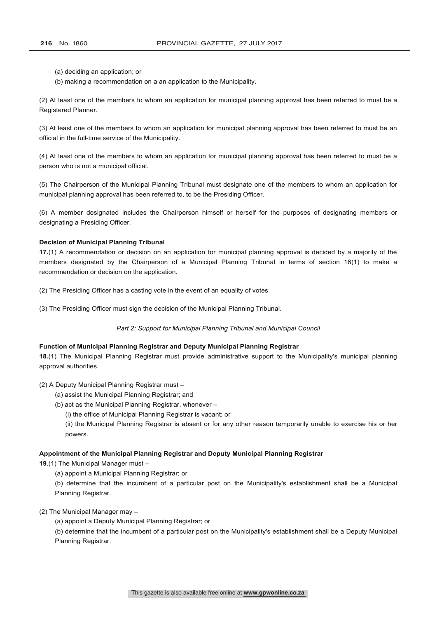- (a) deciding an application; or
- (b) making a recommendation on a an application to the Municipality.

(2) At least one of the members to whom an application for municipal planning approval has been referred to must be a Registered Planner.

(3) At least one of the members to whom an application for municipal planning approval has been referred to must be an official in the full-time service of the Municipality.

(4) At least one of the members to whom an application for municipal planning approval has been referred to must be a person who is not a municipal official.

(5) The Chairperson of the Municipal Planning Tribunal must designate one of the members to whom an application for municipal planning approval has been referred to, to be the Presiding Officer.

(6) A member designated includes the Chairperson himself or herself for the purposes of designating members or designating a Presiding Officer.

#### **Decision of Municipal Planning Tribunal**

**17.**(1) A recommendation or decision on an application for municipal planning approval is decided by a majority of the members designated by the Chairperson of a Municipal Planning Tribunal in terms of section 16(1) to make a recommendation or decision on the application.

(2) The Presiding Officer has a casting vote in the event of an equality of votes.

(3) The Presiding Officer must sign the decision of the Municipal Planning Tribunal.

#### *Part 2: Support for Municipal Planning Tribunal and Municipal Council*

## **Function of Municipal Planning Registrar and Deputy Municipal Planning Registrar**

**18.**(1) The Municipal Planning Registrar must provide administrative support to the Municipality's municipal planning approval authorities.

#### (2) A Deputy Municipal Planning Registrar must –

- (a) assist the Municipal Planning Registrar; and
- (b) act as the Municipal Planning Registrar, whenever
	- (i) the office of Municipal Planning Registrar is vacant; or

(ii) the Municipal Planning Registrar is absent or for any other reason temporarily unable to exercise his or her powers.

### **Appointment of the Municipal Planning Registrar and Deputy Municipal Planning Registrar**

**19.**(1) The Municipal Manager must –

(a) appoint a Municipal Planning Registrar; or

(b) determine that the incumbent of a particular post on the Municipality's establishment shall be a Municipal Planning Registrar.

# (2) The Municipal Manager may –

(a) appoint a Deputy Municipal Planning Registrar; or

(b) determine that the incumbent of a particular post on the Municipality's establishment shall be a Deputy Municipal Planning Registrar.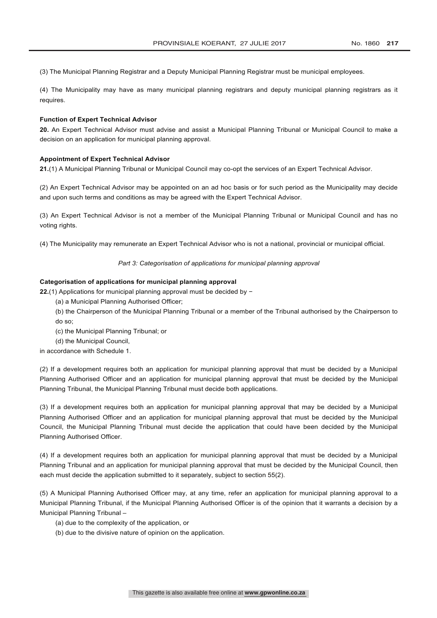(3) The Municipal Planning Registrar and a Deputy Municipal Planning Registrar must be municipal employees.

(4) The Municipality may have as many municipal planning registrars and deputy municipal planning registrars as it requires.

#### **Function of Expert Technical Advisor**

**20.** An Expert Technical Advisor must advise and assist a Municipal Planning Tribunal or Municipal Council to make a decision on an application for municipal planning approval.

### **Appointment of Expert Technical Advisor**

**21.**(1) A Municipal Planning Tribunal or Municipal Council may co-opt the services of an Expert Technical Advisor.

(2) An Expert Technical Advisor may be appointed on an ad hoc basis or for such period as the Municipality may decide and upon such terms and conditions as may be agreed with the Expert Technical Advisor.

(3) An Expert Technical Advisor is not a member of the Municipal Planning Tribunal or Municipal Council and has no voting rights.

(4) The Municipality may remunerate an Expert Technical Advisor who is not a national, provincial or municipal official.

*Part 3: Categorisation of applications for municipal planning approval*

#### **Categorisation of applications for municipal planning approval**

**22.**(1) Applications for municipal planning approval must be decided by −

- (a) a Municipal Planning Authorised Officer;
- (b) the Chairperson of the Municipal Planning Tribunal or a member of the Tribunal authorised by the Chairperson to do so;
- (c) the Municipal Planning Tribunal; or
- (d) the Municipal Council,

in accordance with Schedule 1.

(2) If a development requires both an application for municipal planning approval that must be decided by a Municipal Planning Authorised Officer and an application for municipal planning approval that must be decided by the Municipal Planning Tribunal, the Municipal Planning Tribunal must decide both applications.

(3) If a development requires both an application for municipal planning approval that may be decided by a Municipal Planning Authorised Officer and an application for municipal planning approval that must be decided by the Municipal Council, the Municipal Planning Tribunal must decide the application that could have been decided by the Municipal Planning Authorised Officer.

(4) If a development requires both an application for municipal planning approval that must be decided by a Municipal Planning Tribunal and an application for municipal planning approval that must be decided by the Municipal Council, then each must decide the application submitted to it separately, subject to section 55(2).

(5) A Municipal Planning Authorised Officer may, at any time, refer an application for municipal planning approval to a Municipal Planning Tribunal, if the Municipal Planning Authorised Officer is of the opinion that it warrants a decision by a Municipal Planning Tribunal –

- (a) due to the complexity of the application, or
- (b) due to the divisive nature of opinion on the application.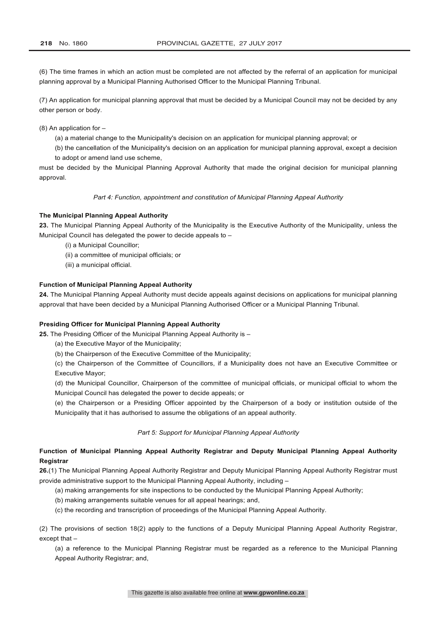(6) The time frames in which an action must be completed are not affected by the referral of an application for municipal planning approval by a Municipal Planning Authorised Officer to the Municipal Planning Tribunal.

(7) An application for municipal planning approval that must be decided by a Municipal Council may not be decided by any other person or body.

(8) An application for –

- (a) a material change to the Municipality's decision on an application for municipal planning approval; or
- (b) the cancellation of the Municipality's decision on an application for municipal planning approval, except a decision to adopt or amend land use scheme,

must be decided by the Municipal Planning Approval Authority that made the original decision for municipal planning approval.

*Part 4: Function, appointment and constitution of Municipal Planning Appeal Authority*

### **The Municipal Planning Appeal Authority**

**23.** The Municipal Planning Appeal Authority of the Municipality is the Executive Authority of the Municipality, unless the Municipal Council has delegated the power to decide appeals to –

- (i) a Municipal Councillor;
- (ii) a committee of municipal officials; or
- (iii) a municipal official.

## **Function of Municipal Planning Appeal Authority**

**24.** The Municipal Planning Appeal Authority must decide appeals against decisions on applications for municipal planning approval that have been decided by a Municipal Planning Authorised Officer or a Municipal Planning Tribunal.

## **Presiding Officer for Municipal Planning Appeal Authority**

**25.** The Presiding Officer of the Municipal Planning Appeal Authority is –

- (a) the Executive Mayor of the Municipality;
- (b) the Chairperson of the Executive Committee of the Municipality;

(c) the Chairperson of the Committee of Councillors, if a Municipality does not have an Executive Committee or Executive Mayor;

(d) the Municipal Councillor, Chairperson of the committee of municipal officials, or municipal official to whom the Municipal Council has delegated the power to decide appeals; or

(e) the Chairperson or a Presiding Officer appointed by the Chairperson of a body or institution outside of the Municipality that it has authorised to assume the obligations of an appeal authority.

## *Part 5: Support for Municipal Planning Appeal Authority*

# **Function of Municipal Planning Appeal Authority Registrar and Deputy Municipal Planning Appeal Authority Registrar**

**26.**(1) The Municipal Planning Appeal Authority Registrar and Deputy Municipal Planning Appeal Authority Registrar must provide administrative support to the Municipal Planning Appeal Authority, including –

- (a) making arrangements for site inspections to be conducted by the Municipal Planning Appeal Authority;
- (b) making arrangements suitable venues for all appeal hearings; and,
- (c) the recording and transcription of proceedings of the Municipal Planning Appeal Authority.

(2) The provisions of section 18(2) apply to the functions of a Deputy Municipal Planning Appeal Authority Registrar, except that –

(a) a reference to the Municipal Planning Registrar must be regarded as a reference to the Municipal Planning Appeal Authority Registrar; and,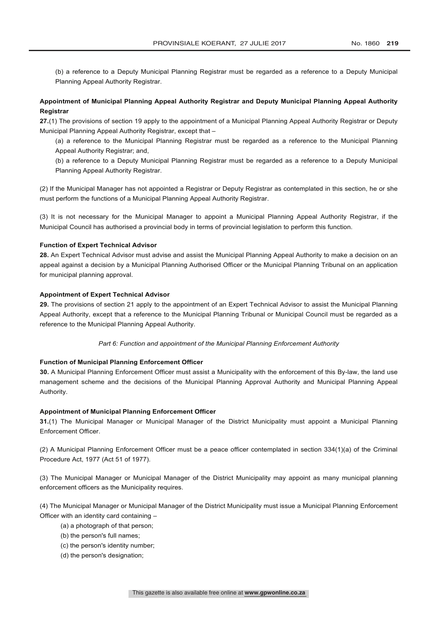(b) a reference to a Deputy Municipal Planning Registrar must be regarded as a reference to a Deputy Municipal Planning Appeal Authority Registrar.

# **Appointment of Municipal Planning Appeal Authority Registrar and Deputy Municipal Planning Appeal Authority Registrar**

**27.**(1) The provisions of section 19 apply to the appointment of a Municipal Planning Appeal Authority Registrar or Deputy Municipal Planning Appeal Authority Registrar, except that –

(a) a reference to the Municipal Planning Registrar must be regarded as a reference to the Municipal Planning Appeal Authority Registrar; and,

(b) a reference to a Deputy Municipal Planning Registrar must be regarded as a reference to a Deputy Municipal Planning Appeal Authority Registrar.

(2) If the Municipal Manager has not appointed a Registrar or Deputy Registrar as contemplated in this section, he or she must perform the functions of a Municipal Planning Appeal Authority Registrar.

(3) It is not necessary for the Municipal Manager to appoint a Municipal Planning Appeal Authority Registrar, if the Municipal Council has authorised a provincial body in terms of provincial legislation to perform this function.

## **Function of Expert Technical Advisor**

**28.** An Expert Technical Advisor must advise and assist the Municipal Planning Appeal Authority to make a decision on an appeal against a decision by a Municipal Planning Authorised Officer or the Municipal Planning Tribunal on an application for municipal planning approval.

## **Appointment of Expert Technical Advisor**

**29.** The provisions of section 21 apply to the appointment of an Expert Technical Advisor to assist the Municipal Planning Appeal Authority, except that a reference to the Municipal Planning Tribunal or Municipal Council must be regarded as a reference to the Municipal Planning Appeal Authority.

### *Part 6: Function and appointment of the Municipal Planning Enforcement Authority*

#### **Function of Municipal Planning Enforcement Officer**

**30.** A Municipal Planning Enforcement Officer must assist a Municipality with the enforcement of this By-law, the land use management scheme and the decisions of the Municipal Planning Approval Authority and Municipal Planning Appeal Authority.

#### **Appointment of Municipal Planning Enforcement Officer**

**31.**(1) The Municipal Manager or Municipal Manager of the District Municipality must appoint a Municipal Planning Enforcement Officer.

(2) A Municipal Planning Enforcement Officer must be a peace officer contemplated in section 334(1)(a) of the Criminal Procedure Act, 1977 (Act 51 of 1977).

(3) The Municipal Manager or Municipal Manager of the District Municipality may appoint as many municipal planning enforcement officers as the Municipality requires.

(4) The Municipal Manager or Municipal Manager of the District Municipality must issue a Municipal Planning Enforcement Officer with an identity card containing –

- (a) a photograph of that person;
- (b) the person's full names;
- (c) the person's identity number;
- (d) the person's designation;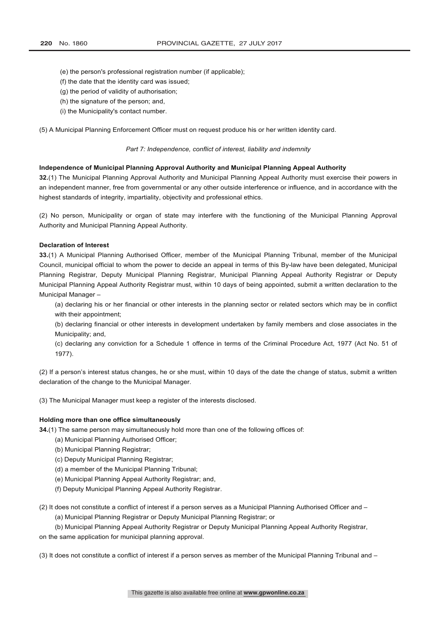- (e) the person's professional registration number (if applicable);
- (f) the date that the identity card was issued;
- (g) the period of validity of authorisation;
- (h) the signature of the person; and,
- (i) the Municipality's contact number.

(5) A Municipal Planning Enforcement Officer must on request produce his or her written identity card.

#### *Part 7: Independence, conflict of interest, liability and indemnity*

#### **Independence of Municipal Planning Approval Authority and Municipal Planning Appeal Authority**

**32.**(1) The Municipal Planning Approval Authority and Municipal Planning Appeal Authority must exercise their powers in an independent manner, free from governmental or any other outside interference or influence, and in accordance with the highest standards of integrity, impartiality, objectivity and professional ethics.

(2) No person, Municipality or organ of state may interfere with the functioning of the Municipal Planning Approval Authority and Municipal Planning Appeal Authority.

#### **Declaration of Interest**

**33.**(1) A Municipal Planning Authorised Officer, member of the Municipal Planning Tribunal, member of the Municipal Council, municipal official to whom the power to decide an appeal in terms of this By-law have been delegated, Municipal Planning Registrar, Deputy Municipal Planning Registrar, Municipal Planning Appeal Authority Registrar or Deputy Municipal Planning Appeal Authority Registrar must, within 10 days of being appointed, submit a written declaration to the Municipal Manager –

(a) declaring his or her financial or other interests in the planning sector or related sectors which may be in conflict with their appointment;

(b) declaring financial or other interests in development undertaken by family members and close associates in the Municipality; and,

(c) declaring any conviction for a Schedule 1 offence in terms of the Criminal Procedure Act, 1977 (Act No. 51 of 1977).

(2) If a person's interest status changes, he or she must, within 10 days of the date the change of status, submit a written declaration of the change to the Municipal Manager.

(3) The Municipal Manager must keep a register of the interests disclosed.

#### **Holding more than one office simultaneously**

**34.**(1) The same person may simultaneously hold more than one of the following offices of:

- (a) Municipal Planning Authorised Officer;
- (b) Municipal Planning Registrar;
- (c) Deputy Municipal Planning Registrar;
- (d) a member of the Municipal Planning Tribunal;
- (e) Municipal Planning Appeal Authority Registrar; and,
- (f) Deputy Municipal Planning Appeal Authority Registrar.

(2) It does not constitute a conflict of interest if a person serves as a Municipal Planning Authorised Officer and –

(a) Municipal Planning Registrar or Deputy Municipal Planning Registrar; or

(b) Municipal Planning Appeal Authority Registrar or Deputy Municipal Planning Appeal Authority Registrar,

on the same application for municipal planning approval.

(3) It does not constitute a conflict of interest if a person serves as member of the Municipal Planning Tribunal and –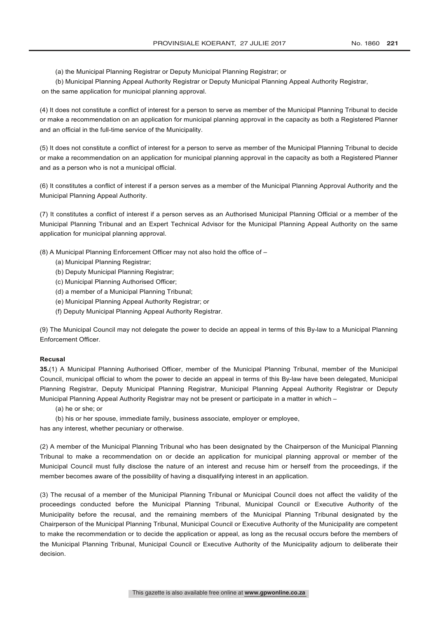(a) the Municipal Planning Registrar or Deputy Municipal Planning Registrar; or

(b) Municipal Planning Appeal Authority Registrar or Deputy Municipal Planning Appeal Authority Registrar, on the same application for municipal planning approval.

(4) It does not constitute a conflict of interest for a person to serve as member of the Municipal Planning Tribunal to decide or make a recommendation on an application for municipal planning approval in the capacity as both a Registered Planner and an official in the full-time service of the Municipality.

(5) It does not constitute a conflict of interest for a person to serve as member of the Municipal Planning Tribunal to decide or make a recommendation on an application for municipal planning approval in the capacity as both a Registered Planner and as a person who is not a municipal official.

(6) It constitutes a conflict of interest if a person serves as a member of the Municipal Planning Approval Authority and the Municipal Planning Appeal Authority.

(7) It constitutes a conflict of interest if a person serves as an Authorised Municipal Planning Official or a member of the Municipal Planning Tribunal and an Expert Technical Advisor for the Municipal Planning Appeal Authority on the same application for municipal planning approval.

(8) A Municipal Planning Enforcement Officer may not also hold the office of –

- (a) Municipal Planning Registrar;
- (b) Deputy Municipal Planning Registrar;
- (c) Municipal Planning Authorised Officer;
- (d) a member of a Municipal Planning Tribunal;
- (e) Municipal Planning Appeal Authority Registrar; or
- (f) Deputy Municipal Planning Appeal Authority Registrar.

(9) The Municipal Council may not delegate the power to decide an appeal in terms of this By-law to a Municipal Planning Enforcement Officer.

## **Recusal**

**35.**(1) A Municipal Planning Authorised Officer, member of the Municipal Planning Tribunal, member of the Municipal Council, municipal official to whom the power to decide an appeal in terms of this By-law have been delegated, Municipal Planning Registrar, Deputy Municipal Planning Registrar, Municipal Planning Appeal Authority Registrar or Deputy Municipal Planning Appeal Authority Registrar may not be present or participate in a matter in which –

(a) he or she; or

(b) his or her spouse, immediate family, business associate, employer or employee,

has any interest, whether pecuniary or otherwise.

(2) A member of the Municipal Planning Tribunal who has been designated by the Chairperson of the Municipal Planning Tribunal to make a recommendation on or decide an application for municipal planning approval or member of the Municipal Council must fully disclose the nature of an interest and recuse him or herself from the proceedings, if the member becomes aware of the possibility of having a disqualifying interest in an application.

(3) The recusal of a member of the Municipal Planning Tribunal or Municipal Council does not affect the validity of the proceedings conducted before the Municipal Planning Tribunal, Municipal Council or Executive Authority of the Municipality before the recusal, and the remaining members of the Municipal Planning Tribunal designated by the Chairperson of the Municipal Planning Tribunal, Municipal Council or Executive Authority of the Municipality are competent to make the recommendation or to decide the application or appeal, as long as the recusal occurs before the members of the Municipal Planning Tribunal, Municipal Council or Executive Authority of the Municipality adjourn to deliberate their decision.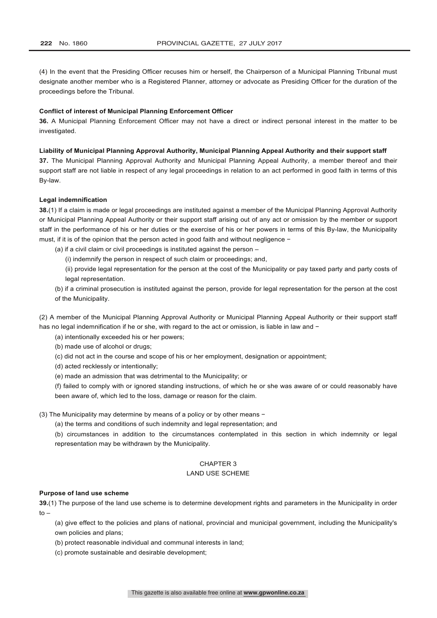(4) In the event that the Presiding Officer recuses him or herself, the Chairperson of a Municipal Planning Tribunal must designate another member who is a Registered Planner, attorney or advocate as Presiding Officer for the duration of the proceedings before the Tribunal.

### **Conflict of interest of Municipal Planning Enforcement Officer**

**36.** A Municipal Planning Enforcement Officer may not have a direct or indirect personal interest in the matter to be investigated.

### **Liability of Municipal Planning Approval Authority, Municipal Planning Appeal Authority and their support staff**

**37.** The Municipal Planning Approval Authority and Municipal Planning Appeal Authority, a member thereof and their support staff are not liable in respect of any legal proceedings in relation to an act performed in good faith in terms of this By-law.

### **Legal indemnification**

**38.**(1) If a claim is made or legal proceedings are instituted against a member of the Municipal Planning Approval Authority or Municipal Planning Appeal Authority or their support staff arising out of any act or omission by the member or support staff in the performance of his or her duties or the exercise of his or her powers in terms of this By-law, the Municipality must, if it is of the opinion that the person acted in good faith and without negligence −

- (a) if a civil claim or civil proceedings is instituted against the person
	- (i) indemnify the person in respect of such claim or proceedings; and,
	- (ii) provide legal representation for the person at the cost of the Municipality or pay taxed party and party costs of legal representation.
- (b) if a criminal prosecution is instituted against the person, provide for legal representation for the person at the cost of the Municipality.

(2) A member of the Municipal Planning Approval Authority or Municipal Planning Appeal Authority or their support staff has no legal indemnification if he or she, with regard to the act or omission, is liable in law and −

- (a) intentionally exceeded his or her powers;
- (b) made use of alcohol or drugs;
- (c) did not act in the course and scope of his or her employment, designation or appointment;
- (d) acted recklessly or intentionally;
- (e) made an admission that was detrimental to the Municipality; or

(f) failed to comply with or ignored standing instructions, of which he or she was aware of or could reasonably have been aware of, which led to the loss, damage or reason for the claim.

- (3) The Municipality may determine by means of a policy or by other means −
	- (a) the terms and conditions of such indemnity and legal representation; and

(b) circumstances in addition to the circumstances contemplated in this section in which indemnity or legal representation may be withdrawn by the Municipality.

# CHAPTER 3

#### LAND USE SCHEME

### **Purpose of land use scheme**

**39.**(1) The purpose of the land use scheme is to determine development rights and parameters in the Municipality in order  $t_0$  –

(a) give effect to the policies and plans of national, provincial and municipal government, including the Municipality's own policies and plans;

- (b) protect reasonable individual and communal interests in land;
- (c) promote sustainable and desirable development;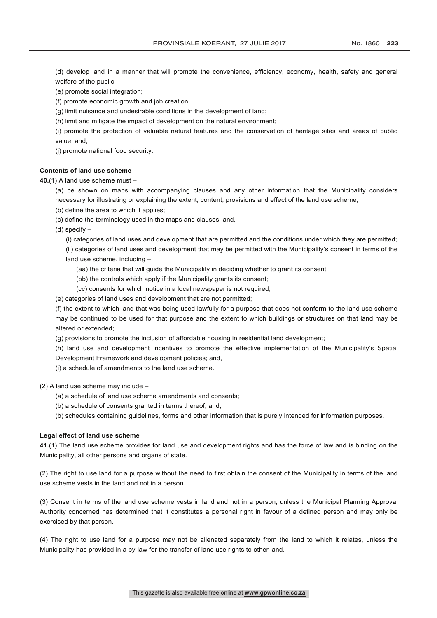(d) develop land in a manner that will promote the convenience, efficiency, economy, health, safety and general welfare of the public;

(e) promote social integration;

(f) promote economic growth and job creation;

(g) limit nuisance and undesirable conditions in the development of land;

(h) limit and mitigate the impact of development on the natural environment;

(i) promote the protection of valuable natural features and the conservation of heritage sites and areas of public value; and,

(j) promote national food security.

#### **Contents of land use scheme**

**40.**(1) A land use scheme must –

(a) be shown on maps with accompanying clauses and any other information that the Municipality considers necessary for illustrating or explaining the extent, content, provisions and effect of the land use scheme;

- (b) define the area to which it applies;
- (c) define the terminology used in the maps and clauses; and,

(d) specify –

(i) categories of land uses and development that are permitted and the conditions under which they are permitted; (ii) categories of land uses and development that may be permitted with the Municipality's consent in terms of the land use scheme, including –

- (aa) the criteria that will guide the Municipality in deciding whether to grant its consent;
- (bb) the controls which apply if the Municipality grants its consent;
- (cc) consents for which notice in a local newspaper is not required;

(e) categories of land uses and development that are not permitted;

(f) the extent to which land that was being used lawfully for a purpose that does not conform to the land use scheme may be continued to be used for that purpose and the extent to which buildings or structures on that land may be altered or extended;

(g) provisions to promote the inclusion of affordable housing in residential land development;

(h) land use and development incentives to promote the effective implementation of the Municipality's Spatial Development Framework and development policies; and,

(i) a schedule of amendments to the land use scheme.

(2) A land use scheme may include –

- (a) a schedule of land use scheme amendments and consents;
- (b) a schedule of consents granted in terms thereof; and,
- (b) schedules containing guidelines, forms and other information that is purely intended for information purposes.

#### **Legal effect of land use scheme**

**41.**(1) The land use scheme provides for land use and development rights and has the force of law and is binding on the Municipality, all other persons and organs of state.

(2) The right to use land for a purpose without the need to first obtain the consent of the Municipality in terms of the land use scheme vests in the land and not in a person.

(3) Consent in terms of the land use scheme vests in land and not in a person, unless the Municipal Planning Approval Authority concerned has determined that it constitutes a personal right in favour of a defined person and may only be exercised by that person.

(4) The right to use land for a purpose may not be alienated separately from the land to which it relates, unless the Municipality has provided in a by-law for the transfer of land use rights to other land.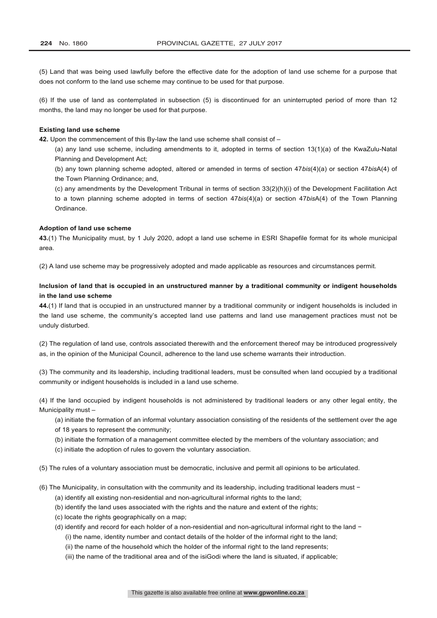(5) Land that was being used lawfully before the effective date for the adoption of land use scheme for a purpose that does not conform to the land use scheme may continue to be used for that purpose.

(6) If the use of land as contemplated in subsection (5) is discontinued for an uninterrupted period of more than 12 months, the land may no longer be used for that purpose.

#### **Existing land use scheme**

**42.** Upon the commencement of this By-law the land use scheme shall consist of –

(a) any land use scheme, including amendments to it, adopted in terms of section 13(1)(a) of the KwaZulu-Natal Planning and Development Act;

(b) any town planning scheme adopted, altered or amended in terms of section 47*bis*(4)(a) or section 47*bis*A(4) of the Town Planning Ordinance; and,

(c) any amendments by the Development Tribunal in terms of section 33(2)(h)(i) of the Development Facilitation Act to a town planning scheme adopted in terms of section 47*bis*(4)(a) or section 47*bis*A(4) of the Town Planning Ordinance.

## **Adoption of land use scheme**

**43.**(1) The Municipality must, by 1 July 2020, adopt a land use scheme in ESRI Shapefile format for its whole municipal area.

(2) A land use scheme may be progressively adopted and made applicable as resources and circumstances permit.

# **Inclusion of land that is occupied in an unstructured manner by a traditional community or indigent households in the land use scheme**

**44.**(1) If land that is occupied in an unstructured manner by a traditional community or indigent households is included in the land use scheme, the community's accepted land use patterns and land use management practices must not be unduly disturbed.

(2) The regulation of land use, controls associated therewith and the enforcement thereof may be introduced progressively as, in the opinion of the Municipal Council, adherence to the land use scheme warrants their introduction.

(3) The community and its leadership, including traditional leaders, must be consulted when land occupied by a traditional community or indigent households is included in a land use scheme.

(4) If the land occupied by indigent households is not administered by traditional leaders or any other legal entity, the Municipality must –

- (a) initiate the formation of an informal voluntary association consisting of the residents of the settlement over the age
- of 18 years to represent the community;
- (b) initiate the formation of a management committee elected by the members of the voluntary association; and
- (c) initiate the adoption of rules to govern the voluntary association.
- (5) The rules of a voluntary association must be democratic, inclusive and permit all opinions to be articulated.

(6) The Municipality, in consultation with the community and its leadership, including traditional leaders must −

- (a) identify all existing non-residential and non-agricultural informal rights to the land;
- (b) identify the land uses associated with the rights and the nature and extent of the rights;
- (c) locate the rights geographically on a map;
- (d) identify and record for each holder of a non-residential and non-agricultural informal right to the land − (i) the name, identity number and contact details of the holder of the informal right to the land;
	- (ii) the name of the household which the holder of the informal right to the land represents;
	- (iii) the name of the traditional area and of the isiGodi where the land is situated, if applicable;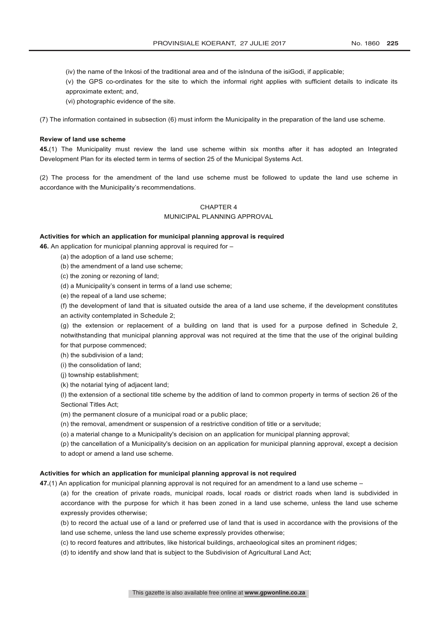(iv) the name of the Inkosi of the traditional area and of the isInduna of the isiGodi, if applicable;

(v) the GPS co-ordinates for the site to which the informal right applies with sufficient details to indicate its approximate extent; and,

(vi) photographic evidence of the site.

(7) The information contained in subsection (6) must inform the Municipality in the preparation of the land use scheme.

### **Review of land use scheme**

**45.**(1) The Municipality must review the land use scheme within six months after it has adopted an Integrated Development Plan for its elected term in terms of section 25 of the Municipal Systems Act.

(2) The process for the amendment of the land use scheme must be followed to update the land use scheme in accordance with the Municipality's recommendations.

# CHAPTER 4

#### MUNICIPAL PLANNING APPROVAL

### **Activities for which an application for municipal planning approval is required**

**46.** An application for municipal planning approval is required for –

- (a) the adoption of a land use scheme;
- (b) the amendment of a land use scheme;
- (c) the zoning or rezoning of land;

(d) a Municipality's consent in terms of a land use scheme;

(e) the repeal of a land use scheme;

(f) the development of land that is situated outside the area of a land use scheme, if the development constitutes an activity contemplated in Schedule 2;

(g) the extension or replacement of a building on land that is used for a purpose defined in Schedule 2, notwithstanding that municipal planning approval was not required at the time that the use of the original building for that purpose commenced;

(h) the subdivision of a land;

(i) the consolidation of land;

- (j) township establishment;
- (k) the notarial tying of adjacent land;

(l) the extension of a sectional title scheme by the addition of land to common property in terms of section 26 of the Sectional Titles Act;

(m) the permanent closure of a municipal road or a public place;

(n) the removal, amendment or suspension of a restrictive condition of title or a servitude;

(o) a material change to a Municipality's decision on an application for municipal planning approval;

(p) the cancellation of a Municipality's decision on an application for municipal planning approval, except a decision to adopt or amend a land use scheme.

#### **Activities for which an application for municipal planning approval is not required**

**47.**(1) An application for municipal planning approval is not required for an amendment to a land use scheme –

(a) for the creation of private roads, municipal roads, local roads or district roads when land is subdivided in accordance with the purpose for which it has been zoned in a land use scheme, unless the land use scheme expressly provides otherwise;

(b) to record the actual use of a land or preferred use of land that is used in accordance with the provisions of the land use scheme, unless the land use scheme expressly provides otherwise;

- (c) to record features and attributes, like historical buildings, archaeological sites an prominent ridges;
- (d) to identify and show land that is subject to the Subdivision of Agricultural Land Act;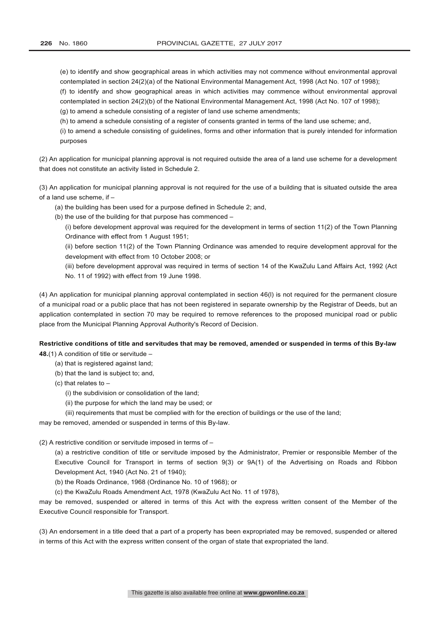(e) to identify and show geographical areas in which activities may not commence without environmental approval contemplated in section 24(2)(a) of the National Environmental Management Act, 1998 (Act No. 107 of 1998);

(f) to identify and show geographical areas in which activities may commence without environmental approval contemplated in section 24(2)(b) of the National Environmental Management Act, 1998 (Act No. 107 of 1998);

(g) to amend a schedule consisting of a register of land use scheme amendments;

(h) to amend a schedule consisting of a register of consents granted in terms of the land use scheme; and,

(i) to amend a schedule consisting of guidelines, forms and other information that is purely intended for information purposes

(2) An application for municipal planning approval is not required outside the area of a land use scheme for a development that does not constitute an activity listed in Schedule 2.

(3) An application for municipal planning approval is not required for the use of a building that is situated outside the area of a land use scheme, if –

(a) the building has been used for a purpose defined in Schedule 2; and,

(b) the use of the building for that purpose has commenced –

(i) before development approval was required for the development in terms of section 11(2) of the Town Planning Ordinance with effect from 1 August 1951;

(ii) before section 11(2) of the Town Planning Ordinance was amended to require development approval for the development with effect from 10 October 2008; or

(iii) before development approval was required in terms of section 14 of the KwaZulu Land Affairs Act, 1992 (Act No. 11 of 1992) with effect from 19 June 1998.

(4) An application for municipal planning approval contemplated in section 46(l) is not required for the permanent closure of a municipal road or a public place that has not been registered in separate ownership by the Registrar of Deeds, but an application contemplated in section 70 may be required to remove references to the proposed municipal road or public place from the Municipal Planning Approval Authority's Record of Decision.

# **Restrictive conditions of title and servitudes that may be removed, amended or suspended in terms of this By-law**

**48.**(1) A condition of title or servitude –

- (a) that is registered against land;
- (b) that the land is subject to; and,
- (c) that relates to –

(i) the subdivision or consolidation of the land;

- (ii) the purpose for which the land may be used; or
- (iii) requirements that must be complied with for the erection of buildings or the use of the land;

may be removed, amended or suspended in terms of this By-law.

(2) A restrictive condition or servitude imposed in terms of –

(a) a restrictive condition of title or servitude imposed by the Administrator, Premier or responsible Member of the Executive Council for Transport in terms of section 9(3) or 9A(1) of the Advertising on Roads and Ribbon Development Act, 1940 (Act No. 21 of 1940);

(b) the Roads Ordinance, 1968 (Ordinance No. 10 of 1968); or

(c) the KwaZulu Roads Amendment Act, 1978 (KwaZulu Act No. 11 of 1978),

may be removed, suspended or altered in terms of this Act with the express written consent of the Member of the Executive Council responsible for Transport.

(3) An endorsement in a title deed that a part of a property has been expropriated may be removed, suspended or altered in terms of this Act with the express written consent of the organ of state that expropriated the land.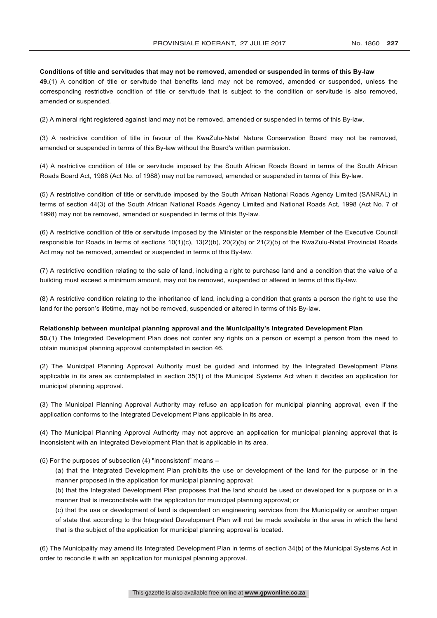#### **Conditions of title and servitudes that may not be removed, amended or suspended in terms of this By-law**

**49.**(1) A condition of title or servitude that benefits land may not be removed, amended or suspended, unless the corresponding restrictive condition of title or servitude that is subject to the condition or servitude is also removed, amended or suspended.

(2) A mineral right registered against land may not be removed, amended or suspended in terms of this By-law.

(3) A restrictive condition of title in favour of the KwaZulu-Natal Nature Conservation Board may not be removed, amended or suspended in terms of this By-law without the Board's written permission.

(4) A restrictive condition of title or servitude imposed by the South African Roads Board in terms of the South African Roads Board Act, 1988 (Act No. of 1988) may not be removed, amended or suspended in terms of this By-law.

(5) A restrictive condition of title or servitude imposed by the South African National Roads Agency Limited (SANRAL) in terms of section 44(3) of the South African National Roads Agency Limited and National Roads Act, 1998 (Act No. 7 of 1998) may not be removed, amended or suspended in terms of this By-law.

(6) A restrictive condition of title or servitude imposed by the Minister or the responsible Member of the Executive Council responsible for Roads in terms of sections 10(1)(c), 13(2)(b), 20(2)(b) or 21(2)(b) of the KwaZulu-Natal Provincial Roads Act may not be removed, amended or suspended in terms of this By-law.

(7) A restrictive condition relating to the sale of land, including a right to purchase land and a condition that the value of a building must exceed a minimum amount, may not be removed, suspended or altered in terms of this By-law.

(8) A restrictive condition relating to the inheritance of land, including a condition that grants a person the right to use the land for the person's lifetime, may not be removed, suspended or altered in terms of this By-law.

### **Relationship between municipal planning approval and the Municipality's Integrated Development Plan**

**50.**(1) The Integrated Development Plan does not confer any rights on a person or exempt a person from the need to obtain municipal planning approval contemplated in section 46.

(2) The Municipal Planning Approval Authority must be guided and informed by the Integrated Development Plans applicable in its area as contemplated in section 35(1) of the Municipal Systems Act when it decides an application for municipal planning approval.

(3) The Municipal Planning Approval Authority may refuse an application for municipal planning approval, even if the application conforms to the Integrated Development Plans applicable in its area.

(4) The Municipal Planning Approval Authority may not approve an application for municipal planning approval that is inconsistent with an Integrated Development Plan that is applicable in its area.

## (5) For the purposes of subsection (4) "inconsistent" means –

(a) that the Integrated Development Plan prohibits the use or development of the land for the purpose or in the manner proposed in the application for municipal planning approval:

(b) that the Integrated Development Plan proposes that the land should be used or developed for a purpose or in a manner that is irreconcilable with the application for municipal planning approval; or

(c) that the use or development of land is dependent on engineering services from the Municipality or another organ of state that according to the Integrated Development Plan will not be made available in the area in which the land that is the subject of the application for municipal planning approval is located.

(6) The Municipality may amend its Integrated Development Plan in terms of section 34(b) of the Municipal Systems Act in order to reconcile it with an application for municipal planning approval.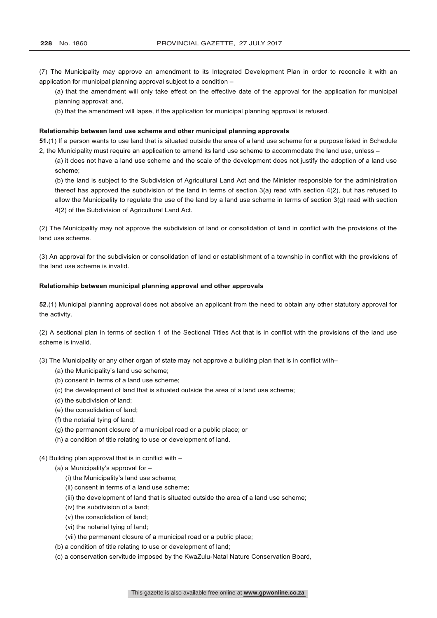(7) The Municipality may approve an amendment to its Integrated Development Plan in order to reconcile it with an application for municipal planning approval subject to a condition –

(a) that the amendment will only take effect on the effective date of the approval for the application for municipal planning approval; and,

(b) that the amendment will lapse, if the application for municipal planning approval is refused.

#### **Relationship between land use scheme and other municipal planning approvals**

**51.**(1) If a person wants to use land that is situated outside the area of a land use scheme for a purpose listed in Schedule 2, the Municipality must require an application to amend its land use scheme to accommodate the land use, unless –

(a) it does not have a land use scheme and the scale of the development does not justify the adoption of a land use scheme;

(b) the land is subject to the Subdivision of Agricultural Land Act and the Minister responsible for the administration thereof has approved the subdivision of the land in terms of section 3(a) read with section 4(2), but has refused to allow the Municipality to regulate the use of the land by a land use scheme in terms of section 3(g) read with section 4(2) of the Subdivision of Agricultural Land Act.

(2) The Municipality may not approve the subdivision of land or consolidation of land in conflict with the provisions of the land use scheme.

(3) An approval for the subdivision or consolidation of land or establishment of a township in conflict with the provisions of the land use scheme is invalid.

## **Relationship between municipal planning approval and other approvals**

**52.**(1) Municipal planning approval does not absolve an applicant from the need to obtain any other statutory approval for the activity.

(2) A sectional plan in terms of section 1 of the Sectional Titles Act that is in conflict with the provisions of the land use scheme is invalid.

(3) The Municipality or any other organ of state may not approve a building plan that is in conflict with–

- (a) the Municipality's land use scheme;
- (b) consent in terms of a land use scheme;
- (c) the development of land that is situated outside the area of a land use scheme;
- (d) the subdivision of land;
- (e) the consolidation of land;
- (f) the notarial tying of land;
- (g) the permanent closure of a municipal road or a public place; or
- (h) a condition of title relating to use or development of land.

(4) Building plan approval that is in conflict with –

- (a) a Municipality's approval for
	- (i) the Municipality's land use scheme;
	- (ii) consent in terms of a land use scheme;
	- (iii) the development of land that is situated outside the area of a land use scheme;
	- (iv) the subdivision of a land;
	- (v) the consolidation of land;
	- (vi) the notarial tying of land;
	- (vii) the permanent closure of a municipal road or a public place;
- (b) a condition of title relating to use or development of land;
- (c) a conservation servitude imposed by the KwaZulu-Natal Nature Conservation Board,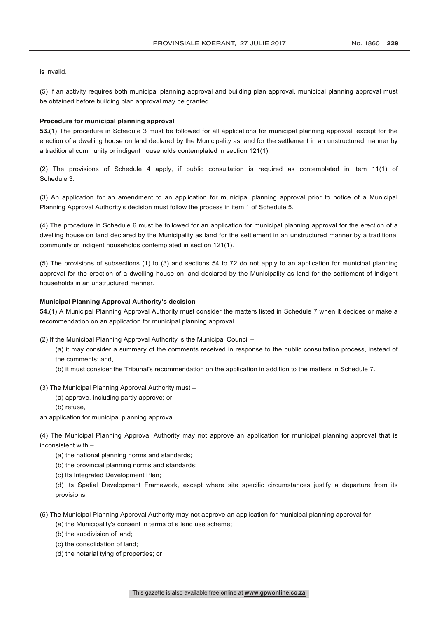is invalid.

(5) If an activity requires both municipal planning approval and building plan approval, municipal planning approval must be obtained before building plan approval may be granted.

#### **Procedure for municipal planning approval**

**53.**(1) The procedure in Schedule 3 must be followed for all applications for municipal planning approval, except for the erection of a dwelling house on land declared by the Municipality as land for the settlement in an unstructured manner by a traditional community or indigent households contemplated in section 121(1).

(2) The provisions of Schedule 4 apply, if public consultation is required as contemplated in item 11(1) of Schedule 3.

(3) An application for an amendment to an application for municipal planning approval prior to notice of a Municipal Planning Approval Authority's decision must follow the process in item 1 of Schedule 5.

(4) The procedure in Schedule 6 must be followed for an application for municipal planning approval for the erection of a dwelling house on land declared by the Municipality as land for the settlement in an unstructured manner by a traditional community or indigent households contemplated in section 121(1).

(5) The provisions of subsections (1) to (3) and sections 54 to 72 do not apply to an application for municipal planning approval for the erection of a dwelling house on land declared by the Municipality as land for the settlement of indigent households in an unstructured manner.

# **Municipal Planning Approval Authority's decision**

**54.**(1) A Municipal Planning Approval Authority must consider the matters listed in Schedule 7 when it decides or make a recommendation on an application for municipal planning approval.

(2) If the Municipal Planning Approval Authority is the Municipal Council –

- (a) it may consider a summary of the comments received in response to the public consultation process, instead of the comments; and,
- (b) it must consider the Tribunal's recommendation on the application in addition to the matters in Schedule 7.

(3) The Municipal Planning Approval Authority must –

- (a) approve, including partly approve; or
	- (b) refuse,

an application for municipal planning approval.

(4) The Municipal Planning Approval Authority may not approve an application for municipal planning approval that is inconsistent with –

- (a) the national planning norms and standards;
- (b) the provincial planning norms and standards;
- (c) Its Integrated Development Plan;

(d) its Spatial Development Framework, except where site specific circumstances justify a departure from its provisions.

- (5) The Municipal Planning Approval Authority may not approve an application for municipal planning approval for
	- (a) the Municipality's consent in terms of a land use scheme;
	- (b) the subdivision of land;
	- (c) the consolidation of land;
	- (d) the notarial tying of properties; or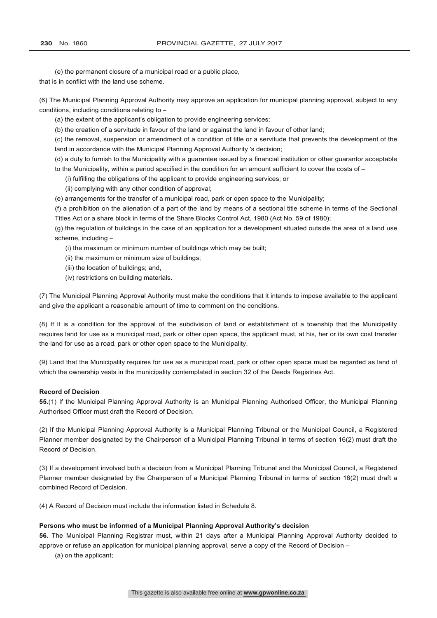(e) the permanent closure of a municipal road or a public place, that is in conflict with the land use scheme.

(6) The Municipal Planning Approval Authority may approve an application for municipal planning approval, subject to any conditions, including conditions relating to -

(a) the extent of the applicant's obligation to provide engineering services;

(b) the creation of a servitude in favour of the land or against the land in favour of other land;

(c) the removal, suspension or amendment of a condition of title or a servitude that prevents the development of the land in accordance with the Municipal Planning Approval Authority 's decision;

(d) a duty to furnish to the Municipality with a guarantee issued by a financial institution or other guarantor acceptable to the Municipality, within a period specified in the condition for an amount sufficient to cover the costs of –

- (i) fulfilling the obligations of the applicant to provide engineering services; or
- (ii) complying with any other condition of approval;

(e) arrangements for the transfer of a municipal road, park or open space to the Municipality;

(f) a prohibition on the alienation of a part of the land by means of a sectional title scheme in terms of the Sectional Titles Act or a share block in terms of the Share Blocks Control Act, 1980 (Act No. 59 of 1980);

(g) the regulation of buildings in the case of an application for a development situated outside the area of a land use scheme, including –

- (i) the maximum or minimum number of buildings which may be built;
- (ii) the maximum or minimum size of buildings;
- (iii) the location of buildings; and,
- (iv) restrictions on building materials.

(7) The Municipal Planning Approval Authority must make the conditions that it intends to impose available to the applicant and give the applicant a reasonable amount of time to comment on the conditions.

(8) If it is a condition for the approval of the subdivision of land or establishment of a township that the Municipality requires land for use as a municipal road, park or other open space, the applicant must, at his, her or its own cost transfer the land for use as a road, park or other open space to the Municipality.

(9) Land that the Municipality requires for use as a municipal road, park or other open space must be regarded as land of which the ownership vests in the municipality contemplated in section 32 of the Deeds Registries Act.

### **Record of Decision**

**55.**(1) If the Municipal Planning Approval Authority is an Municipal Planning Authorised Officer, the Municipal Planning Authorised Officer must draft the Record of Decision.

(2) If the Municipal Planning Approval Authority is a Municipal Planning Tribunal or the Municipal Council, a Registered Planner member designated by the Chairperson of a Municipal Planning Tribunal in terms of section 16(2) must draft the Record of Decision.

(3) If a development involved both a decision from a Municipal Planning Tribunal and the Municipal Council, a Registered Planner member designated by the Chairperson of a Municipal Planning Tribunal in terms of section 16(2) must draft a combined Record of Decision.

(4) A Record of Decision must include the information listed in Schedule 8.

## **Persons who must be informed of a Municipal Planning Approval Authority's decision**

**56.** The Municipal Planning Registrar must, within 21 days after a Municipal Planning Approval Authority decided to approve or refuse an application for municipal planning approval, serve a copy of the Record of Decision –

(a) on the applicant;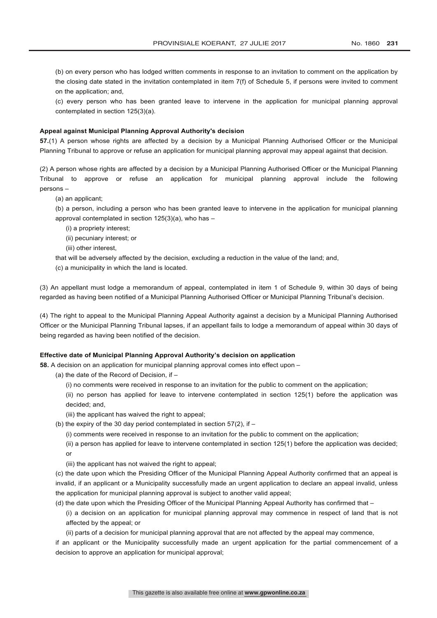(b) on every person who has lodged written comments in response to an invitation to comment on the application by the closing date stated in the invitation contemplated in item 7(f) of Schedule 5, if persons were invited to comment on the application; and,

(c) every person who has been granted leave to intervene in the application for municipal planning approval contemplated in section 125(3)(a).

#### **Appeal against Municipal Planning Approval Authority's decision**

**57.**(1) A person whose rights are affected by a decision by a Municipal Planning Authorised Officer or the Municipal Planning Tribunal to approve or refuse an application for municipal planning approval may appeal against that decision.

(2) A person whose rights are affected by a decision by a Municipal Planning Authorised Officer or the Municipal Planning Tribunal to approve or refuse an application for municipal planning approval include the following persons –

(a) an applicant;

(b) a person, including a person who has been granted leave to intervene in the application for municipal planning approval contemplated in section 125(3)(a), who has –

- (i) a propriety interest;
- (ii) pecuniary interest; or
- (iii) other interest,
- that will be adversely affected by the decision, excluding a reduction in the value of the land; and,
- (c) a municipality in which the land is located.

(3) An appellant must lodge a memorandum of appeal, contemplated in item 1 of Schedule 9, within 30 days of being regarded as having been notified of a Municipal Planning Authorised Officer or Municipal Planning Tribunal's decision.

(4) The right to appeal to the Municipal Planning Appeal Authority against a decision by a Municipal Planning Authorised Officer or the Municipal Planning Tribunal lapses, if an appellant fails to lodge a memorandum of appeal within 30 days of being regarded as having been notified of the decision.

## **Effective date of Municipal Planning Approval Authority's decision on application**

**58.** A decision on an application for municipal planning approval comes into effect upon –

(a) the date of the Record of Decision, if –

(i) no comments were received in response to an invitation for the public to comment on the application;

(ii) no person has applied for leave to intervene contemplated in section 125(1) before the application was decided; and,

(iii) the applicant has waived the right to appeal;

- (b) the expiry of the 30 day period contemplated in section  $57(2)$ , if
	- (i) comments were received in response to an invitation for the public to comment on the application;

(ii) a person has applied for leave to intervene contemplated in section 125(1) before the application was decided; or

(iii) the applicant has not waived the right to appeal;

(c) the date upon which the Presiding Officer of the Municipal Planning Appeal Authority confirmed that an appeal is invalid, if an applicant or a Municipality successfully made an urgent application to declare an appeal invalid, unless the application for municipal planning approval is subject to another valid appeal;

- (d) the date upon which the Presiding Officer of the Municipal Planning Appeal Authority has confirmed that
	- (i) a decision on an application for municipal planning approval may commence in respect of land that is not affected by the appeal; or
	- (ii) parts of a decision for municipal planning approval that are not affected by the appeal may commence,

if an applicant or the Municipality successfully made an urgent application for the partial commencement of a decision to approve an application for municipal approval;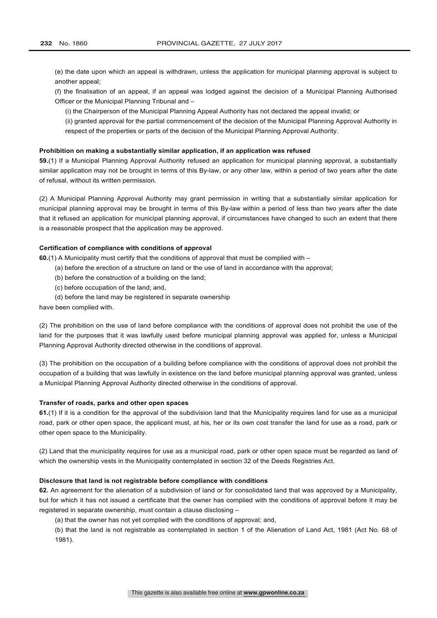(e) the date upon which an appeal is withdrawn, unless the application for municipal planning approval is subject to another appeal;

(f) the finalisation of an appeal, if an appeal was lodged against the decision of a Municipal Planning Authorised Officer or the Municipal Planning Tribunal and –

(i) the Chairperson of the Municipal Planning Appeal Authority has not declared the appeal invalid; or

(ii) granted approval for the partial commencement of the decision of the Municipal Planning Approval Authority in respect of the properties or parts of the decision of the Municipal Planning Approval Authority.

## **Prohibition on making a substantially similar application, if an application was refused**

**59.**(1) If a Municipal Planning Approval Authority refused an application for municipal planning approval, a substantially similar application may not be brought in terms of this By-law, or any other law, within a period of two years after the date of refusal, without its written permission.

(2) A Municipal Planning Approval Authority may grant permission in writing that a substantially similar application for municipal planning approval may be brought in terms of this By-law within a period of less than two years after the date that it refused an application for municipal planning approval, if circumstances have changed to such an extent that there is a reasonable prospect that the application may be approved.

## **Certification of compliance with conditions of approval**

**60.**(1) A Municipality must certify that the conditions of approval that must be complied with –

- (a) before the erection of a structure on land or the use of land in accordance with the approval;
- (b) before the construction of a building on the land;
- (c) before occupation of the land; and,
- (d) before the land may be registered in separate ownership

have been complied with.

(2) The prohibition on the use of land before compliance with the conditions of approval does not prohibit the use of the land for the purposes that it was lawfully used before municipal planning approval was applied for, unless a Municipal Planning Approval Authority directed otherwise in the conditions of approval.

(3) The prohibition on the occupation of a building before compliance with the conditions of approval does not prohibit the occupation of a building that was lawfully in existence on the land before municipal planning approval was granted, unless a Municipal Planning Approval Authority directed otherwise in the conditions of approval.

#### **Transfer of roads, parks and other open spaces**

**61.**(1) If it is a condition for the approval of the subdivision land that the Municipality requires land for use as a municipal road, park or other open space, the applicant must, at his, her or its own cost transfer the land for use as a road, park or other open space to the Municipality.

(2) Land that the municipality requires for use as a municipal road, park or other open space must be regarded as land of which the ownership vests in the Municipality contemplated in section 32 of the Deeds Registries Act.

#### **Disclosure that land is not registrable before compliance with conditions**

**62.** An agreement for the alienation of a subdivision of land or for consolidated land that was approved by a Municipality, but for which it has not issued a certificate that the owner has complied with the conditions of approval before it may be registered in separate ownership, must contain a clause disclosing –

(a) that the owner has not yet complied with the conditions of approval; and,

(b) that the land is not registrable as contemplated in section 1 of the Alienation of Land Act, 1981 (Act No. 68 of 1981).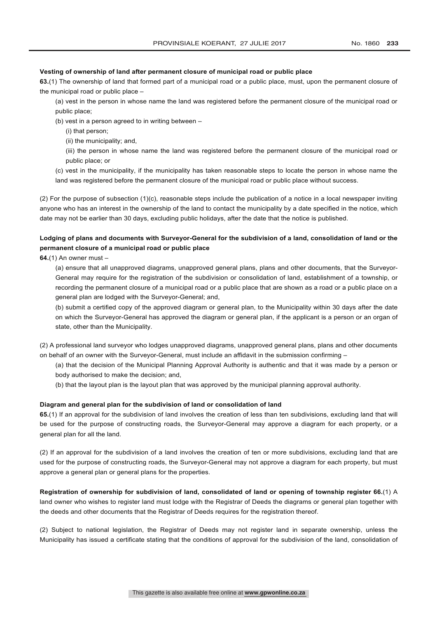#### **Vesting of ownership of land after permanent closure of municipal road or public place**

**63.**(1) The ownership of land that formed part of a municipal road or a public place, must, upon the permanent closure of the municipal road or public place –

- (a) vest in the person in whose name the land was registered before the permanent closure of the municipal road or public place;
- (b) vest in a person agreed to in writing between
	- (i) that person;
	- (ii) the municipality; and,
	- (iii) the person in whose name the land was registered before the permanent closure of the municipal road or public place; or
- (c) vest in the municipality, if the municipality has taken reasonable steps to locate the person in whose name the land was registered before the permanent closure of the municipal road or public place without success.

(2) For the purpose of subsection (1)(c), reasonable steps include the publication of a notice in a local newspaper inviting anyone who has an interest in the ownership of the land to contact the municipality by a date specified in the notice, which date may not be earlier than 30 days, excluding public holidays, after the date that the notice is published.

# **Lodging of plans and documents with Surveyor-General for the subdivision of a land, consolidation of land or the permanent closure of a municipal road or public place**

**64.**(1) An owner must –

(a) ensure that all unapproved diagrams, unapproved general plans, plans and other documents, that the Surveyor-General may require for the registration of the subdivision or consolidation of land, establishment of a township, or recording the permanent closure of a municipal road or a public place that are shown as a road or a public place on a general plan are lodged with the Surveyor-General; and,

(b) submit a certified copy of the approved diagram or general plan, to the Municipality within 30 days after the date on which the Surveyor-General has approved the diagram or general plan, if the applicant is a person or an organ of state, other than the Municipality.

(2) A professional land surveyor who lodges unapproved diagrams, unapproved general plans, plans and other documents on behalf of an owner with the Surveyor-General, must include an affidavit in the submission confirming –

(a) that the decision of the Municipal Planning Approval Authority is authentic and that it was made by a person or body authorised to make the decision; and,

(b) that the layout plan is the layout plan that was approved by the municipal planning approval authority.

## **Diagram and general plan for the subdivision of land or consolidation of land**

**65.**(1) If an approval for the subdivision of land involves the creation of less than ten subdivisions, excluding land that will be used for the purpose of constructing roads, the Surveyor-General may approve a diagram for each property, or a general plan for all the land.

(2) If an approval for the subdivision of a land involves the creation of ten or more subdivisions, excluding land that are used for the purpose of constructing roads, the Surveyor-General may not approve a diagram for each property, but must approve a general plan or general plans for the properties.

**Registration of ownership for subdivision of land, consolidated of land or opening of township register 66.**(1) A land owner who wishes to register land must lodge with the Registrar of Deeds the diagrams or general plan together with the deeds and other documents that the Registrar of Deeds requires for the registration thereof.

(2) Subject to national legislation, the Registrar of Deeds may not register land in separate ownership, unless the Municipality has issued a certificate stating that the conditions of approval for the subdivision of the land, consolidation of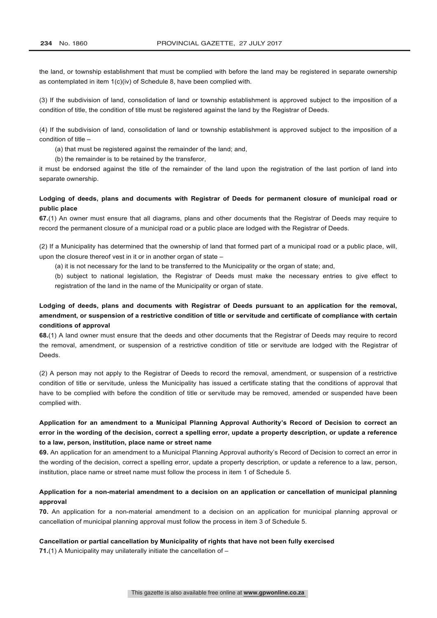the land, or township establishment that must be complied with before the land may be registered in separate ownership as contemplated in item 1(c)(iv) of Schedule 8, have been complied with.

(3) If the subdivision of land, consolidation of land or township establishment is approved subject to the imposition of a condition of title, the condition of title must be registered against the land by the Registrar of Deeds.

(4) If the subdivision of land, consolidation of land or township establishment is approved subject to the imposition of a condition of title –

(a) that must be registered against the remainder of the land; and,

(b) the remainder is to be retained by the transferor,

it must be endorsed against the title of the remainder of the land upon the registration of the last portion of land into separate ownership.

# **Lodging of deeds, plans and documents with Registrar of Deeds for permanent closure of municipal road or public place**

**67.**(1) An owner must ensure that all diagrams, plans and other documents that the Registrar of Deeds may require to record the permanent closure of a municipal road or a public place are lodged with the Registrar of Deeds.

(2) If a Municipality has determined that the ownership of land that formed part of a municipal road or a public place, will, upon the closure thereof vest in it or in another organ of state –

(a) it is not necessary for the land to be transferred to the Municipality or the organ of state; and,

(b) subject to national legislation, the Registrar of Deeds must make the necessary entries to give effect to registration of the land in the name of the Municipality or organ of state.

# **Lodging of deeds, plans and documents with Registrar of Deeds pursuant to an application for the removal, amendment, or suspension of a restrictive condition of title or servitude and certificate of compliance with certain conditions of approval**

**68.**(1) A land owner must ensure that the deeds and other documents that the Registrar of Deeds may require to record the removal, amendment, or suspension of a restrictive condition of title or servitude are lodged with the Registrar of Deeds.

(2) A person may not apply to the Registrar of Deeds to record the removal, amendment, or suspension of a restrictive condition of title or servitude, unless the Municipality has issued a certificate stating that the conditions of approval that have to be complied with before the condition of title or servitude may be removed, amended or suspended have been complied with.

# **Application for an amendment to a Municipal Planning Approval Authority's Record of Decision to correct an error in the wording of the decision, correct a spelling error, update a property description, or update a reference to a law, person, institution, place name or street name**

**69.** An application for an amendment to a Municipal Planning Approval authority's Record of Decision to correct an error in the wording of the decision, correct a spelling error, update a property description, or update a reference to a law, person, institution, place name or street name must follow the process in item 1 of Schedule 5.

# **Application for a non-material amendment to a decision on an application or cancellation of municipal planning approval**

**70.** An application for a non-material amendment to a decision on an application for municipal planning approval or cancellation of municipal planning approval must follow the process in item 3 of Schedule 5.

## **Cancellation or partial cancellation by Municipality of rights that have not been fully exercised**

**71.**(1) A Municipality may unilaterally initiate the cancellation of –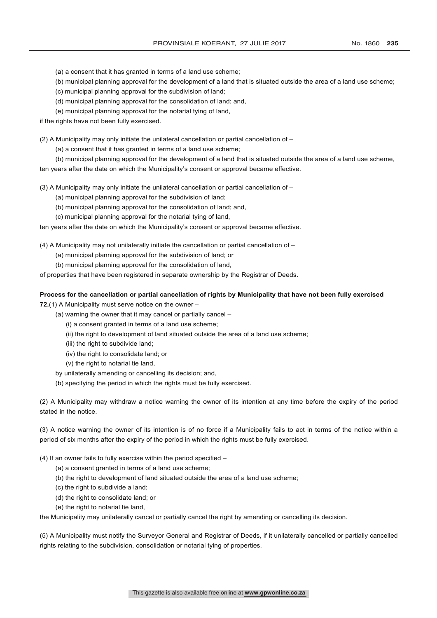- (a) a consent that it has granted in terms of a land use scheme;
- (b) municipal planning approval for the development of a land that is situated outside the area of a land use scheme;
- (c) municipal planning approval for the subdivision of land;
- (d) municipal planning approval for the consolidation of land; and,
- (e) municipal planning approval for the notarial tying of land,

if the rights have not been fully exercised.

(2) A Municipality may only initiate the unilateral cancellation or partial cancellation of –

- (a) a consent that it has granted in terms of a land use scheme;
- (b) municipal planning approval for the development of a land that is situated outside the area of a land use scheme,

ten years after the date on which the Municipality's consent or approval became effective.

(3) A Municipality may only initiate the unilateral cancellation or partial cancellation of –

- (a) municipal planning approval for the subdivision of land;
- (b) municipal planning approval for the consolidation of land; and,
- (c) municipal planning approval for the notarial tying of land,

ten years after the date on which the Municipality's consent or approval became effective.

- (4) A Municipality may not unilaterally initiate the cancellation or partial cancellation of
	- (a) municipal planning approval for the subdivision of land; or
	- (b) municipal planning approval for the consolidation of land,

of properties that have been registered in separate ownership by the Registrar of Deeds.

## **Process for the cancellation or partial cancellation of rights by Municipality that have not been fully exercised**

**72.**(1) A Municipality must serve notice on the owner –

- (a) warning the owner that it may cancel or partially cancel
	- (i) a consent granted in terms of a land use scheme;
	- (ii) the right to development of land situated outside the area of a land use scheme;
	- (iii) the right to subdivide land;
	- (iv) the right to consolidate land; or
	- (v) the right to notarial tie land,
- by unilaterally amending or cancelling its decision; and,
- (b) specifying the period in which the rights must be fully exercised.

(2) A Municipality may withdraw a notice warning the owner of its intention at any time before the expiry of the period stated in the notice.

(3) A notice warning the owner of its intention is of no force if a Municipality fails to act in terms of the notice within a period of six months after the expiry of the period in which the rights must be fully exercised.

- (4) If an owner fails to fully exercise within the period specified
	- (a) a consent granted in terms of a land use scheme;
	- (b) the right to development of land situated outside the area of a land use scheme;
	- (c) the right to subdivide a land;
	- (d) the right to consolidate land; or
	- (e) the right to notarial tie land,

the Municipality may unilaterally cancel or partially cancel the right by amending or cancelling its decision.

(5) A Municipality must notify the Surveyor General and Registrar of Deeds, if it unilaterally cancelled or partially cancelled rights relating to the subdivision, consolidation or notarial tying of properties.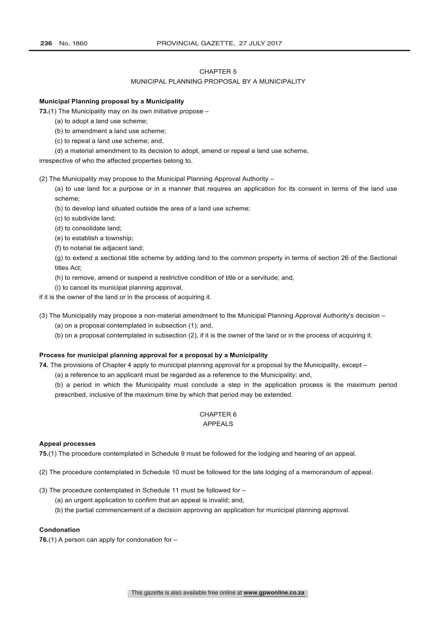#### CHAPTER 5

#### MUNICIPAL PLANNING PROPOSAL BY A MUNICIPALITY

#### **Municipal Planning proposal by a Municipality**

**73.**(1) The Municipality may on its own initiative propose –

- (a) to adopt a land use scheme;
- (b) to amendment a land use scheme;
- (c) to repeal a land use scheme; and,
- (d) a material amendment to its decision to adopt, amend or repeal a land use scheme,

irrespective of who the affected properties belong to.

(2) The Municipality may propose to the Municipal Planning Approval Authority –

(a) to use land for a purpose or in a manner that requires an application for its consent in terms of the land use scheme;

(b) to develop land situated outside the area of a land use scheme;

(c) to subdivide land;

(d) to consolidate land;

(e) to establish a township;

(f) to notarial tie adjacent land;

(g) to extend a sectional title scheme by adding land to the common property in terms of section 26 of the Sectional titles Act;

(h) to remove, amend or suspend a restrictive condition of title or a servitude; and,

(i) to cancel its municipal planning approval,

if it is the owner of the land or in the process of acquiring it.

(3) The Municipality may propose a non-material amendment to the Municipal Planning Approval Authority's decision –

(a) on a proposal contemplated in subsection (1); and,

(b) on a proposal contemplated in subsection (2), if it is the owner of the land or in the process of acquiring it.

#### **Process for municipal planning approval for a proposal by a Municipality**

**74.** The provisions of Chapter 4 apply to municipal planning approval for a proposal by the Municipality, except –

(a) a reference to an applicant must be regarded as a reference to the Municipality; and,

(b) a period in which the Municipality must conclude a step in the application process is the maximum period prescribed, inclusive of the maximum time by which that period may be extended.

## CHAPTER 6

## APPEALS

#### **Appeal processes**

**75.**(1) The procedure contemplated in Schedule 9 must be followed for the lodging and hearing of an appeal.

- (2) The procedure contemplated in Schedule 10 must be followed for the late lodging of a memorandum of appeal.
- (3) The procedure contemplated in Schedule 11 must be followed for
	- (a) an urgent application to confirm that an appeal is invalid; and,
	- (b) the partial commencement of a decision approving an application for municipal planning approval.

#### **Condonation**

**76.**(1) A person can apply for condonation for –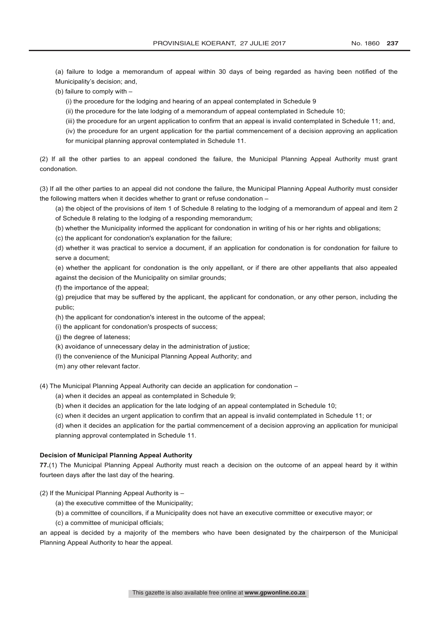(a) failure to lodge a memorandum of appeal within 30 days of being regarded as having been notified of the Municipality's decision; and,

(b) failure to comply with –

(i) the procedure for the lodging and hearing of an appeal contemplated in Schedule 9

(ii) the procedure for the late lodging of a memorandum of appeal contemplated in Schedule 10;

(iii) the procedure for an urgent application to confirm that an appeal is invalid contemplated in Schedule 11; and,

(iv) the procedure for an urgent application for the partial commencement of a decision approving an application for municipal planning approval contemplated in Schedule 11.

(2) If all the other parties to an appeal condoned the failure, the Municipal Planning Appeal Authority must grant condonation.

(3) If all the other parties to an appeal did not condone the failure, the Municipal Planning Appeal Authority must consider the following matters when it decides whether to grant or refuse condonation –

(a) the object of the provisions of item 1 of Schedule 8 relating to the lodging of a memorandum of appeal and item 2 of Schedule 8 relating to the lodging of a responding memorandum;

(b) whether the Municipality informed the applicant for condonation in writing of his or her rights and obligations;

(c) the applicant for condonation's explanation for the failure;

(d) whether it was practical to service a document, if an application for condonation is for condonation for failure to serve a document;

(e) whether the applicant for condonation is the only appellant, or if there are other appellants that also appealed against the decision of the Municipality on similar grounds;

(f) the importance of the appeal;

(g) prejudice that may be suffered by the applicant, the applicant for condonation, or any other person, including the public;

(h) the applicant for condonation's interest in the outcome of the appeal;

(i) the applicant for condonation's prospects of success;

- (j) the degree of lateness;
- (k) avoidance of unnecessary delay in the administration of justice;
- (l) the convenience of the Municipal Planning Appeal Authority; and
- (m) any other relevant factor.

(4) The Municipal Planning Appeal Authority can decide an application for condonation –

(a) when it decides an appeal as contemplated in Schedule 9;

(b) when it decides an application for the late lodging of an appeal contemplated in Schedule 10;

(c) when it decides an urgent application to confirm that an appeal is invalid contemplated in Schedule 11; or

(d) when it decides an application for the partial commencement of a decision approving an application for municipal planning approval contemplated in Schedule 11.

#### **Decision of Municipal Planning Appeal Authority**

**77.**(1) The Municipal Planning Appeal Authority must reach a decision on the outcome of an appeal heard by it within fourteen days after the last day of the hearing.

- (2) If the Municipal Planning Appeal Authority is
	- (a) the executive committee of the Municipality;
	- (b) a committee of councillors, if a Municipality does not have an executive committee or executive mayor; or
	- (c) a committee of municipal officials;

an appeal is decided by a majority of the members who have been designated by the chairperson of the Municipal Planning Appeal Authority to hear the appeal.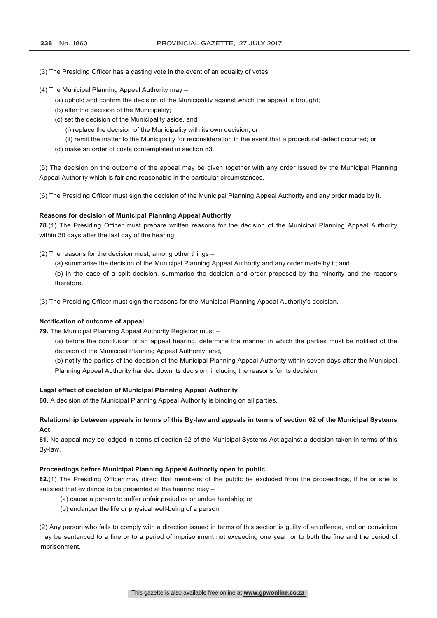(3) The Presiding Officer has a casting vote in the event of an equality of votes.

(4) The Municipal Planning Appeal Authority may –

- (a) uphold and confirm the decision of the Municipality against which the appeal is brought;
- (b) alter the decision of the Municipality;
- (c) set the decision of the Municipality aside, and
	- (i) replace the decision of the Municipality with its own decision; or
	- (ii) remit the matter to the Municipality for reconsideration in the event that a procedural defect occurred; or
- (d) make an order of costs contemplated in section 83.

(5) The decision on the outcome of the appeal may be given together with any order issued by the Municipal Planning Appeal Authority which is fair and reasonable in the particular circumstances.

(6) The Presiding Officer must sign the decision of the Municipal Planning Appeal Authority and any order made by it.

#### **Reasons for decision of Municipal Planning Appeal Authority**

**78.**(1) The Presiding Officer must prepare written reasons for the decision of the Municipal Planning Appeal Authority within 30 days after the last day of the hearing.

- (2) The reasons for the decision must, among other things
	- (a) summarise the decision of the Municipal Planning Appeal Authority and any order made by it; and

(b) in the case of a split decision, summarise the decision and order proposed by the minority and the reasons therefore.

(3) The Presiding Officer must sign the reasons for the Municipal Planning Appeal Authority's decision.

#### **Notification of outcome of appeal**

**79.** The Municipal Planning Appeal Authority Registrar must –

(a) before the conclusion of an appeal hearing, determine the manner in which the parties must be notified of the decision of the Municipal Planning Appeal Authority; and,

(b) notify the parties of the decision of the Municipal Planning Appeal Authority within seven days after the Municipal Planning Appeal Authority handed down its decision, including the reasons for its decision.

#### **Legal effect of decision of Municipal Planning Appeal Authority**

**80**. A decision of the Municipal Planning Appeal Authority is binding on all parties.

#### **Relationship between appeals in terms of this By-law and appeals in terms of section 62 of the Municipal Systems Act**

**81.** No appeal may be lodged in terms of section 62 of the Municipal Systems Act against a decision taken in terms of this By-law.

#### **Proceedings before Municipal Planning Appeal Authority open to public**

**82.**(1) The Presiding Officer may direct that members of the public be excluded from the proceedings, if he or she is satisfied that evidence to be presented at the hearing may –

- (a) cause a person to suffer unfair prejudice or undue hardship; or
- (b) endanger the life or physical well-being of a person.

(2) Any person who fails to comply with a direction issued in terms of this section is guilty of an offence, and on conviction may be sentenced to a fine or to a period of imprisonment not exceeding one year, or to both the fine and the period of imprisonment.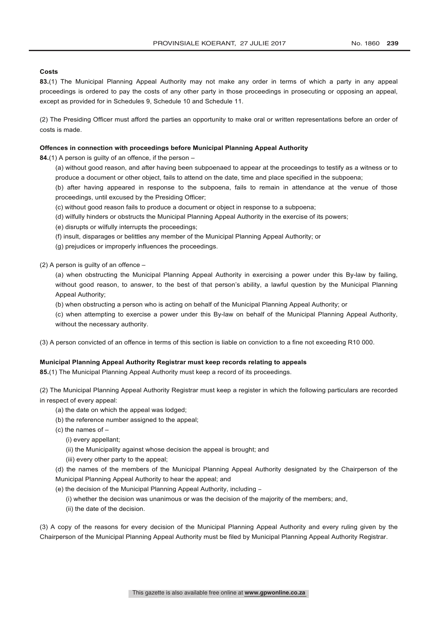#### **Costs**

**83.**(1) The Municipal Planning Appeal Authority may not make any order in terms of which a party in any appeal proceedings is ordered to pay the costs of any other party in those proceedings in prosecuting or opposing an appeal, except as provided for in Schedules 9, Schedule 10 and Schedule 11.

(2) The Presiding Officer must afford the parties an opportunity to make oral or written representations before an order of costs is made.

#### **Offences in connection with proceedings before Municipal Planning Appeal Authority**

**84.**(1) A person is guilty of an offence, if the person –

- (a) without good reason, and after having been subpoenaed to appear at the proceedings to testify as a witness or to produce a document or other object, fails to attend on the date, time and place specified in the subpoena;
- (b) after having appeared in response to the subpoena, fails to remain in attendance at the venue of those proceedings, until excused by the Presiding Officer;
- (c) without good reason fails to produce a document or object in response to a subpoena;
- (d) wilfully hinders or obstructs the Municipal Planning Appeal Authority in the exercise of its powers;
- (e) disrupts or wilfully interrupts the proceedings;
- (f) insult, disparages or belittles any member of the Municipal Planning Appeal Authority; or
- (g) prejudices or improperly influences the proceedings.

(2) A person is guilty of an offence –

(a) when obstructing the Municipal Planning Appeal Authority in exercising a power under this By-law by failing, without good reason, to answer, to the best of that person's ability, a lawful question by the Municipal Planning Appeal Authority;

(b) when obstructing a person who is acting on behalf of the Municipal Planning Appeal Authority; or

(c) when attempting to exercise a power under this By-law on behalf of the Municipal Planning Appeal Authority, without the necessary authority.

(3) A person convicted of an offence in terms of this section is liable on conviction to a fine not exceeding R10 000.

#### **Municipal Planning Appeal Authority Registrar must keep records relating to appeals**

**85.**(1) The Municipal Planning Appeal Authority must keep a record of its proceedings.

(2) The Municipal Planning Appeal Authority Registrar must keep a register in which the following particulars are recorded in respect of every appeal:

- (a) the date on which the appeal was lodged:
- (b) the reference number assigned to the appeal;
- (c) the names of
	- (i) every appellant;
	- (ii) the Municipality against whose decision the appeal is brought; and
	- (iii) every other party to the appeal;

(d) the names of the members of the Municipal Planning Appeal Authority designated by the Chairperson of the Municipal Planning Appeal Authority to hear the appeal; and

- (e) the decision of the Municipal Planning Appeal Authority, including
	- (i) whether the decision was unanimous or was the decision of the majority of the members; and,
	- (ii) the date of the decision.

(3) A copy of the reasons for every decision of the Municipal Planning Appeal Authority and every ruling given by the Chairperson of the Municipal Planning Appeal Authority must be filed by Municipal Planning Appeal Authority Registrar.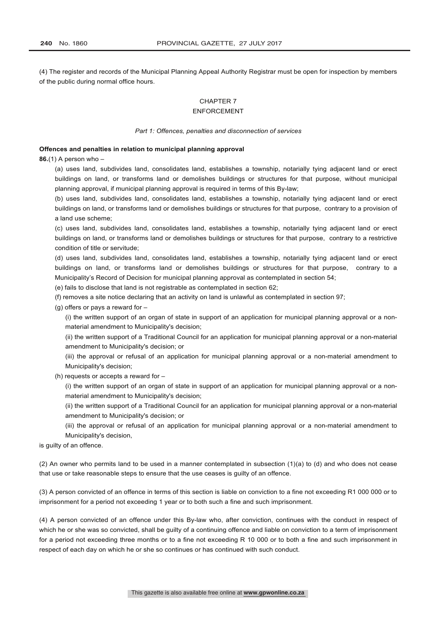(4) The register and records of the Municipal Planning Appeal Authority Registrar must be open for inspection by members of the public during normal office hours.

### CHAPTER 7 ENFORCEMENT

#### *Part 1: Offences, penalties and disconnection of services*

#### **Offences and penalties in relation to municipal planning approval**

**86.**(1) A person who –

(a) uses land, subdivides land, consolidates land, establishes a township, notarially tying adjacent land or erect buildings on land, or transforms land or demolishes buildings or structures for that purpose, without municipal planning approval, if municipal planning approval is required in terms of this By-law;

(b) uses land, subdivides land, consolidates land, establishes a township, notarially tying adjacent land or erect buildings on land, or transforms land or demolishes buildings or structures for that purpose, contrary to a provision of a land use scheme;

(c) uses land, subdivides land, consolidates land, establishes a township, notarially tying adjacent land or erect buildings on land, or transforms land or demolishes buildings or structures for that purpose, contrary to a restrictive condition of title or servitude;

(d) uses land, subdivides land, consolidates land, establishes a township, notarially tying adjacent land or erect buildings on land, or transforms land or demolishes buildings or structures for that purpose, contrary to a Municipality's Record of Decision for municipal planning approval as contemplated in section 54;

(e) fails to disclose that land is not registrable as contemplated in section 62;

(f) removes a site notice declaring that an activity on land is unlawful as contemplated in section 97;

(g) offers or pays a reward for –

(i) the written support of an organ of state in support of an application for municipal planning approval or a nonmaterial amendment to Municipality's decision;

(ii) the written support of a Traditional Council for an application for municipal planning approval or a non-material amendment to Municipality's decision; or

(iii) the approval or refusal of an application for municipal planning approval or a non-material amendment to Municipality's decision;

(h) requests or accepts a reward for –

(i) the written support of an organ of state in support of an application for municipal planning approval or a nonmaterial amendment to Municipality's decision;

(ii) the written support of a Traditional Council for an application for municipal planning approval or a non-material amendment to Municipality's decision; or

(iii) the approval or refusal of an application for municipal planning approval or a non-material amendment to Municipality's decision,

is guilty of an offence.

(2) An owner who permits land to be used in a manner contemplated in subsection (1)(a) to (d) and who does not cease that use or take reasonable steps to ensure that the use ceases is guilty of an offence.

(3) A person convicted of an offence in terms of this section is liable on conviction to a fine not exceeding R1 000 000 or to imprisonment for a period not exceeding 1 year or to both such a fine and such imprisonment.

(4) A person convicted of an offence under this By-law who, after conviction, continues with the conduct in respect of which he or she was so convicted, shall be guilty of a continuing offence and liable on conviction to a term of imprisonment for a period not exceeding three months or to a fine not exceeding R 10 000 or to both a fine and such imprisonment in respect of each day on which he or she so continues or has continued with such conduct.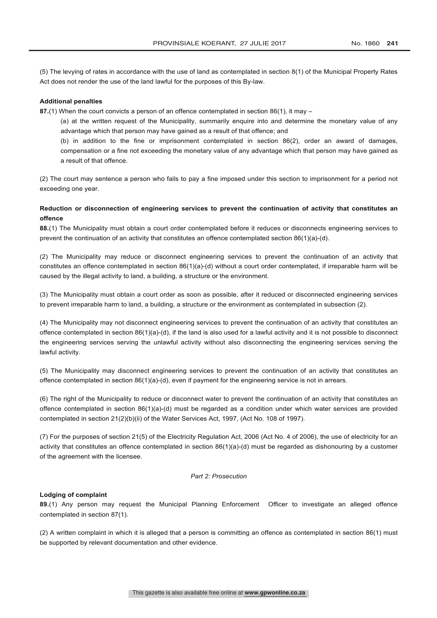(5) The levying of rates in accordance with the use of land as contemplated in section 8(1) of the Municipal Property Rates Act does not render the use of the land lawful for the purposes of this By-law.

#### **Additional penalties**

**87.**(1) When the court convicts a person of an offence contemplated in section 86(1), it may –

(a) at the written request of the Municipality, summarily enquire into and determine the monetary value of any advantage which that person may have gained as a result of that offence; and

(b) in addition to the fine or imprisonment contemplated in section 86(2), order an award of damages, compensation or a fine not exceeding the monetary value of any advantage which that person may have gained as a result of that offence.

(2) The court may sentence a person who fails to pay a fine imposed under this section to imprisonment for a period not exceeding one year.

## **Reduction or disconnection of engineering services to prevent the continuation of activity that constitutes an offence**

**88.**(1) The Municipality must obtain a court order contemplated before it reduces or disconnects engineering services to prevent the continuation of an activity that constitutes an offence contemplated section 86(1)(a)-(d).

(2) The Municipality may reduce or disconnect engineering services to prevent the continuation of an activity that constitutes an offence contemplated in section 86(1)(a)-(d) without a court order contemplated, if irreparable harm will be caused by the illegal activity to land, a building, a structure or the environment.

(3) The Municipality must obtain a court order as soon as possible, after it reduced or disconnected engineering services to prevent irreparable harm to land, a building, a structure or the environment as contemplated in subsection (2).

(4) The Municipality may not disconnect engineering services to prevent the continuation of an activity that constitutes an offence contemplated in section 86(1)(a)-(d), if the land is also used for a lawful activity and it is not possible to disconnect the engineering services serving the unlawful activity without also disconnecting the engineering services serving the lawful activity.

(5) The Municipality may disconnect engineering services to prevent the continuation of an activity that constitutes an offence contemplated in section 86(1)(a)-(d), even if payment for the engineering service is not in arrears.

(6) The right of the Municipality to reduce or disconnect water to prevent the continuation of an activity that constitutes an offence contemplated in section 86(1)(a)-(d) must be regarded as a condition under which water services are provided contemplated in section 21(2)(b)(ii) of the Water Services Act, 1997, (Act No. 108 of 1997).

(7) For the purposes of section 21(5) of the Electricity Regulation Act, 2006 (Act No. 4 of 2006), the use of electricity for an activity that constitutes an offence contemplated in section 86(1)(a)-(d) must be regarded as dishonouring by a customer of the agreement with the licensee.

#### *Part 2: Prosecution*

#### **Lodging of complaint**

**89.**(1) Any person may request the Municipal Planning Enforcement Officer to investigate an alleged offence contemplated in section 87(1).

(2) A written complaint in which it is alleged that a person is committing an offence as contemplated in section 86(1) must be supported by relevant documentation and other evidence.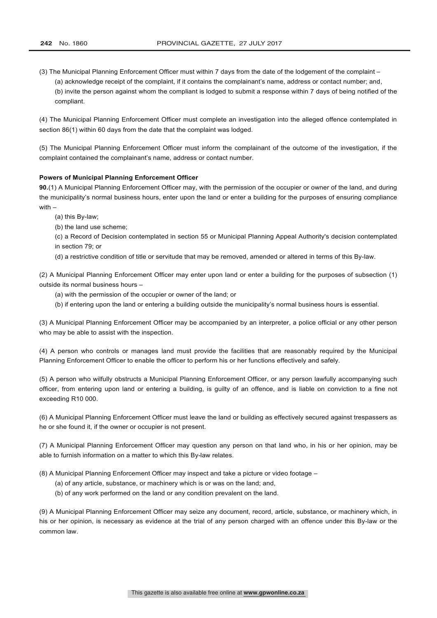- (3) The Municipal Planning Enforcement Officer must within 7 days from the date of the lodgement of the complaint
	- (a) acknowledge receipt of the complaint, if it contains the complainant's name, address or contact number; and,
	- (b) invite the person against whom the compliant is lodged to submit a response within 7 days of being notified of the compliant.

(4) The Municipal Planning Enforcement Officer must complete an investigation into the alleged offence contemplated in section 86(1) within 60 days from the date that the complaint was lodged.

(5) The Municipal Planning Enforcement Officer must inform the complainant of the outcome of the investigation, if the complaint contained the complainant's name, address or contact number.

#### **Powers of Municipal Planning Enforcement Officer**

**90.**(1) A Municipal Planning Enforcement Officer may, with the permission of the occupier or owner of the land, and during the municipality's normal business hours, enter upon the land or enter a building for the purposes of ensuring compliance with –

- (a) this By-law;
- (b) the land use scheme;

(c) a Record of Decision contemplated in section 55 or Municipal Planning Appeal Authority's decision contemplated in section 79; or

(d) a restrictive condition of title or servitude that may be removed, amended or altered in terms of this By-law.

(2) A Municipal Planning Enforcement Officer may enter upon land or enter a building for the purposes of subsection (1) outside its normal business hours –

- (a) with the permission of the occupier or owner of the land; or
- (b) if entering upon the land or entering a building outside the municipality's normal business hours is essential.

(3) A Municipal Planning Enforcement Officer may be accompanied by an interpreter, a police official or any other person who may be able to assist with the inspection.

(4) A person who controls or manages land must provide the facilities that are reasonably required by the Municipal Planning Enforcement Officer to enable the officer to perform his or her functions effectively and safely.

(5) A person who wilfully obstructs a Municipal Planning Enforcement Officer, or any person lawfully accompanying such officer, from entering upon land or entering a building, is guilty of an offence, and is liable on conviction to a fine not exceeding R10 000.

(6) A Municipal Planning Enforcement Officer must leave the land or building as effectively secured against trespassers as he or she found it, if the owner or occupier is not present.

(7) A Municipal Planning Enforcement Officer may question any person on that land who, in his or her opinion, may be able to furnish information on a matter to which this By-law relates.

(8) A Municipal Planning Enforcement Officer may inspect and take a picture or video footage –

- (a) of any article, substance, or machinery which is or was on the land; and,
- (b) of any work performed on the land or any condition prevalent on the land.

(9) A Municipal Planning Enforcement Officer may seize any document, record, article, substance, or machinery which, in his or her opinion, is necessary as evidence at the trial of any person charged with an offence under this By-law or the common law.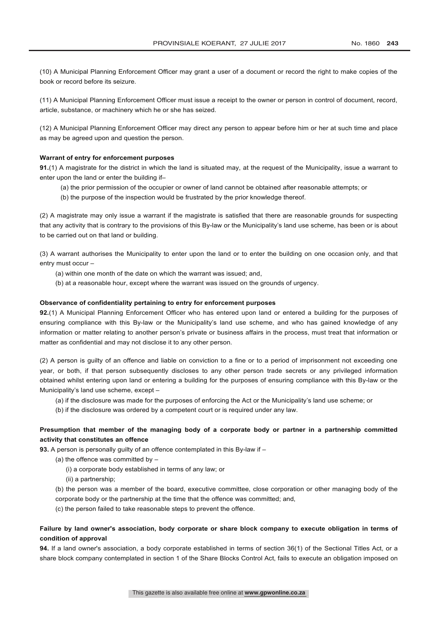(10) A Municipal Planning Enforcement Officer may grant a user of a document or record the right to make copies of the book or record before its seizure.

(11) A Municipal Planning Enforcement Officer must issue a receipt to the owner or person in control of document, record, article, substance, or machinery which he or she has seized.

(12) A Municipal Planning Enforcement Officer may direct any person to appear before him or her at such time and place as may be agreed upon and question the person.

#### **Warrant of entry for enforcement purposes**

**91.**(1) A magistrate for the district in which the land is situated may, at the request of the Municipality, issue a warrant to enter upon the land or enter the building if–

- (a) the prior permission of the occupier or owner of land cannot be obtained after reasonable attempts; or
- (b) the purpose of the inspection would be frustrated by the prior knowledge thereof.

(2) A magistrate may only issue a warrant if the magistrate is satisfied that there are reasonable grounds for suspecting that any activity that is contrary to the provisions of this By-law or the Municipality's land use scheme, has been or is about to be carried out on that land or building.

(3) A warrant authorises the Municipality to enter upon the land or to enter the building on one occasion only, and that entry must occur –

- (a) within one month of the date on which the warrant was issued; and,
- (b) at a reasonable hour, except where the warrant was issued on the grounds of urgency.

#### **Observance of confidentiality pertaining to entry for enforcement purposes**

**92.**(1) A Municipal Planning Enforcement Officer who has entered upon land or entered a building for the purposes of ensuring compliance with this By-law or the Municipality's land use scheme, and who has gained knowledge of any information or matter relating to another person's private or business affairs in the process, must treat that information or matter as confidential and may not disclose it to any other person.

(2) A person is guilty of an offence and liable on conviction to a fine or to a period of imprisonment not exceeding one year, or both, if that person subsequently discloses to any other person trade secrets or any privileged information obtained whilst entering upon land or entering a building for the purposes of ensuring compliance with this By-law or the Municipality's land use scheme, except –

- (a) if the disclosure was made for the purposes of enforcing the Act or the Municipality's land use scheme; or
- (b) if the disclosure was ordered by a competent court or is required under any law.

## **Presumption that member of the managing body of a corporate body or partner in a partnership committed activity that constitutes an offence**

**93.** A person is personally guilty of an offence contemplated in this By-law if –

- (a) the offence was committed by  $-$ 
	- (i) a corporate body established in terms of any law; or
	- (ii) a partnership;

(b) the person was a member of the board, executive committee, close corporation or other managing body of the corporate body or the partnership at the time that the offence was committed; and,

(c) the person failed to take reasonable steps to prevent the offence.

### **Failure by land owner's association, body corporate or share block company to execute obligation in terms of condition of approval**

**94.** If a land owner's association, a body corporate established in terms of section 36(1) of the Sectional Titles Act, or a share block company contemplated in section 1 of the Share Blocks Control Act, fails to execute an obligation imposed on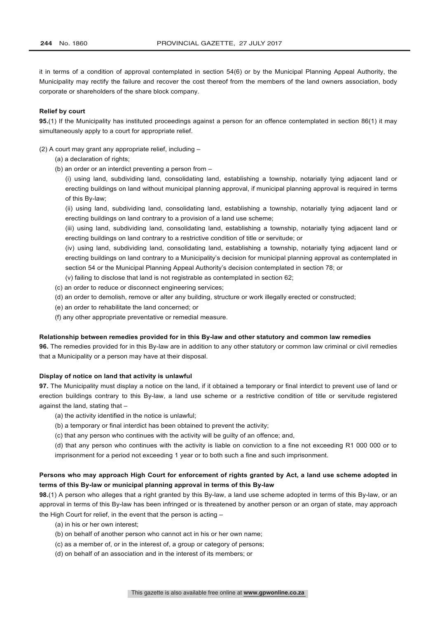it in terms of a condition of approval contemplated in section 54(6) or by the Municipal Planning Appeal Authority, the Municipality may rectify the failure and recover the cost thereof from the members of the land owners association, body corporate or shareholders of the share block company.

#### **Relief by court**

**95.**(1) If the Municipality has instituted proceedings against a person for an offence contemplated in section 86(1) it may simultaneously apply to a court for appropriate relief.

(2) A court may grant any appropriate relief, including –

- (a) a declaration of rights:
- (b) an order or an interdict preventing a person from –

(i) using land, subdividing land, consolidating land, establishing a township, notarially tying adjacent land or erecting buildings on land without municipal planning approval, if municipal planning approval is required in terms of this By-law;

(ii) using land, subdividing land, consolidating land, establishing a township, notarially tying adjacent land or erecting buildings on land contrary to a provision of a land use scheme;

(iii) using land, subdividing land, consolidating land, establishing a township, notarially tying adjacent land or erecting buildings on land contrary to a restrictive condition of title or servitude; or

(iv) using land, subdividing land, consolidating land, establishing a township, notarially tying adjacent land or erecting buildings on land contrary to a Municipality's decision for municipal planning approval as contemplated in section 54 or the Municipal Planning Appeal Authority's decision contemplated in section 78; or

(v) failing to disclose that land is not registrable as contemplated in section 62;

- (c) an order to reduce or disconnect engineering services;
- (d) an order to demolish, remove or alter any building, structure or work illegally erected or constructed;
- (e) an order to rehabilitate the land concerned; or
- (f) any other appropriate preventative or remedial measure.

#### **Relationship between remedies provided for in this By-law and other statutory and common law remedies**

**96.** The remedies provided for in this By-law are in addition to any other statutory or common law criminal or civil remedies that a Municipality or a person may have at their disposal.

#### **Display of notice on land that activity is unlawful**

**97.** The Municipality must display a notice on the land, if it obtained a temporary or final interdict to prevent use of land or erection buildings contrary to this By-law, a land use scheme or a restrictive condition of title or servitude registered against the land, stating that –

- (a) the activity identified in the notice is unlawful;
- (b) a temporary or final interdict has been obtained to prevent the activity;

(c) that any person who continues with the activity will be guilty of an offence; and,

(d) that any person who continues with the activity is liable on conviction to a fine not exceeding R1 000 000 or to imprisonment for a period not exceeding 1 year or to both such a fine and such imprisonment.

## **Persons who may approach High Court for enforcement of rights granted by Act, a land use scheme adopted in terms of this By-law or municipal planning approval in terms of this By-law**

**98.**(1) A person who alleges that a right granted by this By-law, a land use scheme adopted in terms of this By-law, or an approval in terms of this By-law has been infringed or is threatened by another person or an organ of state, may approach the High Court for relief, in the event that the person is acting –

- (a) in his or her own interest;
- (b) on behalf of another person who cannot act in his or her own name;
- (c) as a member of, or in the interest of, a group or category of persons;
- (d) on behalf of an association and in the interest of its members; or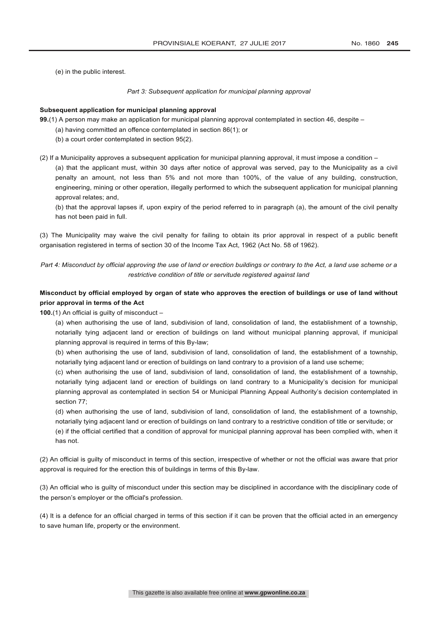(e) in the public interest.

#### *Part 3: Subsequent application for municipal planning approval*

#### **Subsequent application for municipal planning approval**

**99.**(1) A person may make an application for municipal planning approval contemplated in section 46, despite –

- (a) having committed an offence contemplated in section 86(1); or
- (b) a court order contemplated in section 95(2).

(2) If a Municipality approves a subsequent application for municipal planning approval, it must impose a condition –

(a) that the applicant must, within 30 days after notice of approval was served, pay to the Municipality as a civil penalty an amount, not less than 5% and not more than 100%, of the value of any building, construction, engineering, mining or other operation, illegally performed to which the subsequent application for municipal planning approval relates; and,

(b) that the approval lapses if, upon expiry of the period referred to in paragraph (a), the amount of the civil penalty has not been paid in full.

(3) The Municipality may waive the civil penalty for failing to obtain its prior approval in respect of a public benefit organisation registered in terms of section 30 of the Income Tax Act, 1962 (Act No. 58 of 1962).

*Part 4: Misconduct by official approving the use of land or erection buildings or contrary to the Act, a land use scheme or a restrictive condition of title or servitude registered against land*

## **Misconduct by official employed by organ of state who approves the erection of buildings or use of land without prior approval in terms of the Act**

**100.**(1) An official is guilty of misconduct –

(a) when authorising the use of land, subdivision of land, consolidation of land, the establishment of a township, notarially tying adjacent land or erection of buildings on land without municipal planning approval, if municipal planning approval is required in terms of this By-law;

(b) when authorising the use of land, subdivision of land, consolidation of land, the establishment of a township, notarially tying adjacent land or erection of buildings on land contrary to a provision of a land use scheme;

(c) when authorising the use of land, subdivision of land, consolidation of land, the establishment of a township, notarially tying adjacent land or erection of buildings on land contrary to a Municipality's decision for municipal planning approval as contemplated in section 54 or Municipal Planning Appeal Authority's decision contemplated in section 77;

(d) when authorising the use of land, subdivision of land, consolidation of land, the establishment of a township, notarially tying adjacent land or erection of buildings on land contrary to a restrictive condition of title or servitude; or

(e) if the official certified that a condition of approval for municipal planning approval has been complied with, when it has not.

(2) An official is guilty of misconduct in terms of this section, irrespective of whether or not the official was aware that prior approval is required for the erection this of buildings in terms of this By-law.

(3) An official who is guilty of misconduct under this section may be disciplined in accordance with the disciplinary code of the person's employer or the official's profession.

(4) It is a defence for an official charged in terms of this section if it can be proven that the official acted in an emergency to save human life, property or the environment.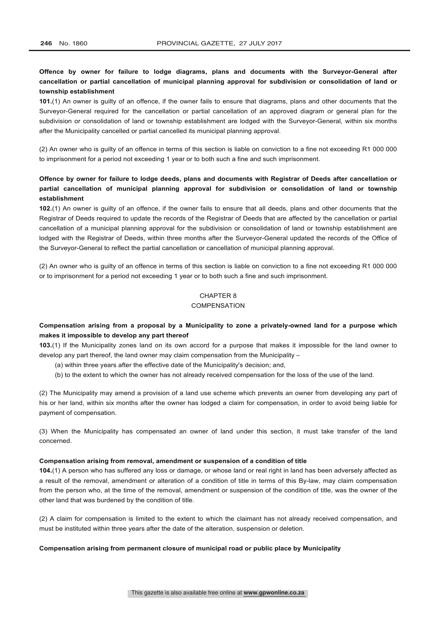## **Offence by owner for failure to lodge diagrams, plans and documents with the Surveyor-General after cancellation or partial cancellation of municipal planning approval for subdivision or consolidation of land or township establishment**

**101.**(1) An owner is guilty of an offence, if the owner fails to ensure that diagrams, plans and other documents that the Surveyor-General required for the cancellation or partial cancellation of an approved diagram or general plan for the subdivision or consolidation of land or township establishment are lodged with the Surveyor-General, within six months after the Municipality cancelled or partial cancelled its municipal planning approval.

(2) An owner who is guilty of an offence in terms of this section is liable on conviction to a fine not exceeding R1 000 000 to imprisonment for a period not exceeding 1 year or to both such a fine and such imprisonment.

## **Offence by owner for failure to lodge deeds, plans and documents with Registrar of Deeds after cancellation or partial cancellation of municipal planning approval for subdivision or consolidation of land or township establishment**

**102.**(1) An owner is guilty of an offence, if the owner fails to ensure that all deeds, plans and other documents that the Registrar of Deeds required to update the records of the Registrar of Deeds that are affected by the cancellation or partial cancellation of a municipal planning approval for the subdivision or consolidation of land or township establishment are lodged with the Registrar of Deeds, within three months after the Surveyor-General updated the records of the Office of the Surveyor-General to reflect the partial cancellation or cancellation of municipal planning approval.

(2) An owner who is guilty of an offence in terms of this section is liable on conviction to a fine not exceeding R1 000 000 or to imprisonment for a period not exceeding 1 year or to both such a fine and such imprisonment.

## CHAPTER 8

#### **COMPENSATION**

## **Compensation arising from a proposal by a Municipality to zone a privately-owned land for a purpose which makes it impossible to develop any part thereof**

**103.**(1) If the Municipality zones land on its own accord for a purpose that makes it impossible for the land owner to develop any part thereof, the land owner may claim compensation from the Municipality –

- (a) within three years after the effective date of the Municipality's decision; and,
- (b) to the extent to which the owner has not already received compensation for the loss of the use of the land.

(2) The Municipality may amend a provision of a land use scheme which prevents an owner from developing any part of his or her land, within six months after the owner has lodged a claim for compensation, in order to avoid being liable for payment of compensation.

(3) When the Municipality has compensated an owner of land under this section, it must take transfer of the land concerned.

#### **Compensation arising from removal, amendment or suspension of a condition of title**

**104.**(1) A person who has suffered any loss or damage, or whose land or real right in land has been adversely affected as a result of the removal, amendment or alteration of a condition of title in terms of this By-law, may claim compensation from the person who, at the time of the removal, amendment or suspension of the condition of title, was the owner of the other land that was burdened by the condition of title.

(2) A claim for compensation is limited to the extent to which the claimant has not already received compensation, and must be instituted within three years after the date of the alteration, suspension or deletion.

#### **Compensation arising from permanent closure of municipal road or public place by Municipality**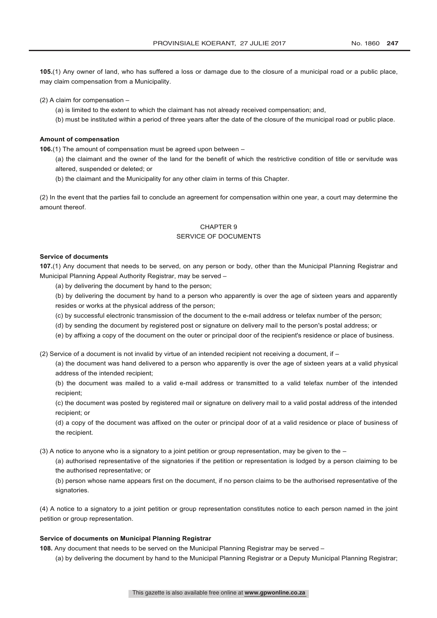**105.**(1) Any owner of land, who has suffered a loss or damage due to the closure of a municipal road or a public place, may claim compensation from a Municipality.

(2) A claim for compensation –

- (a) is limited to the extent to which the claimant has not already received compensation; and,
- (b) must be instituted within a period of three years after the date of the closure of the municipal road or public place.

#### **Amount of compensation**

**106.**(1) The amount of compensation must be agreed upon between –

(a) the claimant and the owner of the land for the benefit of which the restrictive condition of title or servitude was altered, suspended or deleted; or

(b) the claimant and the Municipality for any other claim in terms of this Chapter.

(2) In the event that the parties fail to conclude an agreement for compensation within one year, a court may determine the amount thereof.

## CHAPTER 9

## SERVICE OF DOCUMENTS

#### **Service of documents**

**107.**(1) Any document that needs to be served, on any person or body, other than the Municipal Planning Registrar and Municipal Planning Appeal Authority Registrar, may be served –

- (a) by delivering the document by hand to the person;
- (b) by delivering the document by hand to a person who apparently is over the age of sixteen years and apparently resides or works at the physical address of the person;
- (c) by successful electronic transmission of the document to the e-mail address or telefax number of the person;
- (d) by sending the document by registered post or signature on delivery mail to the person's postal address; or
- (e) by affixing a copy of the document on the outer or principal door of the recipient's residence or place of business.

(2) Service of a document is not invalid by virtue of an intended recipient not receiving a document, if –

(a) the document was hand delivered to a person who apparently is over the age of sixteen years at a valid physical address of the intended recipient;

(b) the document was mailed to a valid e-mail address or transmitted to a valid telefax number of the intended recipient;

(c) the document was posted by registered mail or signature on delivery mail to a valid postal address of the intended recipient; or

(d) a copy of the document was affixed on the outer or principal door of at a valid residence or place of business of the recipient.

(3) A notice to anyone who is a signatory to a joint petition or group representation, may be given to the –

(a) authorised representative of the signatories if the petition or representation is lodged by a person claiming to be the authorised representative; or

(b) person whose name appears first on the document, if no person claims to be the authorised representative of the signatories.

(4) A notice to a signatory to a joint petition or group representation constitutes notice to each person named in the joint petition or group representation.

#### **Service of documents on Municipal Planning Registrar**

**108.** Any document that needs to be served on the Municipal Planning Registrar may be served –

(a) by delivering the document by hand to the Municipal Planning Registrar or a Deputy Municipal Planning Registrar;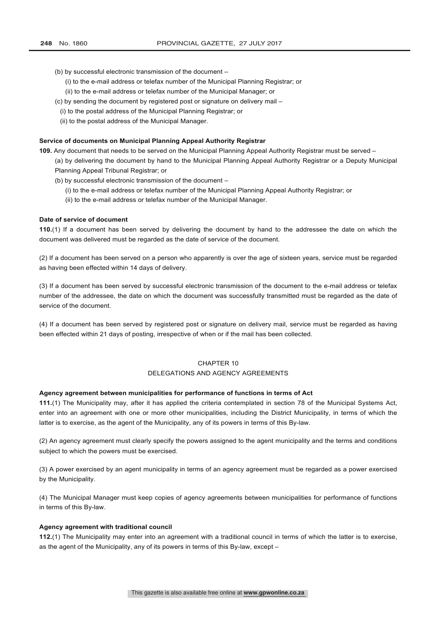- (b) by successful electronic transmission of the document
	- (i) to the e-mail address or telefax number of the Municipal Planning Registrar; or
	- (ii) to the e-mail address or telefax number of the Municipal Manager; or
- (c) by sending the document by registered post or signature on delivery mail
	- (i) to the postal address of the Municipal Planning Registrar; or
	- (ii) to the postal address of the Municipal Manager.

#### **Service of documents on Municipal Planning Appeal Authority Registrar**

**109.** Any document that needs to be served on the Municipal Planning Appeal Authority Registrar must be served –

(a) by delivering the document by hand to the Municipal Planning Appeal Authority Registrar or a Deputy Municipal Planning Appeal Tribunal Registrar; or

- (b) by successful electronic transmission of the document
	- (i) to the e-mail address or telefax number of the Municipal Planning Appeal Authority Registrar; or
	- (ii) to the e-mail address or telefax number of the Municipal Manager.

#### **Date of service of document**

**110.**(1) If a document has been served by delivering the document by hand to the addressee the date on which the document was delivered must be regarded as the date of service of the document.

(2) If a document has been served on a person who apparently is over the age of sixteen years, service must be regarded as having been effected within 14 days of delivery.

(3) If a document has been served by successful electronic transmission of the document to the e-mail address or telefax number of the addressee, the date on which the document was successfully transmitted must be regarded as the date of service of the document.

(4) If a document has been served by registered post or signature on delivery mail, service must be regarded as having been effected within 21 days of posting, irrespective of when or if the mail has been collected.

#### CHAPTER 10

#### DELEGATIONS AND AGENCY AGREEMENTS

#### **Agency agreement between municipalities for performance of functions in terms of Act**

**111.**(1) The Municipality may, after it has applied the criteria contemplated in section 78 of the Municipal Systems Act, enter into an agreement with one or more other municipalities, including the District Municipality, in terms of which the latter is to exercise, as the agent of the Municipality, any of its powers in terms of this By-law.

(2) An agency agreement must clearly specify the powers assigned to the agent municipality and the terms and conditions subject to which the powers must be exercised.

(3) A power exercised by an agent municipality in terms of an agency agreement must be regarded as a power exercised by the Municipality.

(4) The Municipal Manager must keep copies of agency agreements between municipalities for performance of functions in terms of this By-law.

#### **Agency agreement with traditional council**

**112.**(1) The Municipality may enter into an agreement with a traditional council in terms of which the latter is to exercise, as the agent of the Municipality, any of its powers in terms of this By-law, except –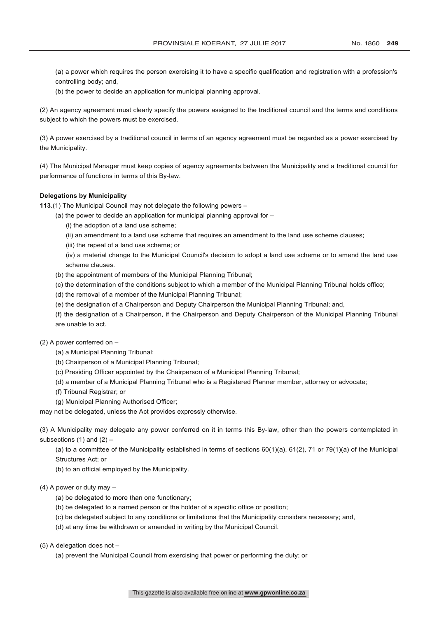(a) a power which requires the person exercising it to have a specific qualification and registration with a profession's controlling body; and,

(b) the power to decide an application for municipal planning approval.

(2) An agency agreement must clearly specify the powers assigned to the traditional council and the terms and conditions subject to which the powers must be exercised.

(3) A power exercised by a traditional council in terms of an agency agreement must be regarded as a power exercised by the Municipality.

(4) The Municipal Manager must keep copies of agency agreements between the Municipality and a traditional council for performance of functions in terms of this By-law.

#### **Delegations by Municipality**

**113.**(1) The Municipal Council may not delegate the following powers –

- (a) the power to decide an application for municipal planning approval for
	- (i) the adoption of a land use scheme;
	- (ii) an amendment to a land use scheme that requires an amendment to the land use scheme clauses;
	- (iii) the repeal of a land use scheme; or

(iv) a material change to the Municipal Council's decision to adopt a land use scheme or to amend the land use scheme clauses.

- (b) the appointment of members of the Municipal Planning Tribunal;
- (c) the determination of the conditions subject to which a member of the Municipal Planning Tribunal holds office;
- (d) the removal of a member of the Municipal Planning Tribunal;
- (e) the designation of a Chairperson and Deputy Chairperson the Municipal Planning Tribunal; and,
- (f) the designation of a Chairperson, if the Chairperson and Deputy Chairperson of the Municipal Planning Tribunal are unable to act.

#### (2) A power conferred on –

- (a) a Municipal Planning Tribunal;
- (b) Chairperson of a Municipal Planning Tribunal;
- (c) Presiding Officer appointed by the Chairperson of a Municipal Planning Tribunal;
- (d) a member of a Municipal Planning Tribunal who is a Registered Planner member, attorney or advocate;
- (f) Tribunal Registrar; or
- (g) Municipal Planning Authorised Officer;

may not be delegated, unless the Act provides expressly otherwise.

(3) A Municipality may delegate any power conferred on it in terms this By-law, other than the powers contemplated in subsections  $(1)$  and  $(2)$  –

(a) to a committee of the Municipality established in terms of sections 60(1)(a), 61(2), 71 or 79(1)(a) of the Municipal Structures Act; or

(b) to an official employed by the Municipality.

#### (4) A power or duty may –

- (a) be delegated to more than one functionary;
- (b) be delegated to a named person or the holder of a specific office or position;
- (c) be delegated subject to any conditions or limitations that the Municipality considers necessary; and,
- (d) at any time be withdrawn or amended in writing by the Municipal Council.

(5) A delegation does not –

(a) prevent the Municipal Council from exercising that power or performing the duty; or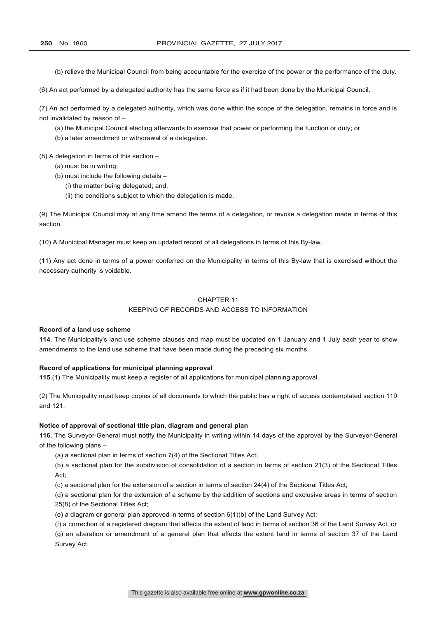(b) relieve the Municipal Council from being accountable for the exercise of the power or the performance of the duty.

(6) An act performed by a delegated authority has the same force as if it had been done by the Municipal Council.

(7) An act performed by a delegated authority, which was done within the scope of the delegation, remains in force and is not invalidated by reason of –

(a) the Municipal Council electing afterwards to exercise that power or performing the function or duty; or

(b) a later amendment or withdrawal of a delegation.

(8) A delegation in terms of this section –

- (a) must be in writing;
- (b) must include the following details
	- (i) the matter being delegated; and,
	- (ii) the conditions subject to which the delegation is made.

(9) The Municipal Council may at any time amend the terms of a delegation, or revoke a delegation made in terms of this section.

(10) A Municipal Manager must keep an updated record of all delegations in terms of this By-law.

(11) Any act done in terms of a power conferred on the Municipality in terms of this By-law that is exercised without the necessary authority is voidable.

#### CHAPTER 11

#### KEEPING OF RECORDS AND ACCESS TO INFORMATION

#### **Record of a land use scheme**

**114.** The Municipality's land use scheme clauses and map must be updated on 1 January and 1 July each year to show amendments to the land use scheme that have been made during the preceding six months.

#### **Record of applications for municipal planning approval**

**115.**(1) The Municipality must keep a register of all applications for municipal planning approval.

(2) The Municipality must keep copies of all documents to which the public has a right of access contemplated section 119 and 121.

#### **Notice of approval of sectional title plan, diagram and general plan**

**116.** The Surveyor-General must notify the Municipality in writing within 14 days of the approval by the Surveyor-General of the following plans –

(a) a sectional plan in terms of section 7(4) of the Sectional Titles Act;

(b) a sectional plan for the subdivision of consolidation of a section in terms of section 21(3) of the Sectional Titles Act;

(c) a sectional plan for the extension of a section in terms of section 24(4) of the Sectional Titles Act;

(d) a sectional plan for the extension of a scheme by the addition of sections and exclusive areas in terms of section 25(8) of the Sectional Titles Act;

(e) a diagram or general plan approved in terms of section 6(1)(b) of the Land Survey Act;

(f) a correction of a registered diagram that affects the extent of land in terms of section 36 of the Land Survey Act; or (g) an alteration or amendment of a general plan that effects the extent land in terms of section 37 of the Land Survey Act.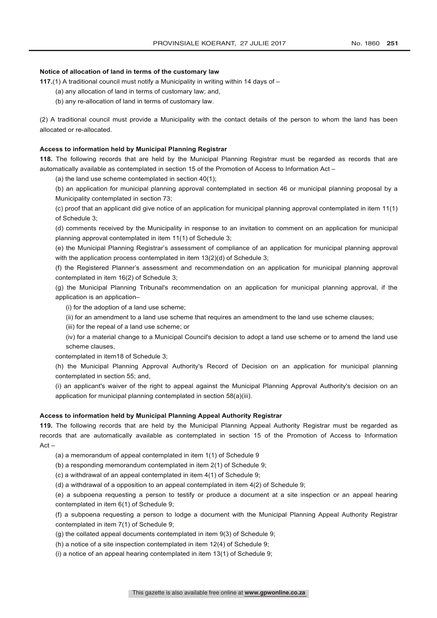#### **Notice of allocation of land in terms of the customary law**

**117.**(1) A traditional council must notify a Municipality in writing within 14 days of –

- (a) any allocation of land in terms of customary law; and,
- (b) any re-allocation of land in terms of customary law.

(2) A traditional council must provide a Municipality with the contact details of the person to whom the land has been allocated or re-allocated.

#### **Access to information held by Municipal Planning Registrar**

**118.** The following records that are held by the Municipal Planning Registrar must be regarded as records that are automatically available as contemplated in section 15 of the Promotion of Access to Information Act –

(a) the land use scheme contemplated in section 40(1);

(b) an application for municipal planning approval contemplated in section 46 or municipal planning proposal by a Municipality contemplated in section 73;

(c) proof that an applicant did give notice of an application for municipal planning approval contemplated in item 11(1) of Schedule 3;

(d) comments received by the Municipality in response to an invitation to comment on an application for municipal planning approval contemplated in item 11(1) of Schedule 3;

(e) the Municipal Planning Registrar's assessment of compliance of an application for municipal planning approval with the application process contemplated in item 13(2)(d) of Schedule 3;

(f) the Registered Planner's assessment and recommendation on an application for municipal planning approval contemplated in item 16(2) of Schedule 3;

(g) the Municipal Planning Tribunal's recommendation on an application for municipal planning approval, if the application is an application–

(i) for the adoption of a land use scheme;

(ii) for an amendment to a land use scheme that requires an amendment to the land use scheme clauses;

(iii) for the repeal of a land use scheme; or

(iv) for a material change to a Municipal Council's decision to adopt a land use scheme or to amend the land use scheme clauses,

contemplated in item18 of Schedule 3;

(h) the Municipal Planning Approval Authority's Record of Decision on an application for municipal planning contemplated in section 55; and,

(i) an applicant's waiver of the right to appeal against the Municipal Planning Approval Authority's decision on an application for municipal planning contemplated in section 58(a)(iii).

#### **Access to information held by Municipal Planning Appeal Authority Registrar**

**119.** The following records that are held by the Municipal Planning Appeal Authority Registrar must be regarded as records that are automatically available as contemplated in section 15 of the Promotion of Access to Information Act –

(a) a memorandum of appeal contemplated in item 1(1) of Schedule 9

(b) a responding memorandum contemplated in item 2(1) of Schedule 9;

(c) a withdrawal of an appeal contemplated in item 4(1) of Schedule 9;

(d) a withdrawal of a opposition to an appeal contemplated in item 4(2) of Schedule 9;

(e) a subpoena requesting a person to testify or produce a document at a site inspection or an appeal hearing contemplated in item 6(1) of Schedule 9;

(f) a subpoena requesting a person to lodge a document with the Municipal Planning Appeal Authority Registrar contemplated in item 7(1) of Schedule 9;

(g) the collated appeal documents contemplated in item 9(3) of Schedule 9;

(h) a notice of a site inspection contemplated in item 12(4) of Schedule 9;

(i) a notice of an appeal hearing contemplated in item 13(1) of Schedule 9;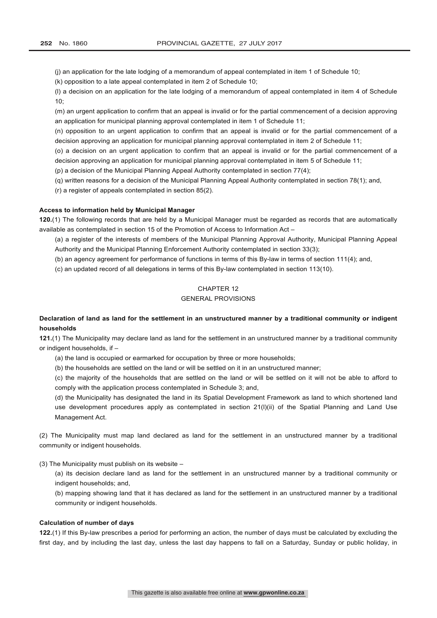(j) an application for the late lodging of a memorandum of appeal contemplated in item 1 of Schedule 10;

(k) opposition to a late appeal contemplated in item 2 of Schedule 10;

(l) a decision on an application for the late lodging of a memorandum of appeal contemplated in item 4 of Schedule 10;

(m) an urgent application to confirm that an appeal is invalid or for the partial commencement of a decision approving an application for municipal planning approval contemplated in item 1 of Schedule 11;

(n) opposition to an urgent application to confirm that an appeal is invalid or for the partial commencement of a decision approving an application for municipal planning approval contemplated in item 2 of Schedule 11;

(o) a decision on an urgent application to confirm that an appeal is invalid or for the partial commencement of a decision approving an application for municipal planning approval contemplated in item 5 of Schedule 11;

(p) a decision of the Municipal Planning Appeal Authority contemplated in section 77(4);

(q) written reasons for a decision of the Municipal Planning Appeal Authority contemplated in section 78(1); and,

(r) a register of appeals contemplated in section 85(2).

#### **Access to information held by Municipal Manager**

**120.**(1) The following records that are held by a Municipal Manager must be regarded as records that are automatically available as contemplated in section 15 of the Promotion of Access to Information Act –

(a) a register of the interests of members of the Municipal Planning Approval Authority, Municipal Planning Appeal Authority and the Municipal Planning Enforcement Authority contemplated in section 33(3);

(b) an agency agreement for performance of functions in terms of this By-law in terms of section 111(4); and,

(c) an updated record of all delegations in terms of this By-law contemplated in section 113(10).

## CHAPTER 12

#### GENERAL PROVISIONS

## **Declaration of land as land for the settlement in an unstructured manner by a traditional community or indigent households**

**121.**(1) The Municipality may declare land as land for the settlement in an unstructured manner by a traditional community or indigent households, if –

(a) the land is occupied or earmarked for occupation by three or more households;

(b) the households are settled on the land or will be settled on it in an unstructured manner;

(c) the majority of the households that are settled on the land or will be settled on it will not be able to afford to comply with the application process contemplated in Schedule 3; and,

(d) the Municipality has designated the land in its Spatial Development Framework as land to which shortened land use development procedures apply as contemplated in section 21(l)(ii) of the Spatial Planning and Land Use Management Act.

(2) The Municipality must map land declared as land for the settlement in an unstructured manner by a traditional community or indigent households.

(3) The Municipality must publish on its website –

(a) its decision declare land as land for the settlement in an unstructured manner by a traditional community or indigent households; and,

(b) mapping showing land that it has declared as land for the settlement in an unstructured manner by a traditional community or indigent households.

#### **Calculation of number of days**

**122.**(1) If this By-law prescribes a period for performing an action, the number of days must be calculated by excluding the first day, and by including the last day, unless the last day happens to fall on a Saturday, Sunday or public holiday, in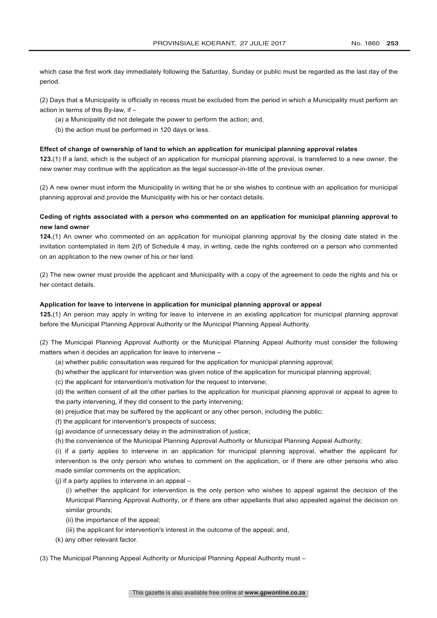which case the first work day immediately following the Saturday, Sunday or public must be regarded as the last day of the period.

(2) Days that a Municipality is officially in recess must be excluded from the period in which a Municipality must perform an action in terms of this By-law, if –

- (a) a Municipality did not delegate the power to perform the action; and,
- (b) the action must be performed in 120 days or less.

#### **Effect of change of ownership of land to which an application for municipal planning approval relates**

**123.**(1) If a land, which is the subject of an application for municipal planning approval, is transferred to a new owner, the new owner may continue with the application as the legal successor-in-title of the previous owner.

(2) A new owner must inform the Municipality in writing that he or she wishes to continue with an application for municipal planning approval and provide the Municipality with his or her contact details.

## **Ceding of rights associated with a person who commented on an application for municipal planning approval to new land owner**

**124.**(1) An owner who commented on an application for municipal planning approval by the closing date stated in the invitation contemplated in item 2(f) of Schedule 4 may, in writing, cede the rights conferred on a person who commented on an application to the new owner of his or her land.

(2) The new owner must provide the applicant and Municipality with a copy of the agreement to cede the rights and his or her contact details.

#### **Application for leave to intervene in application for municipal planning approval or appeal**

**125.**(1) An person may apply in writing for leave to intervene in an existing application for municipal planning approval before the Municipal Planning Approval Authority or the Municipal Planning Appeal Authority.

(2) The Municipal Planning Approval Authority or the Municipal Planning Appeal Authority must consider the following matters when it decides an application for leave to intervene –

- (a) whether public consultation was required for the application for municipal planning approval;
- (b) whether the applicant for intervention was given notice of the application for municipal planning approval;
- (c) the applicant for intervention's motivation for the request to intervene;

(d) the written consent of all the other parties to the application for municipal planning approval or appeal to agree to the party intervening, if they did consent to the party intervening;

- (e) prejudice that may be suffered by the applicant or any other person, including the public;
- (f) the applicant for intervention's prospects of success;
- (g) avoidance of unnecessary delay in the administration of justice;
- (h) the convenience of the Municipal Planning Approval Authority or Municipal Planning Appeal Authority;

(i) if a party applies to intervene in an application for municipal planning approval, whether the applicant for intervention is the only person who wishes to comment on the application, or if there are other persons who also made similar comments on the application;

 $(i)$  if a party applies to intervene in an appeal  $-$ 

(i) whether the applicant for intervention is the only person who wishes to appeal against the decision of the Municipal Planning Approval Authority, or if there are other appellants that also appealed against the decision on similar grounds;

- (ii) the importance of the appeal;
- (iii) the applicant for intervention's interest in the outcome of the appeal; and,
- (k) any other relevant factor.
- (3) The Municipal Planning Appeal Authority or Municipal Planning Appeal Authority must –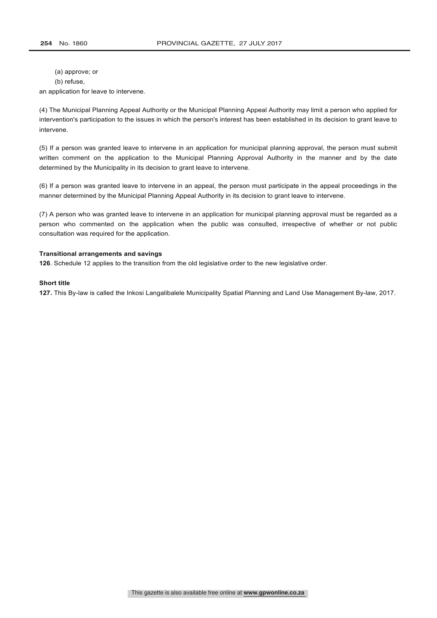(a) approve; or

(b) refuse,

an application for leave to intervene.

(4) The Municipal Planning Appeal Authority or the Municipal Planning Appeal Authority may limit a person who applied for intervention's participation to the issues in which the person's interest has been established in its decision to grant leave to intervene.

(5) If a person was granted leave to intervene in an application for municipal planning approval, the person must submit written comment on the application to the Municipal Planning Approval Authority in the manner and by the date determined by the Municipality in its decision to grant leave to intervene.

(6) If a person was granted leave to intervene in an appeal, the person must participate in the appeal proceedings in the manner determined by the Municipal Planning Appeal Authority in its decision to grant leave to intervene.

(7) A person who was granted leave to intervene in an application for municipal planning approval must be regarded as a person who commented on the application when the public was consulted, irrespective of whether or not public consultation was required for the application.

#### **Transitional arrangements and savings**

**126**. Schedule 12 applies to the transition from the old legislative order to the new legislative order.

#### **Short title**

**127.** This By-law is called the Inkosi Langalibalele Municipality Spatial Planning and Land Use Management By-law, 2017.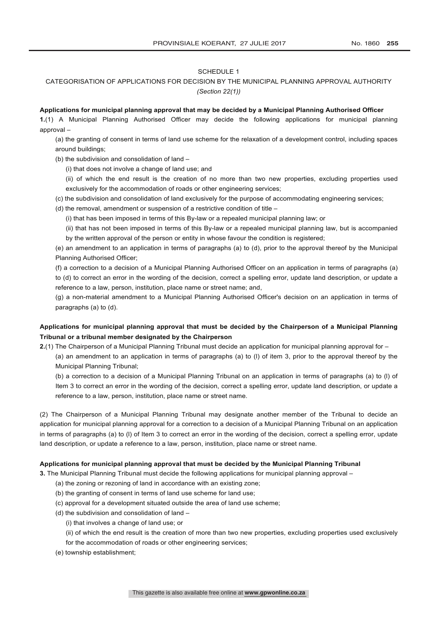#### SCHEDULE 1

## CATEGORISATION OF APPLICATIONS FOR DECISION BY THE MUNICIPAL PLANNING APPROVAL AUTHORITY *(Section 22(1))*

#### **Applications for municipal planning approval that may be decided by a Municipal Planning Authorised Officer**

**1.**(1) A Municipal Planning Authorised Officer may decide the following applications for municipal planning approval –

(a) the granting of consent in terms of land use scheme for the relaxation of a development control, including spaces around buildings;

(b) the subdivision and consolidation of land –

(i) that does not involve a change of land use; and

(ii) of which the end result is the creation of no more than two new properties, excluding properties used exclusively for the accommodation of roads or other engineering services;

- (c) the subdivision and consolidation of land exclusively for the purpose of accommodating engineering services;
- (d) the removal, amendment or suspension of a restrictive condition of title –

(i) that has been imposed in terms of this By-law or a repealed municipal planning law; or

(ii) that has not been imposed in terms of this By-law or a repealed municipal planning law, but is accompanied by the written approval of the person or entity in whose favour the condition is registered;

(e) an amendment to an application in terms of paragraphs (a) to (d), prior to the approval thereof by the Municipal Planning Authorised Officer;

(f) a correction to a decision of a Municipal Planning Authorised Officer on an application in terms of paragraphs (a) to (d) to correct an error in the wording of the decision, correct a spelling error, update land description, or update a reference to a law, person, institution, place name or street name; and,

(g) a non-material amendment to a Municipal Planning Authorised Officer's decision on an application in terms of paragraphs (a) to (d).

## **Applications for municipal planning approval that must be decided by the Chairperson of a Municipal Planning Tribunal or a tribunal member designated by the Chairperson**

**2.**(1) The Chairperson of a Municipal Planning Tribunal must decide an application for municipal planning approval for –

(a) an amendment to an application in terms of paragraphs (a) to (l) of item 3, prior to the approval thereof by the Municipal Planning Tribunal;

(b) a correction to a decision of a Municipal Planning Tribunal on an application in terms of paragraphs (a) to (l) of Item 3 to correct an error in the wording of the decision, correct a spelling error, update land description, or update a reference to a law, person, institution, place name or street name.

(2) The Chairperson of a Municipal Planning Tribunal may designate another member of the Tribunal to decide an application for municipal planning approval for a correction to a decision of a Municipal Planning Tribunal on an application in terms of paragraphs (a) to (l) of Item 3 to correct an error in the wording of the decision, correct a spelling error, update land description, or update a reference to a law, person, institution, place name or street name.

#### **Applications for municipal planning approval that must be decided by the Municipal Planning Tribunal**

**3.** The Municipal Planning Tribunal must decide the following applications for municipal planning approval –

- (a) the zoning or rezoning of land in accordance with an existing zone;
- (b) the granting of consent in terms of land use scheme for land use;
- (c) approval for a development situated outside the area of land use scheme;
- (d) the subdivision and consolidation of land
	- (i) that involves a change of land use; or
	- (ii) of which the end result is the creation of more than two new properties, excluding properties used exclusively
	- for the accommodation of roads or other engineering services;
- (e) township establishment;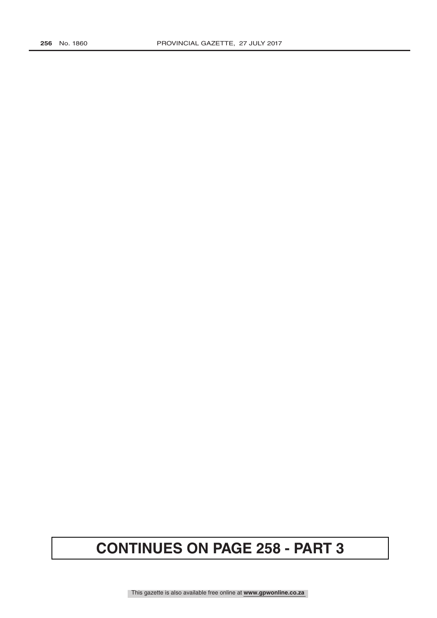# **CONTINUES ON PAGE 258 - PART 3**

This gazette is also available free online at **www.gpwonline.co.za**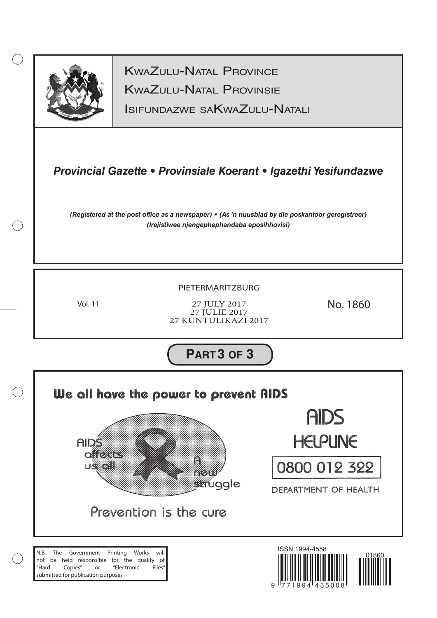

 $(\ )$ 

KwaZulu-Natal Provinsie KwaZulu-Natal Province

Isifundazwe saKwaZulu-Natali

## *Provincial Gazette • Provinsiale Koerant • Igazethi Yesifundazwe*

*(Registered at the post office as a newspaper) • (As 'n nuusblad by die poskantoor geregistreer) (Irejistiwee njengephephandaba eposihhovisi)*

## PIETERMARITZBURG

Vol. 11

27 JULY 2017 27 JULIE 2017 27 KUNTULIKAZI 2017

No. 1860

**PART3 OF 3**

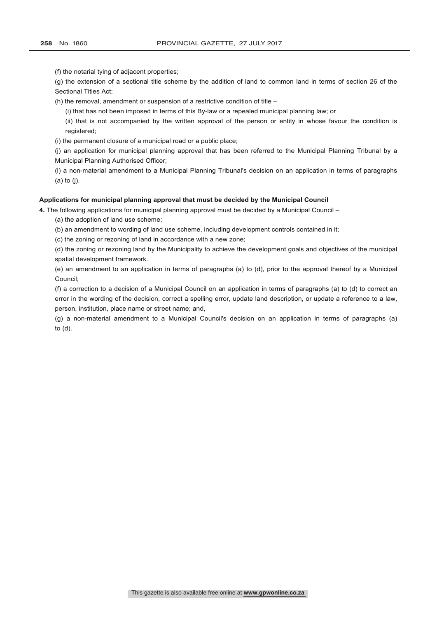(f) the notarial tying of adjacent properties;

(g) the extension of a sectional title scheme by the addition of land to common land in terms of section 26 of the Sectional Titles Act;

(h) the removal, amendment or suspension of a restrictive condition of title –

(i) that has not been imposed in terms of this By-law or a repealed municipal planning law; or

(ii) that is not accompanied by the written approval of the person or entity in whose favour the condition is registered;

(i) the permanent closure of a municipal road or a public place;

(j) an application for municipal planning approval that has been referred to the Municipal Planning Tribunal by a Municipal Planning Authorised Officer;

(l) a non-material amendment to a Municipal Planning Tribunal's decision on an application in terms of paragraphs (a) to (j).

#### **Applications for municipal planning approval that must be decided by the Municipal Council**

**4.** The following applications for municipal planning approval must be decided by a Municipal Council –

(a) the adoption of land use scheme;

(b) an amendment to wording of land use scheme, including development controls contained in it;

(c) the zoning or rezoning of land in accordance with a new zone;

(d) the zoning or rezoning land by the Municipality to achieve the development goals and objectives of the municipal spatial development framework.

(e) an amendment to an application in terms of paragraphs (a) to (d), prior to the approval thereof by a Municipal Council;

(f) a correction to a decision of a Municipal Council on an application in terms of paragraphs (a) to (d) to correct an error in the wording of the decision, correct a spelling error, update land description, or update a reference to a law, person, institution, place name or street name; and,

(g) a non-material amendment to a Municipal Council's decision on an application in terms of paragraphs (a) to (d).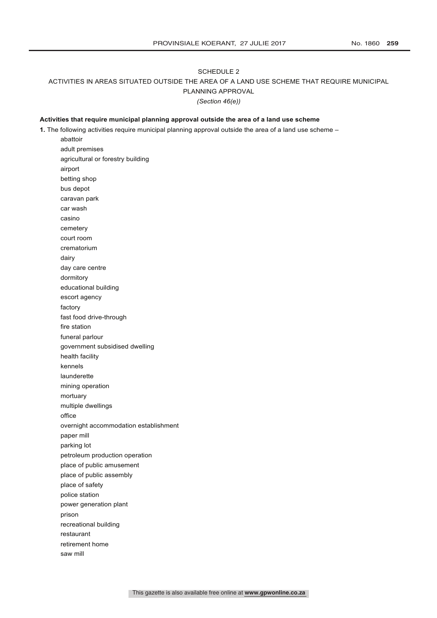#### SCHEDULE 2

## ACTIVITIES IN AREAS SITUATED OUTSIDE THE AREA OF A LAND USE SCHEME THAT REQUIRE MUNICIPAL

PLANNING APPROVAL

*(Section 46(e))*

#### **Activities that require municipal planning approval outside the area of a land use scheme**

**1.** The following activities require municipal planning approval outside the area of a land use scheme –

abattoir adult premises agricultural or forestry building airport betting shop bus depot caravan park car wash casino cemetery court room crematorium dairy day care centre dormitory educational building escort agency factory fast food drive-through fire station funeral parlour government subsidised dwelling health facility kennels launderette mining operation mortuary multiple dwellings office overnight accommodation establishment paper mill parking lot petroleum production operation place of public amusement place of public assembly place of safety police station power generation plant prison recreational building restaurant retirement home saw mill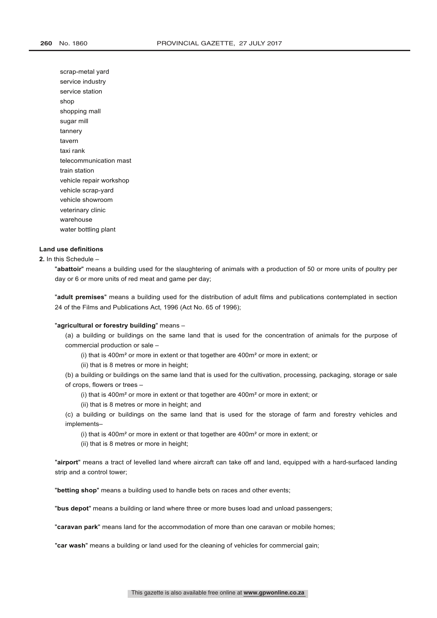scrap-metal yard service industry service station shop shopping mall sugar mill tannery tavern taxi rank telecommunication mast train station vehicle repair workshop vehicle scrap-yard vehicle showroom veterinary clinic warehouse water bottling plant

#### **Land use definitions**

**2.** In this Schedule –

"**abattoir**" means a building used for the slaughtering of animals with a production of 50 or more units of poultry per day or 6 or more units of red meat and game per day;

"**adult premises**" means a building used for the distribution of adult films and publications contemplated in section 24 of the Films and Publications Act, 1996 (Act No. 65 of 1996);

#### "**agricultural or forestry building**" means –

(a) a building or buildings on the same land that is used for the concentration of animals for the purpose of commercial production or sale –

(i) that is 400m² or more in extent or that together are 400m² or more in extent; or

(ii) that is 8 metres or more in height;

(b) a building or buildings on the same land that is used for the cultivation, processing, packaging, storage or sale of crops, flowers or trees –

(i) that is 400m² or more in extent or that together are 400m² or more in extent; or

(ii) that is 8 metres or more in height; and

(c) a building or buildings on the same land that is used for the storage of farm and forestry vehicles and implements–

(i) that is 400m² or more in extent or that together are 400m² or more in extent; or

(ii) that is 8 metres or more in height;

"**airport**" means a tract of levelled land where aircraft can take off and land, equipped with a hard-surfaced landing strip and a control tower;

"**betting shop**" means a building used to handle bets on races and other events;

"**bus depot**" means a building or land where three or more buses load and unload passengers;

"**caravan park**" means land for the accommodation of more than one caravan or mobile homes;

"**car wash**" means a building or land used for the cleaning of vehicles for commercial gain;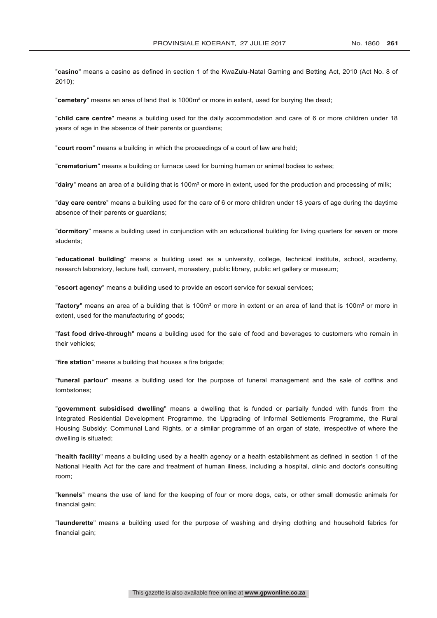"**casino**" means a casino as defined in section 1 of the KwaZulu-Natal Gaming and Betting Act, 2010 (Act No. 8 of 2010);

"**cemetery**" means an area of land that is 1000m² or more in extent, used for burying the dead;

"**child care centre**" means a building used for the daily accommodation and care of 6 or more children under 18 years of age in the absence of their parents or guardians;

"**court room**" means a building in which the proceedings of a court of law are held;

"**crematorium**" means a building or furnace used for burning human or animal bodies to ashes;

"**dairy**" means an area of a building that is 100m² or more in extent, used for the production and processing of milk;

"**day care centre**" means a building used for the care of 6 or more children under 18 years of age during the daytime absence of their parents or guardians;

"**dormitory**" means a building used in conjunction with an educational building for living quarters for seven or more students;

"**educational building**" means a building used as a university, college, technical institute, school, academy, research laboratory, lecture hall, convent, monastery, public library, public art gallery or museum;

"**escort agency**" means a building used to provide an escort service for sexual services;

"**factory**" means an area of a building that is 100m² or more in extent or an area of land that is 100m² or more in extent, used for the manufacturing of goods;

"**fast food drive-through**" means a building used for the sale of food and beverages to customers who remain in their vehicles;

"**fire station**" means a building that houses a fire brigade;

"**funeral parlour**" means a building used for the purpose of funeral management and the sale of coffins and tombstones;

"**government subsidised dwelling**" means a dwelling that is funded or partially funded with funds from the Integrated Residential Development Programme, the Upgrading of Informal Settlements Programme, the Rural Housing Subsidy: Communal Land Rights, or a similar programme of an organ of state, irrespective of where the dwelling is situated;

"**health facility**" means a building used by a health agency or a health establishment as defined in section 1 of the National Health Act for the care and treatment of human illness, including a hospital, clinic and doctor's consulting room;

"**kennels**" means the use of land for the keeping of four or more dogs, cats, or other small domestic animals for financial gain;

"**launderette**" means a building used for the purpose of washing and drying clothing and household fabrics for financial gain;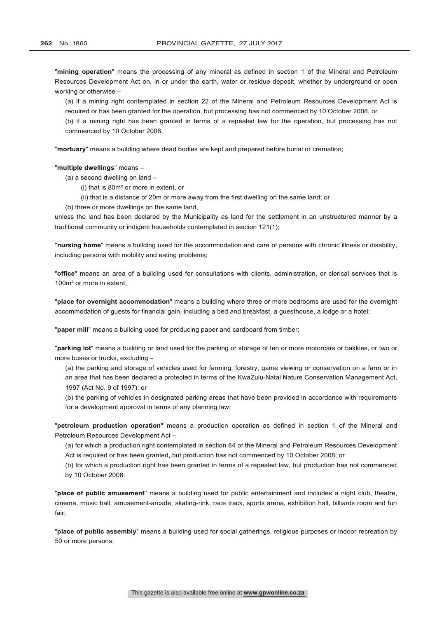"**mining operation**" means the processing of any mineral as defined in section 1 of the Mineral and Petroleum Resources Development Act on, in or under the earth, water or residue deposit, whether by underground or open working or otherwise –

(a) if a mining right contemplated in section 22 of the Mineral and Petroleum Resources Development Act is required or has been granted for the operation, but processing has not commenced by 10 October 2008, or

(b) if a mining right has been granted in terms of a repealed law for the operation, but processing has not commenced by 10 October 2008;

"**mortuary**" means a building where dead bodies are kept and prepared before burial or cremation;

"**multiple dwellings**" means –

(a) a second dwelling on land –

(i) that is 80m² or more in extent, or

- (ii) that is a distance of 20m or more away from the first dwelling on the same land; or
- (b) three or more dwellings on the same land,

unless the land has been declared by the Municipality as land for the settlement in an unstructured manner by a traditional community or indigent households contemplated in section 121(1);

"**nursing home**" means a building used for the accommodation and care of persons with chronic illness or disability, including persons with mobility and eating problems;

"**office**" means an area of a building used for consultations with clients, administration, or clerical services that is 100m² or more in extent;

"**place for overnight accommodation**" means a building where three or more bedrooms are used for the overnight accommodation of guests for financial gain, including a bed and breakfast, a guesthouse, a lodge or a hotel;

"**paper mill**" means a building used for producing paper and cardboard from timber;

"**parking lot**" means a building or land used for the parking or storage of ten or more motorcars or bakkies, or two or more buses or trucks, excluding -

(a) the parking and storage of vehicles used for farming, forestry, game viewing or conservation on a farm or in an area that has been declared a protected in terms of the KwaZulu-Natal Nature Conservation Management Act, 1997 (Act No. 9 of 1997); or

(b) the parking of vehicles in designated parking areas that have been provided in accordance with requirements for a development approval in terms of any planning law;

"**petroleum production operation**" means a production operation as defined in section 1 of the Mineral and Petroleum Resources Development Act –

(a) for which a production right contemplated in section 84 of the Mineral and Petroleum Resources Development Act is required or has been granted, but production has not commenced by 10 October 2008; or

(b) for which a production right has been granted in terms of a repealed law, but production has not commenced by 10 October 2008;

"**place of public amusement**" means a building used for public entertainment and includes a night club, theatre, cinema, music hall, amusement-arcade, skating-rink, race track, sports arena, exhibition hall, billiards room and fun fair;

"**place of public assembly**" means a building used for social gatherings, religious purposes or indoor recreation by 50 or more persons;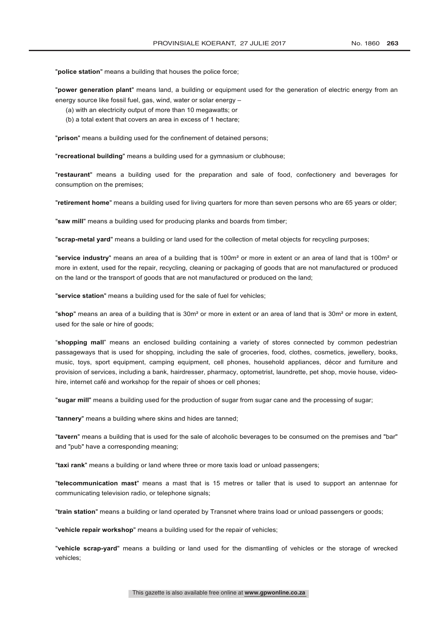"**police station**" means a building that houses the police force;

"**power generation plant**" means land, a building or equipment used for the generation of electric energy from an energy source like fossil fuel, gas, wind, water or solar energy –

- (a) with an electricity output of more than 10 megawatts; or
- (b) a total extent that covers an area in excess of 1 hectare;

"**prison**" means a building used for the confinement of detained persons;

"**recreational building**" means a building used for a gymnasium or clubhouse;

"**restaurant**" means a building used for the preparation and sale of food, confectionery and beverages for consumption on the premises;

"**retirement home**" means a building used for living quarters for more than seven persons who are 65 years or older;

"**saw mill**" means a building used for producing planks and boards from timber;

"**scrap-metal yard**" means a building or land used for the collection of metal objects for recycling purposes;

"**service industry**" means an area of a building that is 100m² or more in extent or an area of land that is 100m² or more in extent, used for the repair, recycling, cleaning or packaging of goods that are not manufactured or produced on the land or the transport of goods that are not manufactured or produced on the land;

"**service station**" means a building used for the sale of fuel for vehicles;

"**shop**" means an area of a building that is 30m² or more in extent or an area of land that is 30m² or more in extent, used for the sale or hire of goods;

"**shopping mall**" means an enclosed building containing a variety of stores connected by common pedestrian passageways that is used for shopping, including the sale of groceries, food, clothes, cosmetics, jewellery, books, music, toys, sport equipment, camping equipment, cell phones, household appliances, décor and furniture and provision of services, including a bank, hairdresser, pharmacy, optometrist, laundrette, pet shop, movie house, videohire, internet café and workshop for the repair of shoes or cell phones;

"**sugar mill**" means a building used for the production of sugar from sugar cane and the processing of sugar;

"**tannery**" means a building where skins and hides are tanned;

"**tavern**" means a building that is used for the sale of alcoholic beverages to be consumed on the premises and "bar" and "pub" have a corresponding meaning;

"**taxi rank**" means a building or land where three or more taxis load or unload passengers;

"**telecommunication mast**" means a mast that is 15 metres or taller that is used to support an antennae for communicating television radio, or telephone signals;

"**train station**" means a building or land operated by Transnet where trains load or unload passengers or goods;

"**vehicle repair workshop**" means a building used for the repair of vehicles;

"**vehicle scrap-yard**" means a building or land used for the dismantling of vehicles or the storage of wrecked vehicles;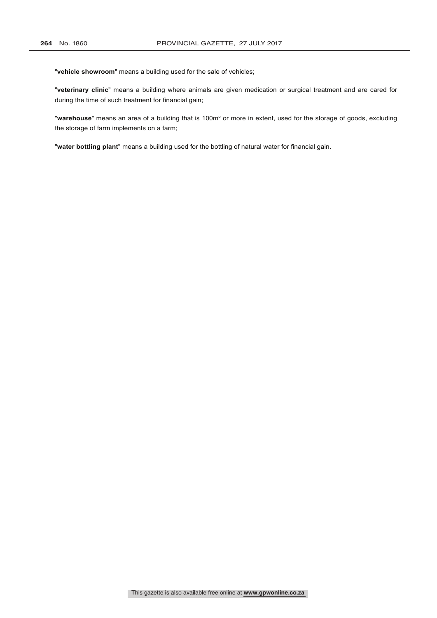"**vehicle showroom**" means a building used for the sale of vehicles;

"**veterinary clinic**" means a building where animals are given medication or surgical treatment and are cared for during the time of such treatment for financial gain;

"**warehouse**" means an area of a building that is 100m² or more in extent, used for the storage of goods, excluding the storage of farm implements on a farm;

"**water bottling plant**" means a building used for the bottling of natural water for financial gain.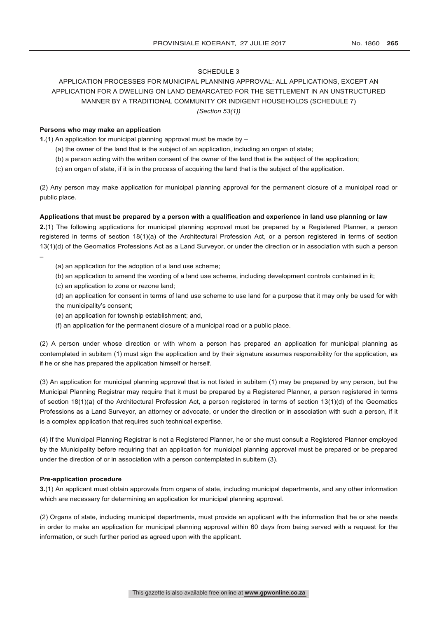#### SCHEDULE 3

## APPLICATION PROCESSES FOR MUNICIPAL PLANNING APPROVAL: ALL APPLICATIONS, EXCEPT AN APPLICATION FOR A DWELLING ON LAND DEMARCATED FOR THE SETTLEMENT IN AN UNSTRUCTURED MANNER BY A TRADITIONAL COMMUNITY OR INDIGENT HOUSEHOLDS (SCHEDULE 7) *(Section 53(1))*

#### **Persons who may make an application**

**1.**(1) An application for municipal planning approval must be made by –

- (a) the owner of the land that is the subject of an application, including an organ of state;
- (b) a person acting with the written consent of the owner of the land that is the subject of the application;
- (c) an organ of state, if it is in the process of acquiring the land that is the subject of the application.

(2) Any person may make application for municipal planning approval for the permanent closure of a municipal road or public place.

#### **Applications that must be prepared by a person with a qualification and experience in land use planning or law**

**2.**(1) The following applications for municipal planning approval must be prepared by a Registered Planner, a person registered in terms of section 18(1)(a) of the Architectural Profession Act, or a person registered in terms of section 13(1)(d) of the Geomatics Professions Act as a Land Surveyor, or under the direction or in association with such a person

- (a) an application for the adoption of a land use scheme;
- (b) an application to amend the wording of a land use scheme, including development controls contained in it;
- (c) an application to zone or rezone land;

–

- (d) an application for consent in terms of land use scheme to use land for a purpose that it may only be used for with the municipality's consent;
- (e) an application for township establishment; and,
- (f) an application for the permanent closure of a municipal road or a public place.

(2) A person under whose direction or with whom a person has prepared an application for municipal planning as contemplated in subitem (1) must sign the application and by their signature assumes responsibility for the application, as if he or she has prepared the application himself or herself.

(3) An application for municipal planning approval that is not listed in subitem (1) may be prepared by any person, but the Municipal Planning Registrar may require that it must be prepared by a Registered Planner, a person registered in terms of section 18(1)(a) of the Architectural Profession Act, a person registered in terms of section 13(1)(d) of the Geomatics Professions as a Land Surveyor, an attorney or advocate, or under the direction or in association with such a person, if it is a complex application that requires such technical expertise.

(4) If the Municipal Planning Registrar is not a Registered Planner, he or she must consult a Registered Planner employed by the Municipality before requiring that an application for municipal planning approval must be prepared or be prepared under the direction of or in association with a person contemplated in subitem (3).

#### **Pre-application procedure**

**3.**(1) An applicant must obtain approvals from organs of state, including municipal departments, and any other information which are necessary for determining an application for municipal planning approval.

(2) Organs of state, including municipal departments, must provide an applicant with the information that he or she needs in order to make an application for municipal planning approval within 60 days from being served with a request for the information, or such further period as agreed upon with the applicant.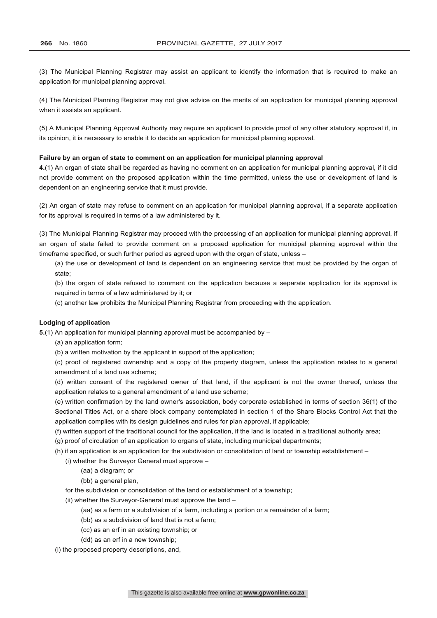(3) The Municipal Planning Registrar may assist an applicant to identify the information that is required to make an application for municipal planning approval.

(4) The Municipal Planning Registrar may not give advice on the merits of an application for municipal planning approval when it assists an applicant.

(5) A Municipal Planning Approval Authority may require an applicant to provide proof of any other statutory approval if, in its opinion, it is necessary to enable it to decide an application for municipal planning approval.

#### **Failure by an organ of state to comment on an application for municipal planning approval**

**4.**(1) An organ of state shall be regarded as having no comment on an application for municipal planning approval, if it did not provide comment on the proposed application within the time permitted, unless the use or development of land is dependent on an engineering service that it must provide.

(2) An organ of state may refuse to comment on an application for municipal planning approval, if a separate application for its approval is required in terms of a law administered by it.

(3) The Municipal Planning Registrar may proceed with the processing of an application for municipal planning approval, if an organ of state failed to provide comment on a proposed application for municipal planning approval within the timeframe specified, or such further period as agreed upon with the organ of state, unless –

(a) the use or development of land is dependent on an engineering service that must be provided by the organ of state;

(b) the organ of state refused to comment on the application because a separate application for its approval is required in terms of a law administered by it; or

(c) another law prohibits the Municipal Planning Registrar from proceeding with the application.

#### **Lodging of application**

**5.**(1) An application for municipal planning approval must be accompanied by –

(a) an application form;

(b) a written motivation by the applicant in support of the application;

(c) proof of registered ownership and a copy of the property diagram, unless the application relates to a general amendment of a land use scheme;

(d) written consent of the registered owner of that land, if the applicant is not the owner thereof, unless the application relates to a general amendment of a land use scheme;

(e) written confirmation by the land owner's association, body corporate established in terms of section 36(1) of the Sectional Titles Act, or a share block company contemplated in section 1 of the Share Blocks Control Act that the application complies with its design guidelines and rules for plan approval, if applicable;

(f) written support of the traditional council for the application, if the land is located in a traditional authority area;

- (g) proof of circulation of an application to organs of state, including municipal departments;
- (h) if an application is an application for the subdivision or consolidation of land or township establishment
	- (i) whether the Surveyor General must approve
		- (aa) a diagram; or
		- (bb) a general plan.

for the subdivision or consolidation of the land or establishment of a township;

(ii) whether the Surveyor-General must approve the land –

- (aa) as a farm or a subdivision of a farm, including a portion or a remainder of a farm;
- (bb) as a subdivision of land that is not a farm;
- (cc) as an erf in an existing township; or
- (dd) as an erf in a new township;

(i) the proposed property descriptions, and,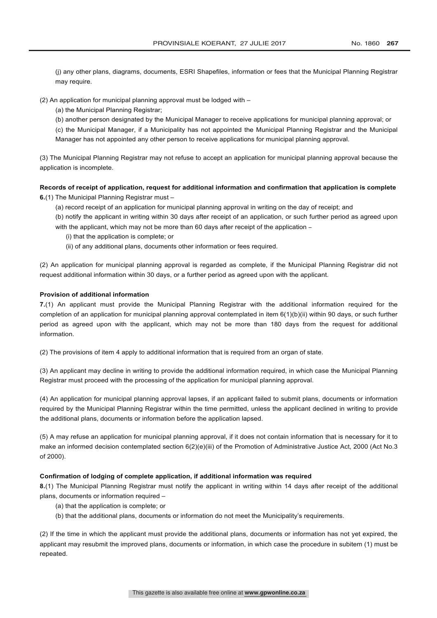(j) any other plans, diagrams, documents, ESRI Shapefiles, information or fees that the Municipal Planning Registrar may require.

(2) An application for municipal planning approval must be lodged with –

(a) the Municipal Planning Registrar;

(b) another person designated by the Municipal Manager to receive applications for municipal planning approval; or

(c) the Municipal Manager, if a Municipality has not appointed the Municipal Planning Registrar and the Municipal Manager has not appointed any other person to receive applications for municipal planning approval.

(3) The Municipal Planning Registrar may not refuse to accept an application for municipal planning approval because the application is incomplete.

## **Records of receipt of application, request for additional information and confirmation that application is complete**

**6.**(1) The Municipal Planning Registrar must –

(a) record receipt of an application for municipal planning approval in writing on the day of receipt; and

(b) notify the applicant in writing within 30 days after receipt of an application, or such further period as agreed upon with the applicant, which may not be more than 60 days after receipt of the application -

(i) that the application is complete; or

(ii) of any additional plans, documents other information or fees required.

(2) An application for municipal planning approval is regarded as complete, if the Municipal Planning Registrar did not request additional information within 30 days, or a further period as agreed upon with the applicant.

#### **Provision of additional information**

**7.**(1) An applicant must provide the Municipal Planning Registrar with the additional information required for the completion of an application for municipal planning approval contemplated in item 6(1)(b)(ii) within 90 days, or such further period as agreed upon with the applicant, which may not be more than 180 days from the request for additional information.

(2) The provisions of item 4 apply to additional information that is required from an organ of state.

(3) An applicant may decline in writing to provide the additional information required, in which case the Municipal Planning Registrar must proceed with the processing of the application for municipal planning approval.

(4) An application for municipal planning approval lapses, if an applicant failed to submit plans, documents or information required by the Municipal Planning Registrar within the time permitted, unless the applicant declined in writing to provide the additional plans, documents or information before the application lapsed.

(5) A may refuse an application for municipal planning approval, if it does not contain information that is necessary for it to make an informed decision contemplated section 6(2)(e)(iii) of the Promotion of Administrative Justice Act, 2000 (Act No.3 of 2000).

#### **Confirmation of lodging of complete application, if additional information was required**

**8.**(1) The Municipal Planning Registrar must notify the applicant in writing within 14 days after receipt of the additional plans, documents or information required –

- (a) that the application is complete; or
- (b) that the additional plans, documents or information do not meet the Municipality's requirements.

(2) If the time in which the applicant must provide the additional plans, documents or information has not yet expired, the applicant may resubmit the improved plans, documents or information, in which case the procedure in subitem (1) must be repeated.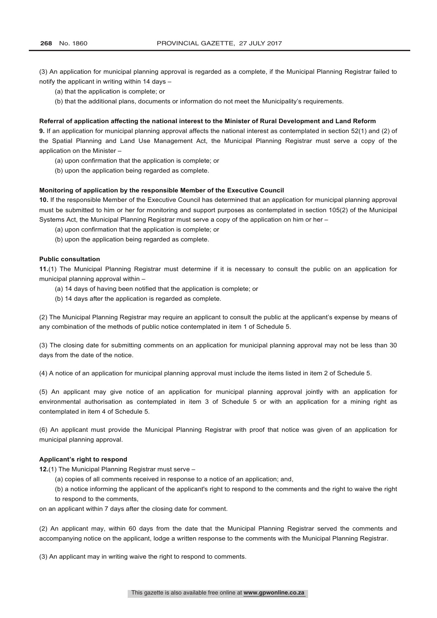(3) An application for municipal planning approval is regarded as a complete, if the Municipal Planning Registrar failed to notify the applicant in writing within 14 days –

- (a) that the application is complete; or
- (b) that the additional plans, documents or information do not meet the Municipality's requirements.

#### **Referral of application affecting the national interest to the Minister of Rural Development and Land Reform**

**9.** If an application for municipal planning approval affects the national interest as contemplated in section 52(1) and (2) of the Spatial Planning and Land Use Management Act, the Municipal Planning Registrar must serve a copy of the application on the Minister –

- (a) upon confirmation that the application is complete; or
- (b) upon the application being regarded as complete.

#### **Monitoring of application by the responsible Member of the Executive Council**

**10.** If the responsible Member of the Executive Council has determined that an application for municipal planning approval must be submitted to him or her for monitoring and support purposes as contemplated in section 105(2) of the Municipal Systems Act, the Municipal Planning Registrar must serve a copy of the application on him or her –

- (a) upon confirmation that the application is complete; or
- (b) upon the application being regarded as complete.

#### **Public consultation**

**11.**(1) The Municipal Planning Registrar must determine if it is necessary to consult the public on an application for municipal planning approval within –

- (a) 14 days of having been notified that the application is complete; or
- (b) 14 days after the application is regarded as complete.

(2) The Municipal Planning Registrar may require an applicant to consult the public at the applicant's expense by means of any combination of the methods of public notice contemplated in item 1 of Schedule 5.

(3) The closing date for submitting comments on an application for municipal planning approval may not be less than 30 days from the date of the notice.

(4) A notice of an application for municipal planning approval must include the items listed in item 2 of Schedule 5.

(5) An applicant may give notice of an application for municipal planning approval jointly with an application for environmental authorisation as contemplated in item 3 of Schedule 5 or with an application for a mining right as contemplated in item 4 of Schedule 5.

(6) An applicant must provide the Municipal Planning Registrar with proof that notice was given of an application for municipal planning approval.

#### **Applicant's right to respond**

**12.**(1) The Municipal Planning Registrar must serve –

(a) copies of all comments received in response to a notice of an application; and,

(b) a notice informing the applicant of the applicant's right to respond to the comments and the right to waive the right to respond to the comments,

on an applicant within 7 days after the closing date for comment.

(2) An applicant may, within 60 days from the date that the Municipal Planning Registrar served the comments and accompanying notice on the applicant, lodge a written response to the comments with the Municipal Planning Registrar.

(3) An applicant may in writing waive the right to respond to comments.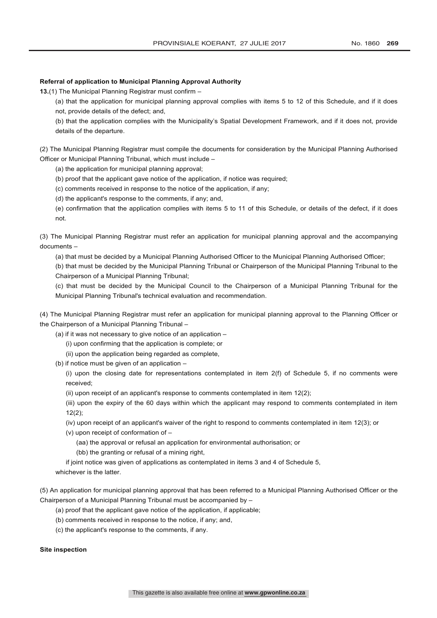#### **Referral of application to Municipal Planning Approval Authority**

**13.**(1) The Municipal Planning Registrar must confirm –

(a) that the application for municipal planning approval complies with items 5 to 12 of this Schedule, and if it does not, provide details of the defect; and,

(b) that the application complies with the Municipality's Spatial Development Framework, and if it does not, provide details of the departure.

(2) The Municipal Planning Registrar must compile the documents for consideration by the Municipal Planning Authorised Officer or Municipal Planning Tribunal, which must include –

(a) the application for municipal planning approval;

(b) proof that the applicant gave notice of the application, if notice was required;

(c) comments received in response to the notice of the application, if any;

(d) the applicant's response to the comments, if any; and,

(e) confirmation that the application complies with items 5 to 11 of this Schedule, or details of the defect, if it does not.

(3) The Municipal Planning Registrar must refer an application for municipal planning approval and the accompanying documents –

(a) that must be decided by a Municipal Planning Authorised Officer to the Municipal Planning Authorised Officer;

(b) that must be decided by the Municipal Planning Tribunal or Chairperson of the Municipal Planning Tribunal to the Chairperson of a Municipal Planning Tribunal;

(c) that must be decided by the Municipal Council to the Chairperson of a Municipal Planning Tribunal for the Municipal Planning Tribunal's technical evaluation and recommendation.

(4) The Municipal Planning Registrar must refer an application for municipal planning approval to the Planning Officer or the Chairperson of a Municipal Planning Tribunal –

(a) if it was not necessary to give notice of an application –

- (i) upon confirming that the application is complete; or
- (ii) upon the application being regarded as complete,
- (b) if notice must be given of an application –

(i) upon the closing date for representations contemplated in item 2(f) of Schedule 5, if no comments were received;

(ii) upon receipt of an applicant's response to comments contemplated in item 12(2);

(iii) upon the expiry of the 60 days within which the applicant may respond to comments contemplated in item 12(2);

(iv) upon receipt of an applicant's waiver of the right to respond to comments contemplated in item 12(3); or

- (v) upon receipt of conformation of
	- (aa) the approval or refusal an application for environmental authorisation; or
	- (bb) the granting or refusal of a mining right,

if joint notice was given of applications as contemplated in items 3 and 4 of Schedule 5,

whichever is the latter.

(5) An application for municipal planning approval that has been referred to a Municipal Planning Authorised Officer or the Chairperson of a Municipal Planning Tribunal must be accompanied by –

(a) proof that the applicant gave notice of the application, if applicable;

(b) comments received in response to the notice, if any; and,

(c) the applicant's response to the comments, if any.

#### **Site inspection**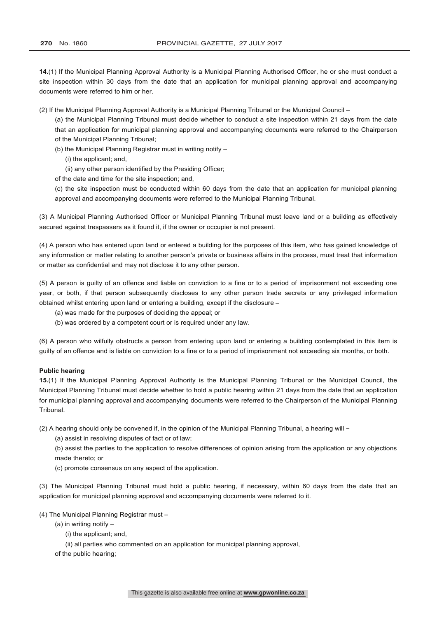**14.**(1) If the Municipal Planning Approval Authority is a Municipal Planning Authorised Officer, he or she must conduct a site inspection within 30 days from the date that an application for municipal planning approval and accompanying documents were referred to him or her.

(2) If the Municipal Planning Approval Authority is a Municipal Planning Tribunal or the Municipal Council –

(a) the Municipal Planning Tribunal must decide whether to conduct a site inspection within 21 days from the date that an application for municipal planning approval and accompanying documents were referred to the Chairperson of the Municipal Planning Tribunal;

- (b) the Municipal Planning Registrar must in writing notify
	- (i) the applicant; and,
	- (ii) any other person identified by the Presiding Officer;
- of the date and time for the site inspection; and,

(c) the site inspection must be conducted within 60 days from the date that an application for municipal planning approval and accompanying documents were referred to the Municipal Planning Tribunal.

(3) A Municipal Planning Authorised Officer or Municipal Planning Tribunal must leave land or a building as effectively secured against trespassers as it found it, if the owner or occupier is not present.

(4) A person who has entered upon land or entered a building for the purposes of this item, who has gained knowledge of any information or matter relating to another person's private or business affairs in the process, must treat that information or matter as confidential and may not disclose it to any other person.

(5) A person is guilty of an offence and liable on conviction to a fine or to a period of imprisonment not exceeding one year, or both, if that person subsequently discloses to any other person trade secrets or any privileged information obtained whilst entering upon land or entering a building, except if the disclosure –

- (a) was made for the purposes of deciding the appeal; or
- (b) was ordered by a competent court or is required under any law.

(6) A person who wilfully obstructs a person from entering upon land or entering a building contemplated in this item is guilty of an offence and is liable on conviction to a fine or to a period of imprisonment not exceeding six months, or both.

#### **Public hearing**

**15.**(1) If the Municipal Planning Approval Authority is the Municipal Planning Tribunal or the Municipal Council, the Municipal Planning Tribunal must decide whether to hold a public hearing within 21 days from the date that an application for municipal planning approval and accompanying documents were referred to the Chairperson of the Municipal Planning Tribunal.

(2) A hearing should only be convened if, in the opinion of the Municipal Planning Tribunal, a hearing will −

(a) assist in resolving disputes of fact or of law;

(b) assist the parties to the application to resolve differences of opinion arising from the application or any objections made thereto; or

(c) promote consensus on any aspect of the application.

(3) The Municipal Planning Tribunal must hold a public hearing, if necessary, within 60 days from the date that an application for municipal planning approval and accompanying documents were referred to it.

(4) The Municipal Planning Registrar must –

- (a) in writing notify
	- (i) the applicant; and,
	- (ii) all parties who commented on an application for municipal planning approval,

of the public hearing;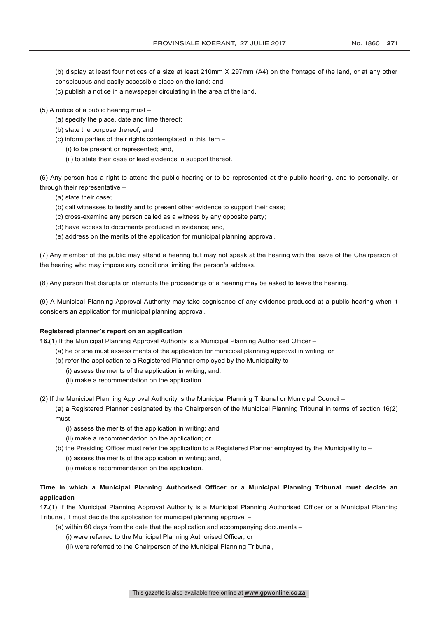(b) display at least four notices of a size at least 210mm X 297mm (A4) on the frontage of the land, or at any other conspicuous and easily accessible place on the land; and,

- (c) publish a notice in a newspaper circulating in the area of the land.
- (5) A notice of a public hearing must
	- (a) specify the place, date and time thereof;
	- (b) state the purpose thereof; and
	- (c) inform parties of their rights contemplated in this item
		- (i) to be present or represented; and,
		- (ii) to state their case or lead evidence in support thereof.

(6) Any person has a right to attend the public hearing or to be represented at the public hearing, and to personally, or through their representative –

- (a) state their case;
- (b) call witnesses to testify and to present other evidence to support their case;
- (c) cross-examine any person called as a witness by any opposite party;
- (d) have access to documents produced in evidence; and,
- (e) address on the merits of the application for municipal planning approval.

(7) Any member of the public may attend a hearing but may not speak at the hearing with the leave of the Chairperson of the hearing who may impose any conditions limiting the person's address.

(8) Any person that disrupts or interrupts the proceedings of a hearing may be asked to leave the hearing.

(9) A Municipal Planning Approval Authority may take cognisance of any evidence produced at a public hearing when it considers an application for municipal planning approval.

#### **Registered planner's report on an application**

**16.**(1) If the Municipal Planning Approval Authority is a Municipal Planning Authorised Officer –

- (a) he or she must assess merits of the application for municipal planning approval in writing; or
- (b) refer the application to a Registered Planner employed by the Municipality to
	- (i) assess the merits of the application in writing; and,
	- (ii) make a recommendation on the application.

(2) If the Municipal Planning Approval Authority is the Municipal Planning Tribunal or Municipal Council –

(a) a Registered Planner designated by the Chairperson of the Municipal Planning Tribunal in terms of section 16(2) must –

- (i) assess the merits of the application in writing; and
- (ii) make a recommendation on the application; or
- (b) the Presiding Officer must refer the application to a Registered Planner employed by the Municipality to
	- (i) assess the merits of the application in writing; and,
	- (ii) make a recommendation on the application.

## **Time in which a Municipal Planning Authorised Officer or a Municipal Planning Tribunal must decide an application**

**17.**(1) If the Municipal Planning Approval Authority is a Municipal Planning Authorised Officer or a Municipal Planning Tribunal, it must decide the application for municipal planning approval –

- (a) within 60 days from the date that the application and accompanying documents
	- (i) were referred to the Municipal Planning Authorised Officer, or
	- (ii) were referred to the Chairperson of the Municipal Planning Tribunal,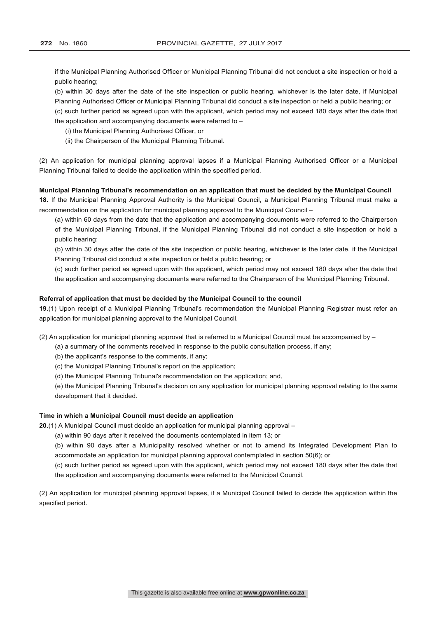if the Municipal Planning Authorised Officer or Municipal Planning Tribunal did not conduct a site inspection or hold a public hearing;

(b) within 30 days after the date of the site inspection or public hearing, whichever is the later date, if Municipal Planning Authorised Officer or Municipal Planning Tribunal did conduct a site inspection or held a public hearing; or (c) such further period as agreed upon with the applicant, which period may not exceed 180 days after the date that the application and accompanying documents were referred to –

- (i) the Municipal Planning Authorised Officer, or
- (ii) the Chairperson of the Municipal Planning Tribunal.

(2) An application for municipal planning approval lapses if a Municipal Planning Authorised Officer or a Municipal Planning Tribunal failed to decide the application within the specified period.

### **Municipal Planning Tribunal's recommendation on an application that must be decided by the Municipal Council**

**18.** If the Municipal Planning Approval Authority is the Municipal Council, a Municipal Planning Tribunal must make a recommendation on the application for municipal planning approval to the Municipal Council –

(a) within 60 days from the date that the application and accompanying documents were referred to the Chairperson of the Municipal Planning Tribunal, if the Municipal Planning Tribunal did not conduct a site inspection or hold a public hearing;

(b) within 30 days after the date of the site inspection or public hearing, whichever is the later date, if the Municipal Planning Tribunal did conduct a site inspection or held a public hearing; or

(c) such further period as agreed upon with the applicant, which period may not exceed 180 days after the date that the application and accompanying documents were referred to the Chairperson of the Municipal Planning Tribunal.

#### **Referral of application that must be decided by the Municipal Council to the council**

**19.**(1) Upon receipt of a Municipal Planning Tribunal's recommendation the Municipal Planning Registrar must refer an application for municipal planning approval to the Municipal Council.

(2) An application for municipal planning approval that is referred to a Municipal Council must be accompanied by –

(a) a summary of the comments received in response to the public consultation process, if any;

- (b) the applicant's response to the comments, if any;
- (c) the Municipal Planning Tribunal's report on the application;
- (d) the Municipal Planning Tribunal's recommendation on the application; and,

(e) the Municipal Planning Tribunal's decision on any application for municipal planning approval relating to the same development that it decided.

#### **Time in which a Municipal Council must decide an application**

**20.**(1) A Municipal Council must decide an application for municipal planning approval –

(a) within 90 days after it received the documents contemplated in item 13; or

(b) within 90 days after a Municipality resolved whether or not to amend its Integrated Development Plan to accommodate an application for municipal planning approval contemplated in section 50(6); or

(c) such further period as agreed upon with the applicant, which period may not exceed 180 days after the date that the application and accompanying documents were referred to the Municipal Council.

(2) An application for municipal planning approval lapses, if a Municipal Council failed to decide the application within the specified period.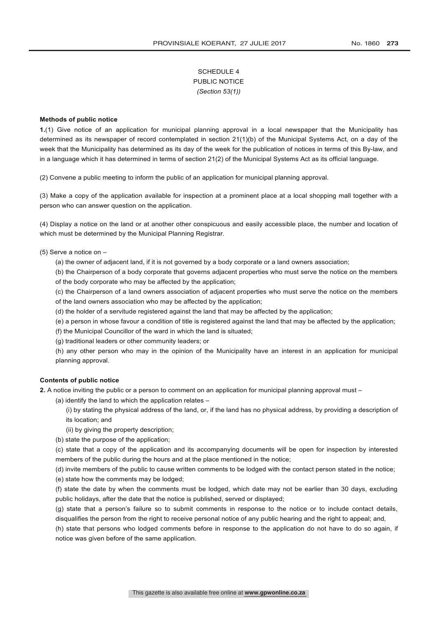# SCHEDULE 4 PUBLIC NOTICE *(Section 53(1))*

## **Methods of public notice**

**1.**(1) Give notice of an application for municipal planning approval in a local newspaper that the Municipality has determined as its newspaper of record contemplated in section 21(1)(b) of the Municipal Systems Act, on a day of the week that the Municipality has determined as its day of the week for the publication of notices in terms of this By-law, and in a language which it has determined in terms of section 21(2) of the Municipal Systems Act as its official language.

(2) Convene a public meeting to inform the public of an application for municipal planning approval.

(3) Make a copy of the application available for inspection at a prominent place at a local shopping mall together with a person who can answer question on the application.

(4) Display a notice on the land or at another other conspicuous and easily accessible place, the number and location of which must be determined by the Municipal Planning Registrar.

# (5) Serve a notice on –

- (a) the owner of adjacent land, if it is not governed by a body corporate or a land owners association;
- (b) the Chairperson of a body corporate that governs adjacent properties who must serve the notice on the members of the body corporate who may be affected by the application;
- (c) the Chairperson of a land owners association of adjacent properties who must serve the notice on the members of the land owners association who may be affected by the application;
- (d) the holder of a servitude registered against the land that may be affected by the application;
- (e) a person in whose favour a condition of title is registered against the land that may be affected by the application;
- (f) the Municipal Councillor of the ward in which the land is situated;
- (g) traditional leaders or other community leaders; or

(h) any other person who may in the opinion of the Municipality have an interest in an application for municipal planning approval.

# **Contents of public notice**

**2.** A notice inviting the public or a person to comment on an application for municipal planning approval must –

- (a) identify the land to which the application relates
	- (i) by stating the physical address of the land, or, if the land has no physical address, by providing a description of its location; and
	- (ii) by giving the property description;
- (b) state the purpose of the application;

(c) state that a copy of the application and its accompanying documents will be open for inspection by interested members of the public during the hours and at the place mentioned in the notice;

(d) invite members of the public to cause written comments to be lodged with the contact person stated in the notice;

(e) state how the comments may be lodged;

(f) state the date by when the comments must be lodged, which date may not be earlier than 30 days, excluding public holidays, after the date that the notice is published, served or displayed;

(g) state that a person's failure so to submit comments in response to the notice or to include contact details, disqualifies the person from the right to receive personal notice of any public hearing and the right to appeal; and,

(h) state that persons who lodged comments before in response to the application do not have to do so again, if notice was given before of the same application.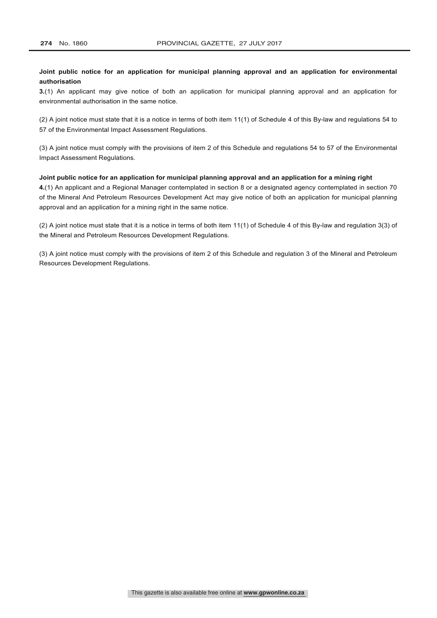# **Joint public notice for an application for municipal planning approval and an application for environmental authorisation**

**3.**(1) An applicant may give notice of both an application for municipal planning approval and an application for environmental authorisation in the same notice.

(2) A joint notice must state that it is a notice in terms of both item 11(1) of Schedule 4 of this By-law and regulations 54 to 57 of the Environmental Impact Assessment Regulations.

(3) A joint notice must comply with the provisions of item 2 of this Schedule and regulations 54 to 57 of the Environmental Impact Assessment Regulations.

# **Joint public notice for an application for municipal planning approval and an application for a mining right**

**4.**(1) An applicant and a Regional Manager contemplated in section 8 or a designated agency contemplated in section 70 of the Mineral And Petroleum Resources Development Act may give notice of both an application for municipal planning approval and an application for a mining right in the same notice.

(2) A joint notice must state that it is a notice in terms of both item 11(1) of Schedule 4 of this By-law and regulation 3(3) of the Mineral and Petroleum Resources Development Regulations.

(3) A joint notice must comply with the provisions of item 2 of this Schedule and regulation 3 of the Mineral and Petroleum Resources Development Regulations.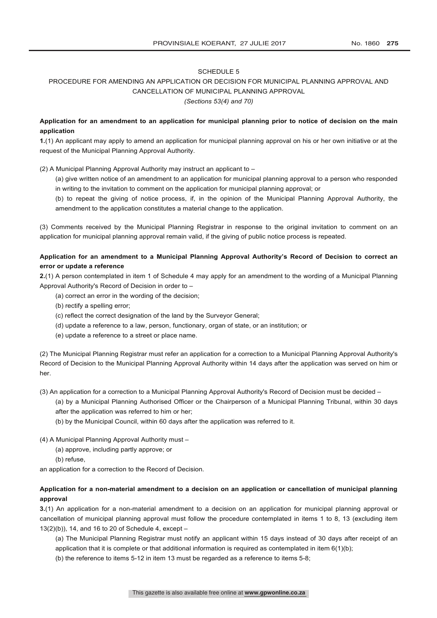# PROCEDURE FOR AMENDING AN APPLICATION OR DECISION FOR MUNICIPAL PLANNING APPROVAL AND CANCELLATION OF MUNICIPAL PLANNING APPROVAL *(Sections 53(4) and 70)*

# **Application for an amendment to an application for municipal planning prior to notice of decision on the main application**

**1.**(1) An applicant may apply to amend an application for municipal planning approval on his or her own initiative or at the request of the Municipal Planning Approval Authority.

(2) A Municipal Planning Approval Authority may instruct an applicant to –

- (a) give written notice of an amendment to an application for municipal planning approval to a person who responded in writing to the invitation to comment on the application for municipal planning approval; or
- (b) to repeat the giving of notice process, if, in the opinion of the Municipal Planning Approval Authority, the amendment to the application constitutes a material change to the application.

(3) Comments received by the Municipal Planning Registrar in response to the original invitation to comment on an application for municipal planning approval remain valid, if the giving of public notice process is repeated.

# **Application for an amendment to a Municipal Planning Approval Authority's Record of Decision to correct an error or update a reference**

**2.**(1) A person contemplated in item 1 of Schedule 4 may apply for an amendment to the wording of a Municipal Planning Approval Authority's Record of Decision in order to –

- (a) correct an error in the wording of the decision;
- (b) rectify a spelling error;
- (c) reflect the correct designation of the land by the Surveyor General;
- (d) update a reference to a law, person, functionary, organ of state, or an institution; or
- (e) update a reference to a street or place name.

(2) The Municipal Planning Registrar must refer an application for a correction to a Municipal Planning Approval Authority's Record of Decision to the Municipal Planning Approval Authority within 14 days after the application was served on him or her.

(3) An application for a correction to a Municipal Planning Approval Authority's Record of Decision must be decided –

(a) by a Municipal Planning Authorised Officer or the Chairperson of a Municipal Planning Tribunal, within 30 days after the application was referred to him or her;

- (b) by the Municipal Council, within 60 days after the application was referred to it.
- (4) A Municipal Planning Approval Authority must
	- (a) approve, including partly approve; or
	- (b) refuse,

an application for a correction to the Record of Decision.

# **Application for a non-material amendment to a decision on an application or cancellation of municipal planning approval**

**3.**(1) An application for a non-material amendment to a decision on an application for municipal planning approval or cancellation of municipal planning approval must follow the procedure contemplated in items 1 to 8, 13 (excluding item 13(2)(b)), 14, and 16 to 20 of Schedule 4, except –

(a) The Municipal Planning Registrar must notify an applicant within 15 days instead of 30 days after receipt of an application that it is complete or that additional information is required as contemplated in item  $6(1)(b)$ ;

(b) the reference to items 5-12 in item 13 must be regarded as a reference to items 5-8;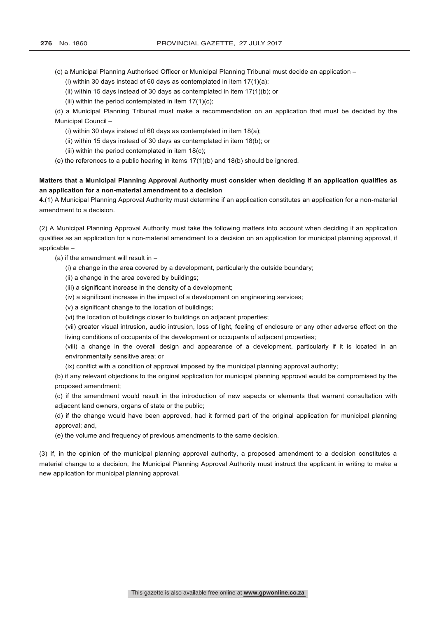- (c) a Municipal Planning Authorised Officer or Municipal Planning Tribunal must decide an application
	- (i) within 30 days instead of 60 days as contemplated in item  $17(1)(a)$ ;
	- (ii) within 15 days instead of 30 days as contemplated in item 17(1)(b); or
	- (iii) within the period contemplated in item  $17(1)(c)$ ;

(d) a Municipal Planning Tribunal must make a recommendation on an application that must be decided by the Municipal Council –

- (i) within 30 days instead of 60 days as contemplated in item 18(a);
- (ii) within 15 days instead of 30 days as contemplated in item 18(b); or
- (iii) within the period contemplated in item 18(c);
- (e) the references to a public hearing in items  $17(1)(b)$  and  $18(b)$  should be ignored.

# **Matters that a Municipal Planning Approval Authority must consider when deciding if an application qualifies as an application for a non-material amendment to a decision**

**4.**(1) A Municipal Planning Approval Authority must determine if an application constitutes an application for a non-material amendment to a decision.

(2) A Municipal Planning Approval Authority must take the following matters into account when deciding if an application qualifies as an application for a non-material amendment to a decision on an application for municipal planning approval, if applicable –

- (a) if the amendment will result in  $-$ 
	- (i) a change in the area covered by a development, particularly the outside boundary;
	- (ii) a change in the area covered by buildings;
	- (iii) a significant increase in the density of a development;
	- (iv) a significant increase in the impact of a development on engineering services;
	- (v) a significant change to the location of buildings;
	- (vi) the location of buildings closer to buildings on adjacent properties;

(vii) greater visual intrusion, audio intrusion, loss of light, feeling of enclosure or any other adverse effect on the living conditions of occupants of the development or occupants of adjacent properties;

(viii) a change in the overall design and appearance of a development, particularly if it is located in an environmentally sensitive area; or

(ix) conflict with a condition of approval imposed by the municipal planning approval authority;

(b) if any relevant objections to the original application for municipal planning approval would be compromised by the proposed amendment;

(c) if the amendment would result in the introduction of new aspects or elements that warrant consultation with adjacent land owners, organs of state or the public;

(d) if the change would have been approved, had it formed part of the original application for municipal planning approval; and,

(e) the volume and frequency of previous amendments to the same decision.

(3) If, in the opinion of the municipal planning approval authority, a proposed amendment to a decision constitutes a material change to a decision, the Municipal Planning Approval Authority must instruct the applicant in writing to make a new application for municipal planning approval.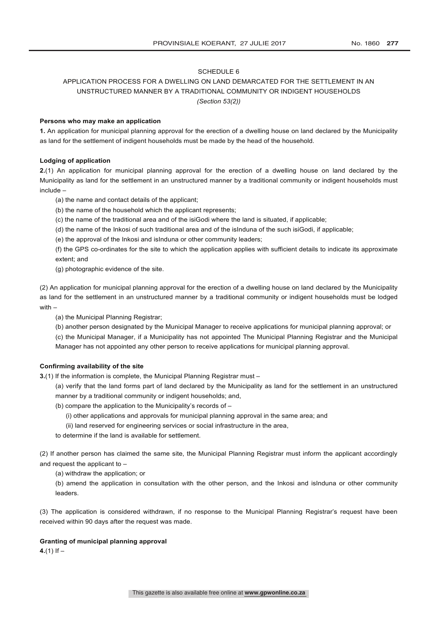# APPLICATION PROCESS FOR A DWELLING ON LAND DEMARCATED FOR THE SETTLEMENT IN AN UNSTRUCTURED MANNER BY A TRADITIONAL COMMUNITY OR INDIGENT HOUSEHOLDS *(Section 53(2))*

#### **Persons who may make an application**

**1.** An application for municipal planning approval for the erection of a dwelling house on land declared by the Municipality as land for the settlement of indigent households must be made by the head of the household.

# **Lodging of application**

**2.**(1) An application for municipal planning approval for the erection of a dwelling house on land declared by the Municipality as land for the settlement in an unstructured manner by a traditional community or indigent households must include –

- (a) the name and contact details of the applicant;
- (b) the name of the household which the applicant represents;
- (c) the name of the traditional area and of the isiGodi where the land is situated, if applicable;
- (d) the name of the Inkosi of such traditional area and of the isInduna of the such isiGodi, if applicable;
- (e) the approval of the Inkosi and isInduna or other community leaders;

(f) the GPS co-ordinates for the site to which the application applies with sufficient details to indicate its approximate extent; and

(g) photographic evidence of the site.

(2) An application for municipal planning approval for the erection of a dwelling house on land declared by the Municipality as land for the settlement in an unstructured manner by a traditional community or indigent households must be lodged with –

(a) the Municipal Planning Registrar;

(b) another person designated by the Municipal Manager to receive applications for municipal planning approval; or

(c) the Municipal Manager, if a Municipality has not appointed The Municipal Planning Registrar and the Municipal Manager has not appointed any other person to receive applications for municipal planning approval.

#### **Confirming availability of the site**

**3.**(1) If the information is complete, the Municipal Planning Registrar must –

(a) verify that the land forms part of land declared by the Municipality as land for the settlement in an unstructured manner by a traditional community or indigent households; and,

- (b) compare the application to the Municipality's records of
	- (i) other applications and approvals for municipal planning approval in the same area; and
	- (ii) land reserved for engineering services or social infrastructure in the area,
- to determine if the land is available for settlement.

(2) If another person has claimed the same site, the Municipal Planning Registrar must inform the applicant accordingly and request the applicant to –

(a) withdraw the application; or

(b) amend the application in consultation with the other person, and the Inkosi and isInduna or other community leaders.

(3) The application is considered withdrawn, if no response to the Municipal Planning Registrar's request have been received within 90 days after the request was made.

#### **Granting of municipal planning approval**

 $4.(1)$  If  $-$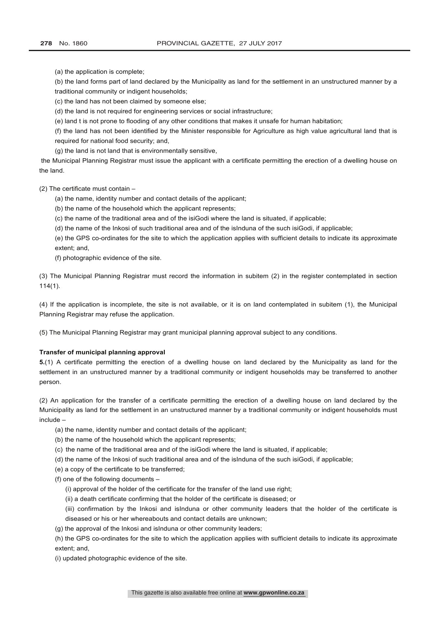(a) the application is complete;

(b) the land forms part of land declared by the Municipality as land for the settlement in an unstructured manner by a traditional community or indigent households;

(c) the land has not been claimed by someone else;

(d) the land is not required for engineering services or social infrastructure;

(e) land t is not prone to flooding of any other conditions that makes it unsafe for human habitation;

(f) the land has not been identified by the Minister responsible for Agriculture as high value agricultural land that is required for national food security; and,

(g) the land is not land that is environmentally sensitive,

the Municipal Planning Registrar must issue the applicant with a certificate permitting the erection of a dwelling house on the land.

(2) The certificate must contain –

(a) the name, identity number and contact details of the applicant;

(b) the name of the household which the applicant represents;

(c) the name of the traditional area and of the isiGodi where the land is situated, if applicable;

(d) the name of the Inkosi of such traditional area and of the isInduna of the such isiGodi, if applicable;

(e) the GPS co-ordinates for the site to which the application applies with sufficient details to indicate its approximate extent; and,

(f) photographic evidence of the site.

(3) The Municipal Planning Registrar must record the information in subitem (2) in the register contemplated in section 114(1).

(4) If the application is incomplete, the site is not available, or it is on land contemplated in subitem (1), the Municipal Planning Registrar may refuse the application.

(5) The Municipal Planning Registrar may grant municipal planning approval subject to any conditions.

# **Transfer of municipal planning approval**

**5.**(1) A certificate permitting the erection of a dwelling house on land declared by the Municipality as land for the settlement in an unstructured manner by a traditional community or indigent households may be transferred to another person.

(2) An application for the transfer of a certificate permitting the erection of a dwelling house on land declared by the Municipality as land for the settlement in an unstructured manner by a traditional community or indigent households must include –

- (a) the name, identity number and contact details of the applicant;
- (b) the name of the household which the applicant represents;
- (c) the name of the traditional area and of the isiGodi where the land is situated, if applicable;
- (d) the name of the Inkosi of such traditional area and of the isInduna of the such isiGodi, if applicable;
- (e) a copy of the certificate to be transferred;
- (f) one of the following documents
	- (i) approval of the holder of the certificate for the transfer of the land use right;
	- (ii) a death certificate confirming that the holder of the certificate is diseased; or
	- (iii) confirmation by the Inkosi and isInduna or other community leaders that the holder of the certificate is diseased or his or her whereabouts and contact details are unknown;
- (g) the approval of the Inkosi and isInduna or other community leaders;

(h) the GPS co-ordinates for the site to which the application applies with sufficient details to indicate its approximate extent; and,

(i) updated photographic evidence of the site.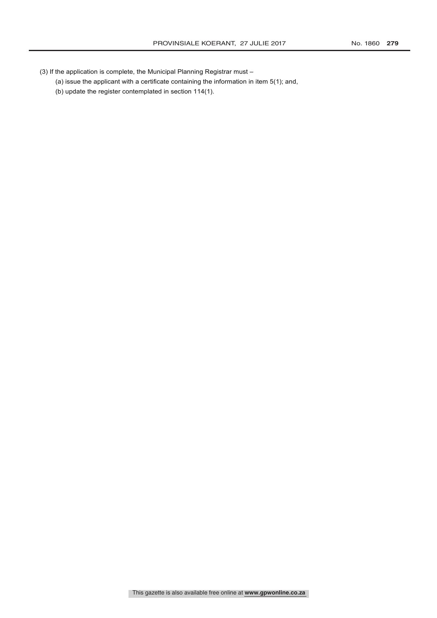- (3) If the application is complete, the Municipal Planning Registrar must
	- (a) issue the applicant with a certificate containing the information in item 5(1); and,
	- (b) update the register contemplated in section 114(1).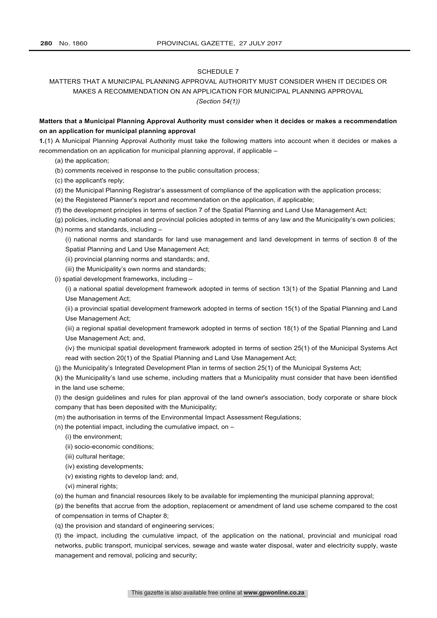# MATTERS THAT A MUNICIPAL PLANNING APPROVAL AUTHORITY MUST CONSIDER WHEN IT DECIDES OR MAKES A RECOMMENDATION ON AN APPLICATION FOR MUNICIPAL PLANNING APPROVAL *(Section 54(1))*

# **Matters that a Municipal Planning Approval Authority must consider when it decides or makes a recommendation on an application for municipal planning approval**

**1.**(1) A Municipal Planning Approval Authority must take the following matters into account when it decides or makes a recommendation on an application for municipal planning approval, if applicable –

- (a) the application;
- (b) comments received in response to the public consultation process;
- (c) the applicant's reply;
- (d) the Municipal Planning Registrar's assessment of compliance of the application with the application process;
- (e) the Registered Planner's report and recommendation on the application, if applicable;
- (f) the development principles in terms of section 7 of the Spatial Planning and Land Use Management Act;
- (g) policies, including national and provincial policies adopted in terms of any law and the Municipality's own policies;
- (h) norms and standards, including –

(i) national norms and standards for land use management and land development in terms of section 8 of the Spatial Planning and Land Use Management Act;

- (ii) provincial planning norms and standards; and,
- (iii) the Municipality's own norms and standards;
- (i) spatial development frameworks, including –

(i) a national spatial development framework adopted in terms of section 13(1) of the Spatial Planning and Land Use Management Act;

(ii) a provincial spatial development framework adopted in terms of section 15(1) of the Spatial Planning and Land Use Management Act;

(iii) a regional spatial development framework adopted in terms of section 18(1) of the Spatial Planning and Land Use Management Act; and,

(iv) the municipal spatial development framework adopted in terms of section 25(1) of the Municipal Systems Act read with section 20(1) of the Spatial Planning and Land Use Management Act;

(j) the Municipality's Integrated Development Plan in terms of section 25(1) of the Municipal Systems Act;

(k) the Municipality's land use scheme, including matters that a Municipality must consider that have been identified in the land use scheme;

(l) the design guidelines and rules for plan approval of the land owner's association, body corporate or share block company that has been deposited with the Municipality;

- (m) the authorisation in terms of the Environmental Impact Assessment Regulations;
- (n) the potential impact, including the cumulative impact, on  $-$ 
	- (i) the environment;
	- (ii) socio-economic conditions;
	- (iii) cultural heritage;
	- (iv) existing developments;
	- (v) existing rights to develop land; and,
	- (vi) mineral rights;

(o) the human and financial resources likely to be available for implementing the municipal planning approval;

(p) the benefits that accrue from the adoption, replacement or amendment of land use scheme compared to the cost of compensation in terms of Chapter 8;

(q) the provision and standard of engineering services;

(t) the impact, including the cumulative impact, of the application on the national, provincial and municipal road networks, public transport, municipal services, sewage and waste water disposal, water and electricity supply, waste management and removal, policing and security;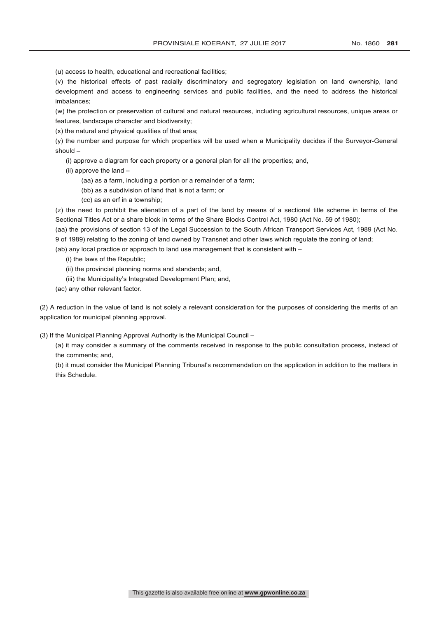(v) the historical effects of past racially discriminatory and segregatory legislation on land ownership, land development and access to engineering services and public facilities, and the need to address the historical imbalances;

(w) the protection or preservation of cultural and natural resources, including agricultural resources, unique areas or features, landscape character and biodiversity;

(x) the natural and physical qualities of that area;

(y) the number and purpose for which properties will be used when a Municipality decides if the Surveyor-General should –

(i) approve a diagram for each property or a general plan for all the properties; and,

(ii) approve the land –

(aa) as a farm, including a portion or a remainder of a farm;

(bb) as a subdivision of land that is not a farm; or

(cc) as an erf in a township;

(z) the need to prohibit the alienation of a part of the land by means of a sectional title scheme in terms of the Sectional Titles Act or a share block in terms of the Share Blocks Control Act, 1980 (Act No. 59 of 1980);

(aa) the provisions of section 13 of the Legal Succession to the South African Transport Services Act, 1989 (Act No. 9 of 1989) relating to the zoning of land owned by Transnet and other laws which regulate the zoning of land;

(ab) any local practice or approach to land use management that is consistent with  $-$ 

(i) the laws of the Republic;

(ii) the provincial planning norms and standards; and,

(iii) the Municipality's Integrated Development Plan; and,

(ac) any other relevant factor.

(2) A reduction in the value of land is not solely a relevant consideration for the purposes of considering the merits of an application for municipal planning approval.

(3) If the Municipal Planning Approval Authority is the Municipal Council –

(a) it may consider a summary of the comments received in response to the public consultation process, instead of the comments; and,

(b) it must consider the Municipal Planning Tribunal's recommendation on the application in addition to the matters in this Schedule.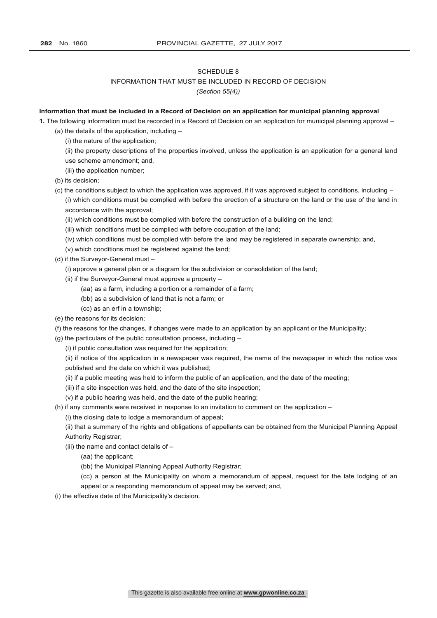# INFORMATION THAT MUST BE INCLUDED IN RECORD OF DECISION

*(Section 55(4))*

#### **Information that must be included in a Record of Decision on an application for municipal planning approval**

**1.** The following information must be recorded in a Record of Decision on an application for municipal planning approval –

- (a) the details of the application, including
	- (i) the nature of the application;
	- (ii) the property descriptions of the properties involved, unless the application is an application for a general land use scheme amendment; and,
	- (iii) the application number;
- (b) its decision;
- (c) the conditions subject to which the application was approved, if it was approved subject to conditions, including (i) which conditions must be complied with before the erection of a structure on the land or the use of the land in accordance with the approval;
	- (ii) which conditions must be complied with before the construction of a building on the land;
	- (iii) which conditions must be complied with before occupation of the land;
	- (iv) which conditions must be complied with before the land may be registered in separate ownership; and,
	- (v) which conditions must be registered against the land;
- (d) if the Surveyor-General must
	- (i) approve a general plan or a diagram for the subdivision or consolidation of the land;
	- (ii) if the Surveyor-General must approve a property
		- (aa) as a farm, including a portion or a remainder of a farm;
		- (bb) as a subdivision of land that is not a farm; or
		- (cc) as an erf in a township;
- (e) the reasons for its decision;
- (f) the reasons for the changes, if changes were made to an application by an applicant or the Municipality;
- (g) the particulars of the public consultation process, including
	- (i) if public consultation was required for the application;
	- (ii) if notice of the application in a newspaper was required, the name of the newspaper in which the notice was published and the date on which it was published;
	- (ii) if a public meeting was held to inform the public of an application, and the date of the meeting;
	- (iii) if a site inspection was held, and the date of the site inspection;
	- (v) if a public hearing was held, and the date of the public hearing;
- (h) if any comments were received in response to an invitation to comment on the application
	- (i) the closing date to lodge a memorandum of appeal;
	- (ii) that a summary of the rights and obligations of appellants can be obtained from the Municipal Planning Appeal Authority Registrar;
	- (iii) the name and contact details of
		- (aa) the applicant;
		- (bb) the Municipal Planning Appeal Authority Registrar;
		- (cc) a person at the Municipality on whom a memorandum of appeal, request for the late lodging of an appeal or a responding memorandum of appeal may be served; and,
- (i) the effective date of the Municipality's decision.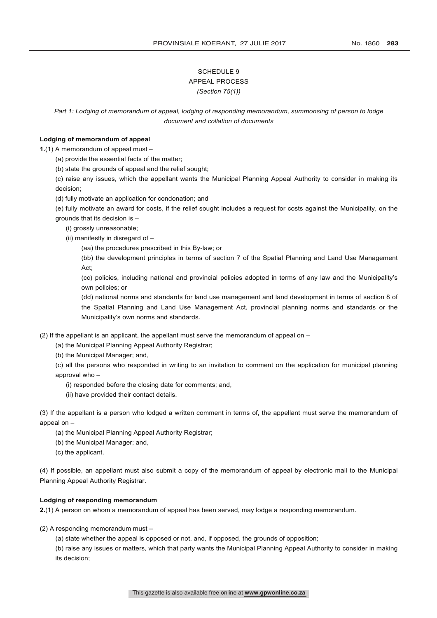# SCHEDULE 9 APPEAL PROCESS *(Section 75(1))*

*Part 1: Lodging of memorandum of appeal, lodging of responding memorandum, summonsing of person to lodge document and collation of documents*

# **Lodging of memorandum of appeal**

**1.**(1) A memorandum of appeal must –

(a) provide the essential facts of the matter;

(b) state the grounds of appeal and the relief sought;

(c) raise any issues, which the appellant wants the Municipal Planning Appeal Authority to consider in making its decision;

- (d) fully motivate an application for condonation; and
- (e) fully motivate an award for costs, if the relief sought includes a request for costs against the Municipality, on the grounds that its decision is –

(i) grossly unreasonable;

(ii) manifestly in disregard of –

(aa) the procedures prescribed in this By-law; or

(bb) the development principles in terms of section 7 of the Spatial Planning and Land Use Management Act;

(cc) policies, including national and provincial policies adopted in terms of any law and the Municipality's own policies; or

(dd) national norms and standards for land use management and land development in terms of section 8 of the Spatial Planning and Land Use Management Act, provincial planning norms and standards or the Municipality's own norms and standards.

(2) If the appellant is an applicant, the appellant must serve the memorandum of appeal on  $-$ 

(a) the Municipal Planning Appeal Authority Registrar;

(b) the Municipal Manager; and,

(c) all the persons who responded in writing to an invitation to comment on the application for municipal planning approval who -

- (i) responded before the closing date for comments; and,
- (ii) have provided their contact details.

(3) If the appellant is a person who lodged a written comment in terms of, the appellant must serve the memorandum of appeal on –

- (a) the Municipal Planning Appeal Authority Registrar;
- (b) the Municipal Manager; and,
- (c) the applicant.

(4) If possible, an appellant must also submit a copy of the memorandum of appeal by electronic mail to the Municipal Planning Appeal Authority Registrar.

#### **Lodging of responding memorandum**

**2.**(1) A person on whom a memorandum of appeal has been served, may lodge a responding memorandum.

(2) A responding memorandum must –

(a) state whether the appeal is opposed or not, and, if opposed, the grounds of opposition;

(b) raise any issues or matters, which that party wants the Municipal Planning Appeal Authority to consider in making its decision;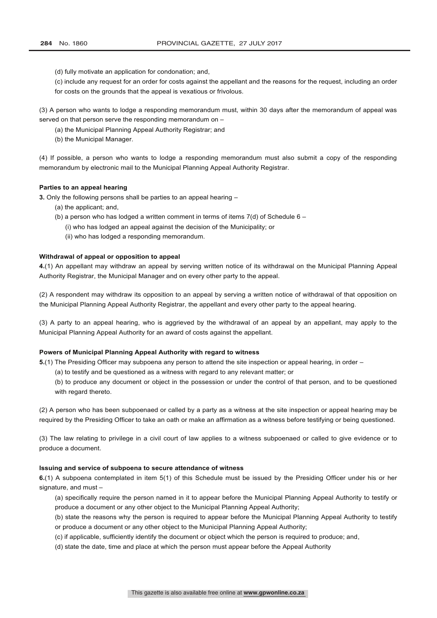(d) fully motivate an application for condonation; and,

(c) include any request for an order for costs against the appellant and the reasons for the request, including an order for costs on the grounds that the appeal is vexatious or frivolous.

(3) A person who wants to lodge a responding memorandum must, within 30 days after the memorandum of appeal was served on that person serve the responding memorandum on –

(a) the Municipal Planning Appeal Authority Registrar; and

(b) the Municipal Manager.

(4) If possible, a person who wants to lodge a responding memorandum must also submit a copy of the responding memorandum by electronic mail to the Municipal Planning Appeal Authority Registrar.

#### **Parties to an appeal hearing**

**3.** Only the following persons shall be parties to an appeal hearing –

- (a) the applicant; and,
- (b) a person who has lodged a written comment in terms of items  $7(d)$  of Schedule 6
	- (i) who has lodged an appeal against the decision of the Municipality; or
	- (ii) who has lodged a responding memorandum.

#### **Withdrawal of appeal or opposition to appeal**

**4.**(1) An appellant may withdraw an appeal by serving written notice of its withdrawal on the Municipal Planning Appeal Authority Registrar, the Municipal Manager and on every other party to the appeal.

(2) A respondent may withdraw its opposition to an appeal by serving a written notice of withdrawal of that opposition on the Municipal Planning Appeal Authority Registrar, the appellant and every other party to the appeal hearing.

(3) A party to an appeal hearing, who is aggrieved by the withdrawal of an appeal by an appellant, may apply to the Municipal Planning Appeal Authority for an award of costs against the appellant.

# **Powers of Municipal Planning Appeal Authority with regard to witness**

**5.**(1) The Presiding Officer may subpoena any person to attend the site inspection or appeal hearing, in order –

- (a) to testify and be questioned as a witness with regard to any relevant matter; or
- (b) to produce any document or object in the possession or under the control of that person, and to be questioned with regard thereto.

(2) A person who has been subpoenaed or called by a party as a witness at the site inspection or appeal hearing may be required by the Presiding Officer to take an oath or make an affirmation as a witness before testifying or being questioned.

(3) The law relating to privilege in a civil court of law applies to a witness subpoenaed or called to give evidence or to produce a document.

#### **Issuing and service of subpoena to secure attendance of witness**

**6.**(1) A subpoena contemplated in item 5(1) of this Schedule must be issued by the Presiding Officer under his or her signature, and must –

- (a) specifically require the person named in it to appear before the Municipal Planning Appeal Authority to testify or produce a document or any other object to the Municipal Planning Appeal Authority;
- (b) state the reasons why the person is required to appear before the Municipal Planning Appeal Authority to testify
- or produce a document or any other object to the Municipal Planning Appeal Authority;
- (c) if applicable, sufficiently identify the document or object which the person is required to produce; and,
- (d) state the date, time and place at which the person must appear before the Appeal Authority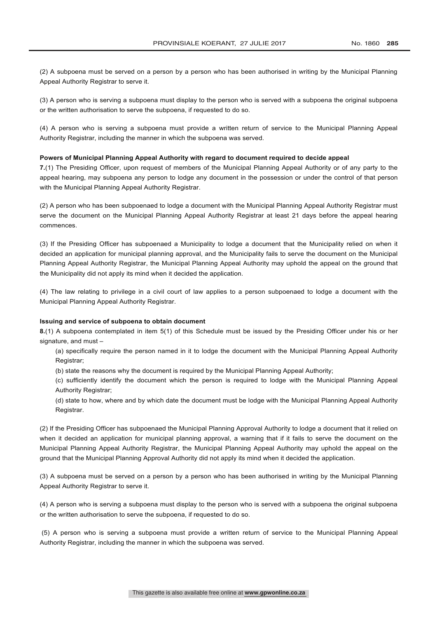(2) A subpoena must be served on a person by a person who has been authorised in writing by the Municipal Planning Appeal Authority Registrar to serve it.

(3) A person who is serving a subpoena must display to the person who is served with a subpoena the original subpoena or the written authorisation to serve the subpoena, if requested to do so.

(4) A person who is serving a subpoena must provide a written return of service to the Municipal Planning Appeal Authority Registrar, including the manner in which the subpoena was served.

#### **Powers of Municipal Planning Appeal Authority with regard to document required to decide appeal**

**7.**(1) The Presiding Officer, upon request of members of the Municipal Planning Appeal Authority or of any party to the appeal hearing, may subpoena any person to lodge any document in the possession or under the control of that person with the Municipal Planning Appeal Authority Registrar.

(2) A person who has been subpoenaed to lodge a document with the Municipal Planning Appeal Authority Registrar must serve the document on the Municipal Planning Appeal Authority Registrar at least 21 days before the appeal hearing commences.

(3) If the Presiding Officer has subpoenaed a Municipality to lodge a document that the Municipality relied on when it decided an application for municipal planning approval, and the Municipality fails to serve the document on the Municipal Planning Appeal Authority Registrar, the Municipal Planning Appeal Authority may uphold the appeal on the ground that the Municipality did not apply its mind when it decided the application.

(4) The law relating to privilege in a civil court of law applies to a person subpoenaed to lodge a document with the Municipal Planning Appeal Authority Registrar.

# **Issuing and service of subpoena to obtain document**

**8.**(1) A subpoena contemplated in item 5(1) of this Schedule must be issued by the Presiding Officer under his or her signature, and must –

(a) specifically require the person named in it to lodge the document with the Municipal Planning Appeal Authority Registrar;

(b) state the reasons why the document is required by the Municipal Planning Appeal Authority;

(c) sufficiently identify the document which the person is required to lodge with the Municipal Planning Appeal Authority Registrar:

(d) state to how, where and by which date the document must be lodge with the Municipal Planning Appeal Authority Registrar.

(2) If the Presiding Officer has subpoenaed the Municipal Planning Approval Authority to lodge a document that it relied on when it decided an application for municipal planning approval, a warning that if it fails to serve the document on the Municipal Planning Appeal Authority Registrar, the Municipal Planning Appeal Authority may uphold the appeal on the ground that the Municipal Planning Approval Authority did not apply its mind when it decided the application.

(3) A subpoena must be served on a person by a person who has been authorised in writing by the Municipal Planning Appeal Authority Registrar to serve it.

(4) A person who is serving a subpoena must display to the person who is served with a subpoena the original subpoena or the written authorisation to serve the subpoena, if requested to do so.

(5) A person who is serving a subpoena must provide a written return of service to the Municipal Planning Appeal Authority Registrar, including the manner in which the subpoena was served.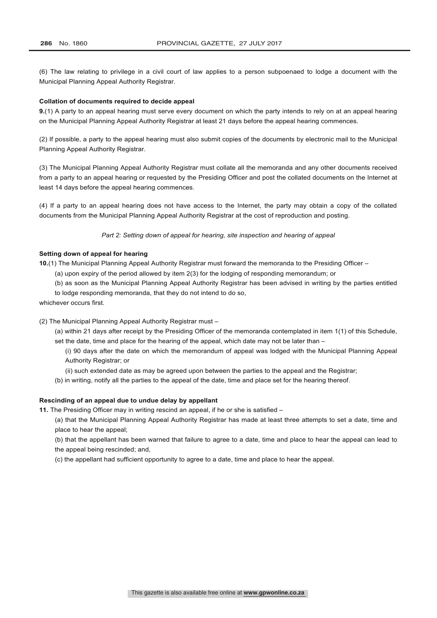(6) The law relating to privilege in a civil court of law applies to a person subpoenaed to lodge a document with the Municipal Planning Appeal Authority Registrar.

#### **Collation of documents required to decide appeal**

**9.**(1) A party to an appeal hearing must serve every document on which the party intends to rely on at an appeal hearing on the Municipal Planning Appeal Authority Registrar at least 21 days before the appeal hearing commences.

(2) If possible, a party to the appeal hearing must also submit copies of the documents by electronic mail to the Municipal Planning Appeal Authority Registrar.

(3) The Municipal Planning Appeal Authority Registrar must collate all the memoranda and any other documents received from a party to an appeal hearing or requested by the Presiding Officer and post the collated documents on the Internet at least 14 days before the appeal hearing commences.

(4) If a party to an appeal hearing does not have access to the Internet, the party may obtain a copy of the collated documents from the Municipal Planning Appeal Authority Registrar at the cost of reproduction and posting.

*Part 2: Setting down of appeal for hearing, site inspection and hearing of appeal*

# **Setting down of appeal for hearing**

**10.**(1) The Municipal Planning Appeal Authority Registrar must forward the memoranda to the Presiding Officer –

- (a) upon expiry of the period allowed by item 2(3) for the lodging of responding memorandum; or
- (b) as soon as the Municipal Planning Appeal Authority Registrar has been advised in writing by the parties entitled

to lodge responding memoranda, that they do not intend to do so,

whichever occurs first.

(2) The Municipal Planning Appeal Authority Registrar must –

(a) within 21 days after receipt by the Presiding Officer of the memoranda contemplated in item 1(1) of this Schedule, set the date, time and place for the hearing of the appeal, which date may not be later than -

(i) 90 days after the date on which the memorandum of appeal was lodged with the Municipal Planning Appeal Authority Registrar; or

(ii) such extended date as may be agreed upon between the parties to the appeal and the Registrar;

(b) in writing, notify all the parties to the appeal of the date, time and place set for the hearing thereof.

# **Rescinding of an appeal due to undue delay by appellant**

**11.** The Presiding Officer may in writing rescind an appeal, if he or she is satisfied –

(a) that the Municipal Planning Appeal Authority Registrar has made at least three attempts to set a date, time and place to hear the appeal;

(b) that the appellant has been warned that failure to agree to a date, time and place to hear the appeal can lead to the appeal being rescinded; and,

(c) the appellant had sufficient opportunity to agree to a date, time and place to hear the appeal.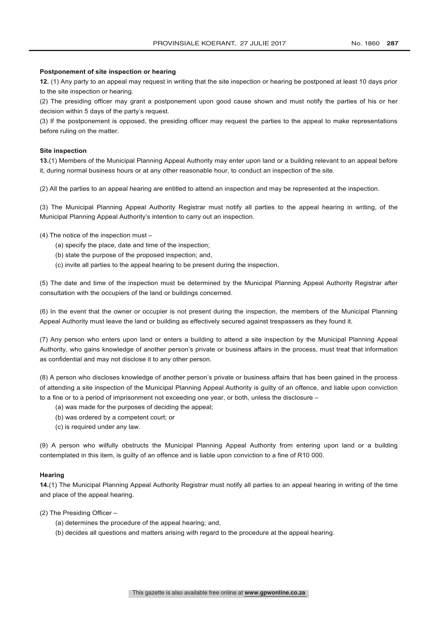## **Postponement of site inspection or hearing**

**12.** (1) Any party to an appeal may request in writing that the site inspection or hearing be postponed at least 10 days prior to the site inspection or hearing.

(2) The presiding officer may grant a postponement upon good cause shown and must notify the parties of his or her decision within 5 days of the party's request.

(3) If the postponement is opposed, the presiding officer may request the parties to the appeal to make representations before ruling on the matter.

# **Site inspection**

**13.**(1) Members of the Municipal Planning Appeal Authority may enter upon land or a building relevant to an appeal before it, during normal business hours or at any other reasonable hour, to conduct an inspection of the site.

(2) All the parties to an appeal hearing are entitled to attend an inspection and may be represented at the inspection.

(3) The Municipal Planning Appeal Authority Registrar must notify all parties to the appeal hearing in writing, of the Municipal Planning Appeal Authority's intention to carry out an inspection.

(4) The notice of the inspection must –

- (a) specify the place, date and time of the inspection;
- (b) state the purpose of the proposed inspection; and,
- (c) invite all parties to the appeal hearing to be present during the inspection.

(5) The date and time of the inspection must be determined by the Municipal Planning Appeal Authority Registrar after consultation with the occupiers of the land or buildings concerned.

(6) In the event that the owner or occupier is not present during the inspection, the members of the Municipal Planning Appeal Authority must leave the land or building as effectively secured against trespassers as they found it.

(7) Any person who enters upon land or enters a building to attend a site inspection by the Municipal Planning Appeal Authority, who gains knowledge of another person's private or business affairs in the process, must treat that information as confidential and may not disclose it to any other person.

(8) A person who discloses knowledge of another person's private or business affairs that has been gained in the process of attending a site inspection of the Municipal Planning Appeal Authority is guilty of an offence, and liable upon conviction to a fine or to a period of imprisonment not exceeding one year, or both, unless the disclosure –

- (a) was made for the purposes of deciding the appeal;
- (b) was ordered by a competent court; or
- (c) is required under any law.

(9) A person who wilfully obstructs the Municipal Planning Appeal Authority from entering upon land or a building contemplated in this item, is guilty of an offence and is liable upon conviction to a fine of R10 000.

#### **Hearing**

**14.**(1) The Municipal Planning Appeal Authority Registrar must notify all parties to an appeal hearing in writing of the time and place of the appeal hearing.

(2) The Presiding Officer –

- (a) determines the procedure of the appeal hearing; and,
- (b) decides all questions and matters arising with regard to the procedure at the appeal hearing.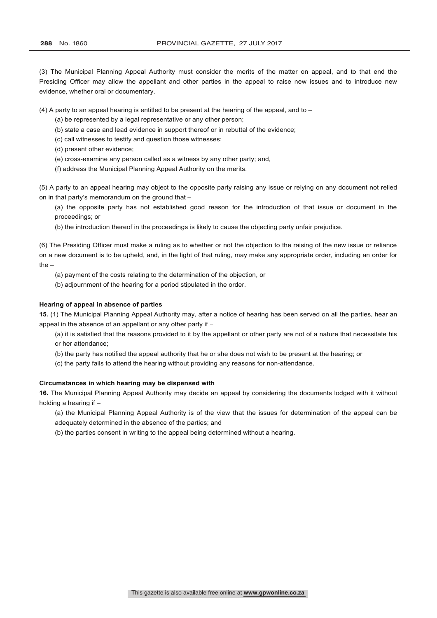(3) The Municipal Planning Appeal Authority must consider the merits of the matter on appeal, and to that end the Presiding Officer may allow the appellant and other parties in the appeal to raise new issues and to introduce new evidence, whether oral or documentary.

(4) A party to an appeal hearing is entitled to be present at the hearing of the appeal, and to  $-$ 

- (a) be represented by a legal representative or any other person;
- (b) state a case and lead evidence in support thereof or in rebuttal of the evidence;
- (c) call witnesses to testify and question those witnesses;
- (d) present other evidence;
- (e) cross-examine any person called as a witness by any other party; and,
- (f) address the Municipal Planning Appeal Authority on the merits.

(5) A party to an appeal hearing may object to the opposite party raising any issue or relying on any document not relied on in that party's memorandum on the ground that –

(a) the opposite party has not established good reason for the introduction of that issue or document in the proceedings; or

(b) the introduction thereof in the proceedings is likely to cause the objecting party unfair prejudice.

(6) The Presiding Officer must make a ruling as to whether or not the objection to the raising of the new issue or reliance on a new document is to be upheld, and, in the light of that ruling, may make any appropriate order, including an order for the –

- (a) payment of the costs relating to the determination of the objection, or
- (b) adjournment of the hearing for a period stipulated in the order.

#### **Hearing of appeal in absence of parties**

**15.** (1) The Municipal Planning Appeal Authority may, after a notice of hearing has been served on all the parties, hear an appeal in the absence of an appellant or any other party if −

(a) it is satisfied that the reasons provided to it by the appellant or other party are not of a nature that necessitate his or her attendance;

- (b) the party has notified the appeal authority that he or she does not wish to be present at the hearing; or
- (c) the party fails to attend the hearing without providing any reasons for non-attendance.

# **Circumstances in which hearing may be dispensed with**

**16.** The Municipal Planning Appeal Authority may decide an appeal by considering the documents lodged with it without holding a hearing if –

(a) the Municipal Planning Appeal Authority is of the view that the issues for determination of the appeal can be adequately determined in the absence of the parties; and

(b) the parties consent in writing to the appeal being determined without a hearing.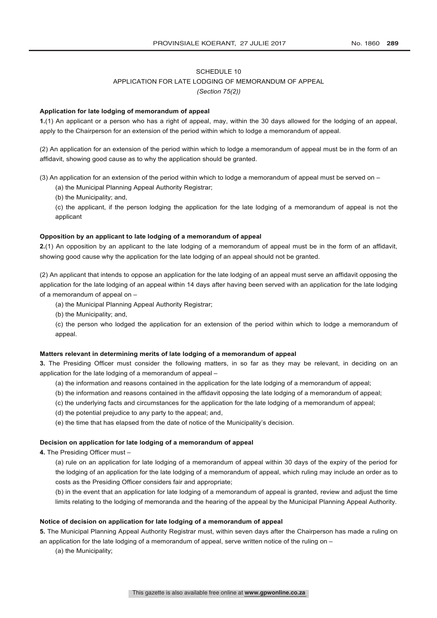# APPLICATION FOR LATE LODGING OF MEMORANDUM OF APPEAL

*(Section 75(2))*

## **Application for late lodging of memorandum of appeal**

**1.**(1) An applicant or a person who has a right of appeal, may, within the 30 days allowed for the lodging of an appeal, apply to the Chairperson for an extension of the period within which to lodge a memorandum of appeal.

(2) An application for an extension of the period within which to lodge a memorandum of appeal must be in the form of an affidavit, showing good cause as to why the application should be granted.

(3) An application for an extension of the period within which to lodge a memorandum of appeal must be served on –

(a) the Municipal Planning Appeal Authority Registrar;

(b) the Municipality; and,

(c) the applicant, if the person lodging the application for the late lodging of a memorandum of appeal is not the applicant

## **Opposition by an applicant to late lodging of a memorandum of appeal**

**2.**(1) An opposition by an applicant to the late lodging of a memorandum of appeal must be in the form of an affidavit, showing good cause why the application for the late lodging of an appeal should not be granted.

(2) An applicant that intends to oppose an application for the late lodging of an appeal must serve an affidavit opposing the application for the late lodging of an appeal within 14 days after having been served with an application for the late lodging of a memorandum of appeal on –

- (a) the Municipal Planning Appeal Authority Registrar;
- (b) the Municipality; and,

(c) the person who lodged the application for an extension of the period within which to lodge a memorandum of appeal.

# **Matters relevant in determining merits of late lodging of a memorandum of appeal**

**3.** The Presiding Officer must consider the following matters, in so far as they may be relevant, in deciding on an application for the late lodging of a memorandum of appeal –

- (a) the information and reasons contained in the application for the late lodging of a memorandum of appeal;
- (b) the information and reasons contained in the affidavit opposing the late lodging of a memorandum of appeal;
- (c) the underlying facts and circumstances for the application for the late lodging of a memorandum of appeal;
- (d) the potential prejudice to any party to the appeal; and,
- (e) the time that has elapsed from the date of notice of the Municipality's decision.

#### **Decision on application for late lodging of a memorandum of appeal**

**4.** The Presiding Officer must –

(a) rule on an application for late lodging of a memorandum of appeal within 30 days of the expiry of the period for the lodging of an application for the late lodging of a memorandum of appeal, which ruling may include an order as to costs as the Presiding Officer considers fair and appropriate;

(b) in the event that an application for late lodging of a memorandum of appeal is granted, review and adjust the time limits relating to the lodging of memoranda and the hearing of the appeal by the Municipal Planning Appeal Authority.

#### **Notice of decision on application for late lodging of a memorandum of appeal**

**5.** The Municipal Planning Appeal Authority Registrar must, within seven days after the Chairperson has made a ruling on an application for the late lodging of a memorandum of appeal, serve written notice of the ruling on –

(a) the Municipality;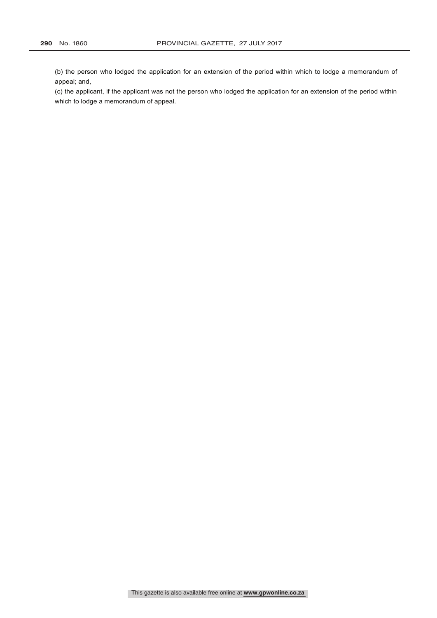(b) the person who lodged the application for an extension of the period within which to lodge a memorandum of appeal; and,

(c) the applicant, if the applicant was not the person who lodged the application for an extension of the period within which to lodge a memorandum of appeal.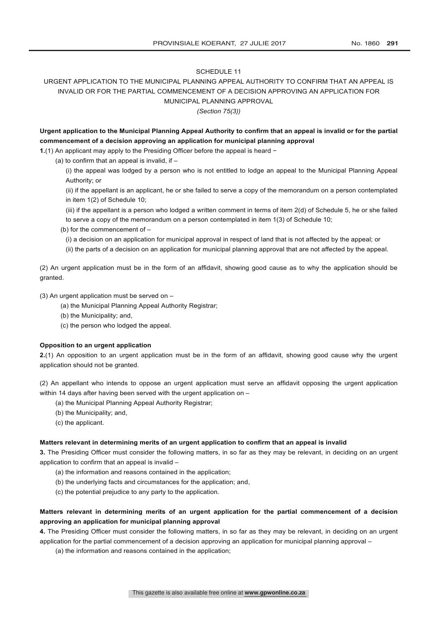# URGENT APPLICATION TO THE MUNICIPAL PLANNING APPEAL AUTHORITY TO CONFIRM THAT AN APPEAL IS INVALID OR FOR THE PARTIAL COMMENCEMENT OF A DECISION APPROVING AN APPLICATION FOR MUNICIPAL PLANNING APPROVAL

*(Section 75(3))*

**Urgent application to the Municipal Planning Appeal Authority to confirm that an appeal is invalid or for the partial commencement of a decision approving an application for municipal planning approval**

**1.**(1) An applicant may apply to the Presiding Officer before the appeal is heard −

(a) to confirm that an appeal is invalid, if –

(i) the appeal was lodged by a person who is not entitled to lodge an appeal to the Municipal Planning Appeal Authority; or

(ii) if the appellant is an applicant, he or she failed to serve a copy of the memorandum on a person contemplated in item 1(2) of Schedule 10;

(iii) if the appellant is a person who lodged a written comment in terms of item 2(d) of Schedule 5, he or she failed to serve a copy of the memorandum on a person contemplated in item 1(3) of Schedule 10;

(b) for the commencement of –

(i) a decision on an application for municipal approval in respect of land that is not affected by the appeal; or

(ii) the parts of a decision on an application for municipal planning approval that are not affected by the appeal.

(2) An urgent application must be in the form of an affidavit, showing good cause as to why the application should be granted.

(3) An urgent application must be served on –

(a) the Municipal Planning Appeal Authority Registrar;

(b) the Municipality; and,

(c) the person who lodged the appeal.

#### **Opposition to an urgent application**

**2.**(1) An opposition to an urgent application must be in the form of an affidavit, showing good cause why the urgent application should not be granted.

(2) An appellant who intends to oppose an urgent application must serve an affidavit opposing the urgent application within 14 days after having been served with the urgent application on –

- (a) the Municipal Planning Appeal Authority Registrar;
- (b) the Municipality; and,
- (c) the applicant.

#### **Matters relevant in determining merits of an urgent application to confirm that an appeal is invalid**

**3.** The Presiding Officer must consider the following matters, in so far as they may be relevant, in deciding on an urgent application to confirm that an appeal is invalid –

- (a) the information and reasons contained in the application;
- (b) the underlying facts and circumstances for the application; and,
- (c) the potential prejudice to any party to the application.

# **Matters relevant in determining merits of an urgent application for the partial commencement of a decision approving an application for municipal planning approval**

**4.** The Presiding Officer must consider the following matters, in so far as they may be relevant, in deciding on an urgent application for the partial commencement of a decision approving an application for municipal planning approval –

(a) the information and reasons contained in the application;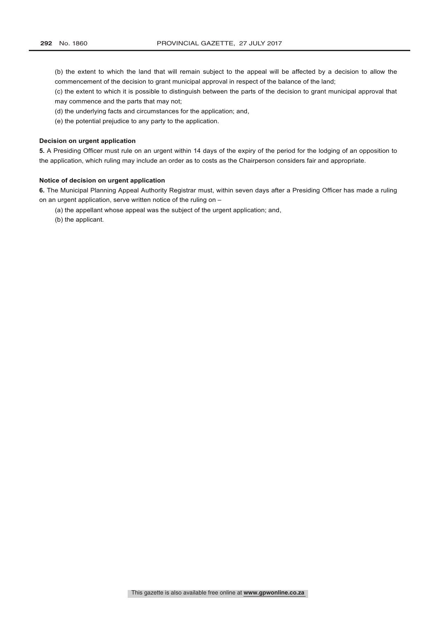- (b) the extent to which the land that will remain subject to the appeal will be affected by a decision to allow the commencement of the decision to grant municipal approval in respect of the balance of the land;
- (c) the extent to which it is possible to distinguish between the parts of the decision to grant municipal approval that may commence and the parts that may not;
- (d) the underlying facts and circumstances for the application; and,
- (e) the potential prejudice to any party to the application.

# **Decision on urgent application**

**5.** A Presiding Officer must rule on an urgent within 14 days of the expiry of the period for the lodging of an opposition to the application, which ruling may include an order as to costs as the Chairperson considers fair and appropriate.

# **Notice of decision on urgent application**

**6.** The Municipal Planning Appeal Authority Registrar must, within seven days after a Presiding Officer has made a ruling on an urgent application, serve written notice of the ruling on –

- (a) the appellant whose appeal was the subject of the urgent application; and,
- (b) the applicant.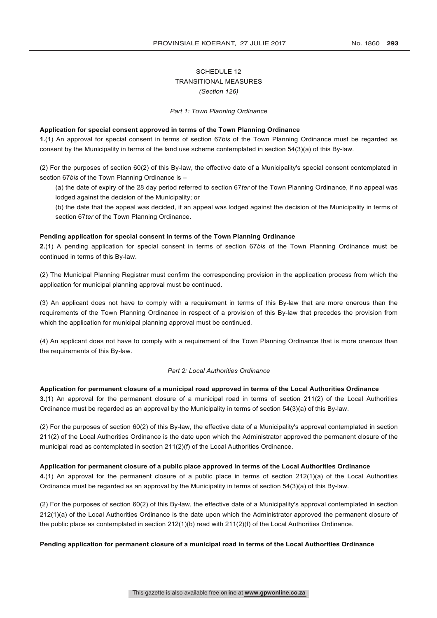# SCHEDULE 12 TRANSITIONAL MEASURES *(Section 126)*

#### *Part 1: Town Planning Ordinance*

# **Application for special consent approved in terms of the Town Planning Ordinance**

**1.**(1) An approval for special consent in terms of section 67*bis* of the Town Planning Ordinance must be regarded as consent by the Municipality in terms of the land use scheme contemplated in section 54(3)(a) of this By-law.

(2) For the purposes of section 60(2) of this By-law, the effective date of a Municipality's special consent contemplated in section 67*bis* of the Town Planning Ordinance is –

(a) the date of expiry of the 28 day period referred to section 67*ter* of the Town Planning Ordinance, if no appeal was lodged against the decision of the Municipality; or

(b) the date that the appeal was decided, if an appeal was lodged against the decision of the Municipality in terms of section 67*ter* of the Town Planning Ordinance.

# **Pending application for special consent in terms of the Town Planning Ordinance**

**2.**(1) A pending application for special consent in terms of section 67*bis* of the Town Planning Ordinance must be continued in terms of this By-law.

(2) The Municipal Planning Registrar must confirm the corresponding provision in the application process from which the application for municipal planning approval must be continued.

(3) An applicant does not have to comply with a requirement in terms of this By-law that are more onerous than the requirements of the Town Planning Ordinance in respect of a provision of this By-law that precedes the provision from which the application for municipal planning approval must be continued.

(4) An applicant does not have to comply with a requirement of the Town Planning Ordinance that is more onerous than the requirements of this By-law.

# *Part 2: Local Authorities Ordinance*

## **Application for permanent closure of a municipal road approved in terms of the Local Authorities Ordinance**

**3.**(1) An approval for the permanent closure of a municipal road in terms of section 211(2) of the Local Authorities Ordinance must be regarded as an approval by the Municipality in terms of section 54(3)(a) of this By-law.

(2) For the purposes of section 60(2) of this By-law, the effective date of a Municipality's approval contemplated in section 211(2) of the Local Authorities Ordinance is the date upon which the Administrator approved the permanent closure of the municipal road as contemplated in section 211(2)(f) of the Local Authorities Ordinance.

#### **Application for permanent closure of a public place approved in terms of the Local Authorities Ordinance**

**4.**(1) An approval for the permanent closure of a public place in terms of section 212(1)(a) of the Local Authorities Ordinance must be regarded as an approval by the Municipality in terms of section 54(3)(a) of this By-law.

(2) For the purposes of section 60(2) of this By-law, the effective date of a Municipality's approval contemplated in section 212(1)(a) of the Local Authorities Ordinance is the date upon which the Administrator approved the permanent closure of the public place as contemplated in section 212(1)(b) read with 211(2)(f) of the Local Authorities Ordinance.

# **Pending application for permanent closure of a municipal road in terms of the Local Authorities Ordinance**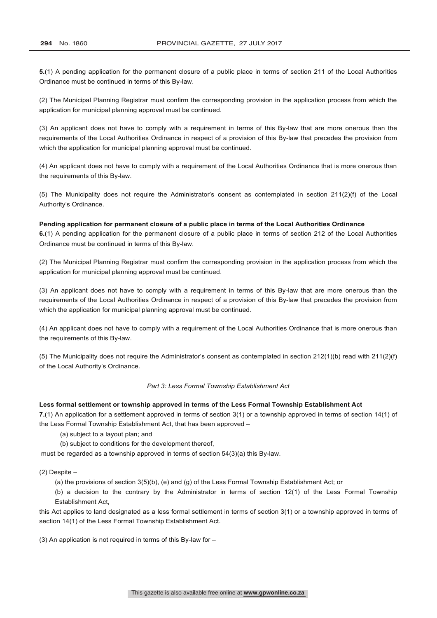**5.**(1) A pending application for the permanent closure of a public place in terms of section 211 of the Local Authorities Ordinance must be continued in terms of this By-law.

(2) The Municipal Planning Registrar must confirm the corresponding provision in the application process from which the application for municipal planning approval must be continued.

(3) An applicant does not have to comply with a requirement in terms of this By-law that are more onerous than the requirements of the Local Authorities Ordinance in respect of a provision of this By-law that precedes the provision from which the application for municipal planning approval must be continued.

(4) An applicant does not have to comply with a requirement of the Local Authorities Ordinance that is more onerous than the requirements of this By-law.

(5) The Municipality does not require the Administrator's consent as contemplated in section 211(2)(f) of the Local Authority's Ordinance.

**Pending application for permanent closure of a public place in terms of the Local Authorities Ordinance 6.**(1) A pending application for the permanent closure of a public place in terms of section 212 of the Local Authorities Ordinance must be continued in terms of this By-law.

(2) The Municipal Planning Registrar must confirm the corresponding provision in the application process from which the application for municipal planning approval must be continued.

(3) An applicant does not have to comply with a requirement in terms of this By-law that are more onerous than the requirements of the Local Authorities Ordinance in respect of a provision of this By-law that precedes the provision from which the application for municipal planning approval must be continued.

(4) An applicant does not have to comply with a requirement of the Local Authorities Ordinance that is more onerous than the requirements of this By-law.

(5) The Municipality does not require the Administrator's consent as contemplated in section 212(1)(b) read with 211(2)(f) of the Local Authority's Ordinance.

#### *Part 3: Less Formal Township Establishment Act*

## **Less formal settlement or township approved in terms of the Less Formal Township Establishment Act**

**7.**(1) An application for a settlement approved in terms of section 3(1) or a township approved in terms of section 14(1) of the Less Formal Township Establishment Act, that has been approved –

(a) subject to a layout plan; and

(b) subject to conditions for the development thereof,

must be regarded as a township approved in terms of section 54(3)(a) this By-law.

## $(2)$  Despite  $-$

(a) the provisions of section 3(5)(b), (e) and (g) of the Less Formal Township Establishment Act; or

(b) a decision to the contrary by the Administrator in terms of section 12(1) of the Less Formal Township Establishment Act,

this Act applies to land designated as a less formal settlement in terms of section 3(1) or a township approved in terms of section 14(1) of the Less Formal Township Establishment Act.

(3) An application is not required in terms of this By-law for  $-$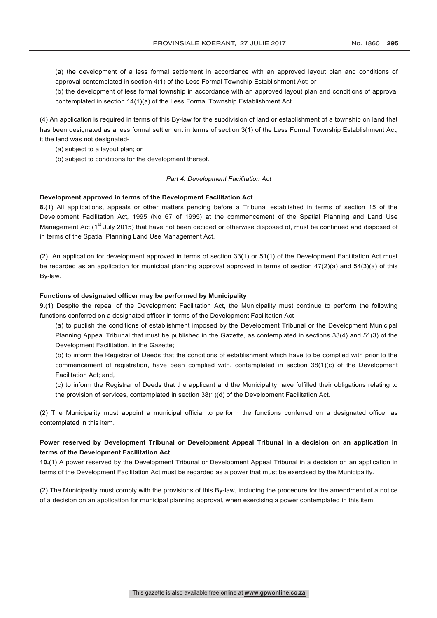(a) the development of a less formal settlement in accordance with an approved layout plan and conditions of approval contemplated in section 4(1) of the Less Formal Township Establishment Act; or

(b) the development of less formal township in accordance with an approved layout plan and conditions of approval contemplated in section 14(1)(a) of the Less Formal Township Establishment Act.

(4) An application is required in terms of this By-law for the subdivision of land or establishment of a township on land that has been designated as a less formal settlement in terms of section 3(1) of the Less Formal Township Establishment Act, it the land was not designated-

(a) subject to a layout plan; or

(b) subject to conditions for the development thereof.

#### *Part 4: Development Facilitation Act*

#### **Development approved in terms of the Development Facilitation Act**

**8.**(1) All applications, appeals or other matters pending before a Tribunal established in terms of section 15 of the Development Facilitation Act, 1995 (No 67 of 1995) at the commencement of the Spatial Planning and Land Use Management Act ( $1^{\text{st}}$  July 2015) that have not been decided or otherwise disposed of, must be continued and disposed of in terms of the Spatial Planning Land Use Management Act.

(2) An application for development approved in terms of section 33(1) or 51(1) of the Development Facilitation Act must be regarded as an application for municipal planning approval approved in terms of section 47(2)(a) and 54(3)(a) of this By-law.

#### **Functions of designated officer may be performed by Municipality**

**9.**(1) Despite the repeal of the Development Facilitation Act, the Municipality must continue to perform the following functions conferred on a designated officer in terms of the Development Facilitation Act -

(a) to publish the conditions of establishment imposed by the Development Tribunal or the Development Municipal Planning Appeal Tribunal that must be published in the Gazette, as contemplated in sections 33(4) and 51(3) of the Development Facilitation, in the Gazette;

(b) to inform the Registrar of Deeds that the conditions of establishment which have to be complied with prior to the commencement of registration, have been complied with, contemplated in section 38(1)(c) of the Development Facilitation Act; and,

(c) to inform the Registrar of Deeds that the applicant and the Municipality have fulfilled their obligations relating to the provision of services, contemplated in section 38(1)(d) of the Development Facilitation Act.

(2) The Municipality must appoint a municipal official to perform the functions conferred on a designated officer as contemplated in this item.

# **Power reserved by Development Tribunal or Development Appeal Tribunal in a decision on an application in terms of the Development Facilitation Act**

**10.**(1) A power reserved by the Development Tribunal or Development Appeal Tribunal in a decision on an application in terms of the Development Facilitation Act must be regarded as a power that must be exercised by the Municipality.

(2) The Municipality must comply with the provisions of this By-law, including the procedure for the amendment of a notice of a decision on an application for municipal planning approval, when exercising a power contemplated in this item.